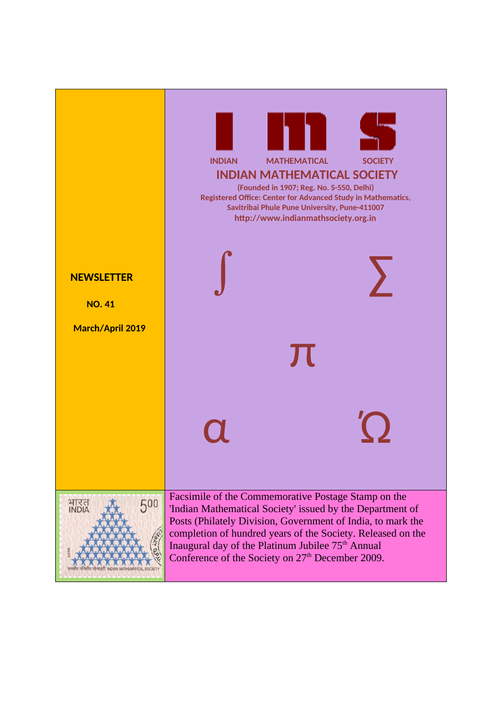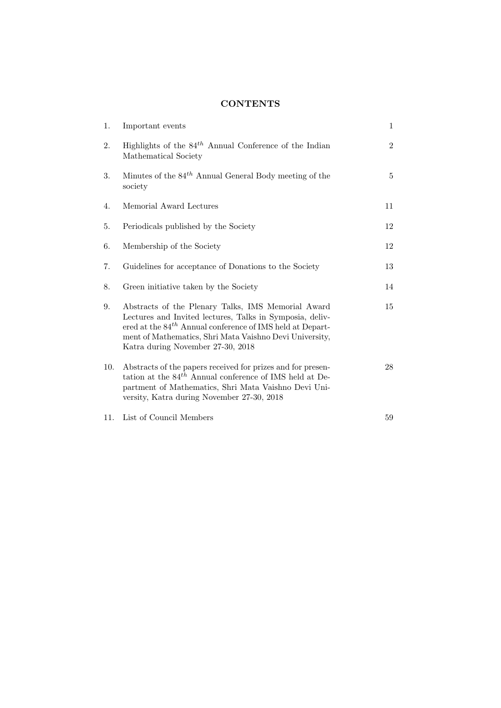# **CONTENTS**

| 1.  | Important events                                                                                                                                                                                                                                                                 | $\mathbf{1}$   |
|-----|----------------------------------------------------------------------------------------------------------------------------------------------------------------------------------------------------------------------------------------------------------------------------------|----------------|
| 2.  | Highlights of the $84th$ Annual Conference of the Indian<br>Mathematical Society                                                                                                                                                                                                 | $\overline{2}$ |
| 3.  | Minutes of the $84^{th}$ Annual General Body meeting of the<br>society                                                                                                                                                                                                           | 5              |
| 4.  | Memorial Award Lectures                                                                                                                                                                                                                                                          | 11             |
| 5.  | Periodicals published by the Society                                                                                                                                                                                                                                             | 12             |
| 6.  | Membership of the Society                                                                                                                                                                                                                                                        | 12             |
| 7.  | Guidelines for acceptance of Donations to the Society                                                                                                                                                                                                                            | 13             |
| 8.  | Green initiative taken by the Society                                                                                                                                                                                                                                            | 14             |
| 9.  | Abstracts of the Plenary Talks, IMS Memorial Award<br>Lectures and Invited lectures, Talks in Symposia, deliv-<br>ered at the $84^{th}$ Annual conference of IMS held at Depart-<br>ment of Mathematics, Shri Mata Vaishno Devi University,<br>Katra during November 27-30, 2018 | 15             |
| 10. | Abstracts of the papers received for prizes and for presen-<br>tation at the $84^{th}$ Annual conference of IMS held at De-<br>partment of Mathematics, Shri Mata Vaishno Devi Uni-<br>versity, Katra during November 27-30, 2018                                                | 28             |
| 11. | List of Council Members                                                                                                                                                                                                                                                          | 59             |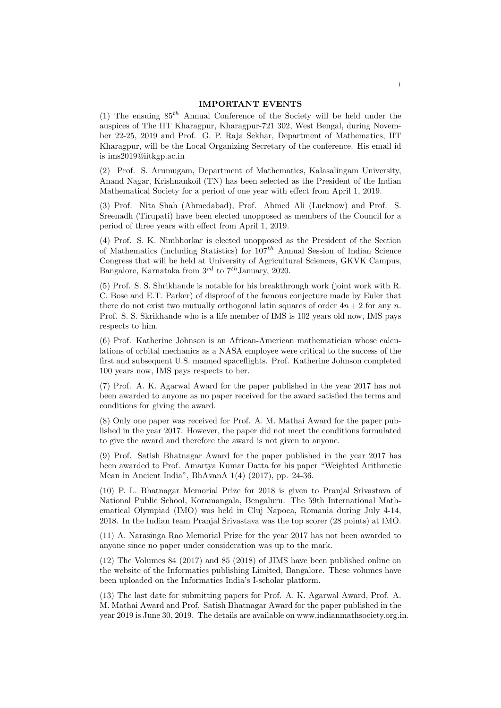#### IMPORTANT EVENTS

(1) The ensuing  $85<sup>th</sup>$  Annual Conference of the Society will be held under the auspices of The IIT Kharagpur, Kharagpur-721 302, West Bengal, during November 22-25, 2019 and Prof. G. P. Raja Sekhar, Department of Mathematics, IIT Kharagpur, will be the Local Organizing Secretary of the conference. His email id is ims2019@iitkgp.ac.in

(2) Prof. S. Arumugam, Department of Mathematics, Kalasalingam University, Anand Nagar, Krishnankoil (TN) has been selected as the President of the Indian Mathematical Society for a period of one year with effect from April 1, 2019.

(3) Prof. Nita Shah (Ahmedabad), Prof. Ahmed Ali (Lucknow) and Prof. S. Sreenadh (Tirupati) have been elected unopposed as members of the Council for a period of three years with effect from April 1, 2019.

(4) Prof. S. K. Nimbhorkar is elected unopposed as the President of the Section of Mathematics (including Statistics) for  $107<sup>th</sup>$  Annual Session of Indian Science Congress that will be held at University of Agricultural Sciences, GKVK Campus, Bangalore, Karnataka from  $3^{rd}$  to  $7^{th}$ January, 2020.

(5) Prof. S. S. Shrikhande is notable for his breakthrough work (joint work with R. C. Bose and E.T. Parker) of disproof of the famous conjecture made by Euler that there do not exist two mutually orthogonal latin squares of order  $4n + 2$  for any n. Prof. S. S. Skrikhande who is a life member of IMS is 102 years old now, IMS pays respects to him.

(6) Prof. Katherine Johnson is an African-American mathematician whose calculations of orbital mechanics as a NASA employee were critical to the success of the first and subsequent U.S. manned spaceflights. Prof. Katherine Johnson completed 100 years now, IMS pays respects to her.

(7) Prof. A. K. Agarwal Award for the paper published in the year 2017 has not been awarded to anyone as no paper received for the award satisfied the terms and conditions for giving the award.

(8) Only one paper was received for Prof. A. M. Mathai Award for the paper published in the year 2017. However, the paper did not meet the conditions formulated to give the award and therefore the award is not given to anyone.

(9) Prof. Satish Bhatnagar Award for the paper published in the year 2017 has been awarded to Prof. Amartya Kumar Datta for his paper "Weighted Arithmetic Mean in Ancient India", BhAvanA 1(4) (2017), pp. 24-36.

(10) P. L. Bhatnagar Memorial Prize for 2018 is given to Pranjal Srivastava of National Public School, Koramangala, Bengaluru. The 59th International Mathematical Olympiad (IMO) was held in Cluj Napoca, Romania during July 4-14, 2018. In the Indian team Pranjal Srivastava was the top scorer (28 points) at IMO.

(11) A. Narasinga Rao Memorial Prize for the year 2017 has not been awarded to anyone since no paper under consideration was up to the mark.

(12) The Volumes 84 (2017) and 85 (2018) of JIMS have been published online on the website of the Informatics publishing Limited, Bangalore. These volumes have been uploaded on the Informatics India's I-scholar platform.

(13) The last date for submitting papers for Prof. A. K. Agarwal Award, Prof. A. M. Mathai Award and Prof. Satish Bhatnagar Award for the paper published in the year 2019 is June 30, 2019. The details are available on www.indianmathsociety.org.in.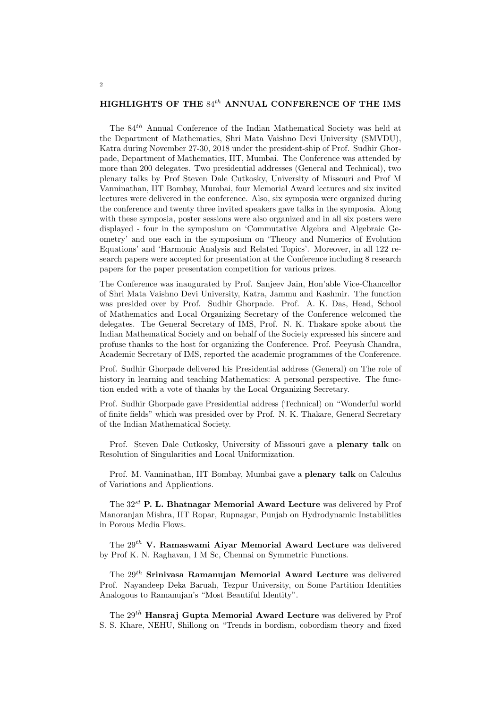## HIGHLIGHTS OF THE  $84^{th}$  ANNUAL CONFERENCE OF THE IMS

The 84th Annual Conference of the Indian Mathematical Society was held at the Department of Mathematics, Shri Mata Vaishno Devi University (SMVDU), Katra during November 27-30, 2018 under the president-ship of Prof. Sudhir Ghorpade, Department of Mathematics, IIT, Mumbai. The Conference was attended by more than 200 delegates. Two presidential addresses (General and Technical), two plenary talks by Prof Steven Dale Cutkosky, University of Missouri and Prof M Vanninathan, IIT Bombay, Mumbai, four Memorial Award lectures and six invited lectures were delivered in the conference. Also, six symposia were organized during the conference and twenty three invited speakers gave talks in the symposia. Along with these symposia, poster sessions were also organized and in all six posters were displayed - four in the symposium on 'Commutative Algebra and Algebraic Geometry' and one each in the symposium on 'Theory and Numerics of Evolution Equations' and 'Harmonic Analysis and Related Topics'. Moreover, in all 122 research papers were accepted for presentation at the Conference including 8 research papers for the paper presentation competition for various prizes.

The Conference was inaugurated by Prof. Sanjeev Jain, Hon'able Vice-Chancellor of Shri Mata Vaishno Devi University, Katra, Jammu and Kashmir. The function was presided over by Prof. Sudhir Ghorpade. Prof. A. K. Das, Head, School of Mathematics and Local Organizing Secretary of the Conference welcomed the delegates. The General Secretary of IMS, Prof. N. K. Thakare spoke about the Indian Mathematical Society and on behalf of the Society expressed his sincere and profuse thanks to the host for organizing the Conference. Prof. Peeyush Chandra, Academic Secretary of IMS, reported the academic programmes of the Conference.

Prof. Sudhir Ghorpade delivered his Presidential address (General) on The role of history in learning and teaching Mathematics: A personal perspective. The function ended with a vote of thanks by the Local Organizing Secretary.

Prof. Sudhir Ghorpade gave Presidential address (Technical) on "Wonderful world of finite fields" which was presided over by Prof. N. K. Thakare, General Secretary of the Indian Mathematical Society.

Prof. Steven Dale Cutkosky, University of Missouri gave a plenary talk on Resolution of Singularities and Local Uniformization.

Prof. M. Vanninathan, IIT Bombay, Mumbai gave a plenary talk on Calculus of Variations and Applications.

The  $32^{st}$  P. L. Bhatnagar Memorial Award Lecture was delivered by Prof Manoranjan Mishra, IIT Ropar, Rupnagar, Punjab on Hydrodynamic Instabilities in Porous Media Flows.

The  $29^{th}$  V. Ramaswami Aiyar Memorial Award Lecture was delivered by Prof K. N. Raghavan, I M Sc, Chennai on Symmetric Functions.

The  $29<sup>th</sup>$  Srinivasa Ramanujan Memorial Award Lecture was delivered Prof. Nayandeep Deka Baruah, Tezpur University, on Some Partition Identities Analogous to Ramanujan's "Most Beautiful Identity".

The 29th Hansraj Gupta Memorial Award Lecture was delivered by Prof S. S. Khare, NEHU, Shillong on "Trends in bordism, cobordism theory and fixed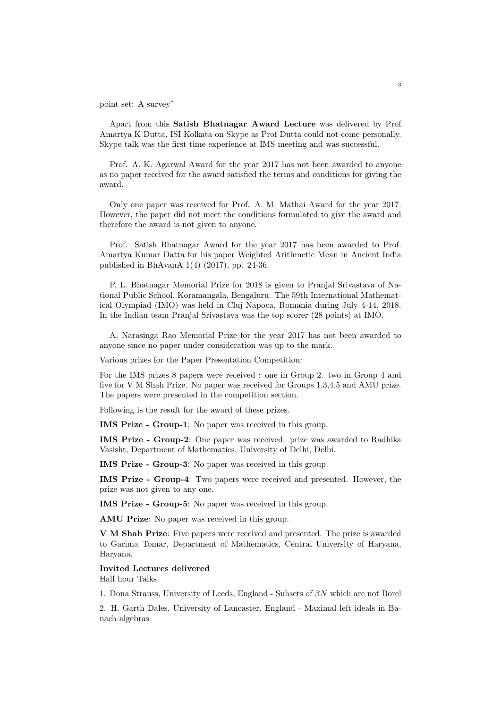point set: A survey"

Apart from this Satish Bhatnagar Award Lecture was delivered by Prof Amartya K Dutta, ISI Kolkata on Skype as Prof Dutta could not come personally. Skype talk was the first time experience at IMS meeting and was successful.

Prof. A. K. Agarwal Award for the year 2017 has not been awarded to anyone as no paper received for the award satisfied the terms and conditions for giving the award.

Only one paper was received for Prof. A. M. Mathai Award for the year 2017. However, the paper did not meet the conditions formulated to give the award and therefore the award is not given to anyone.

Prof. Satish Bhatnagar Award for the year 2017 has been awarded to Prof. Amartya Kumar Datta for his paper Weighted Arithmetic Mean in Ancient India published in BhAvanA 1(4) (2017), pp. 24-36.

P. L. Bhatnagar Memorial Prize for 2018 is given to Pranjal Srivastava of National Public School, Koramangala, Bengaluru. The 59th International Mathematical Olympiad (IMO) was held in Cluj Napoca, Romania during July 4-14, 2018. In the Indian team Pranjal Srivastava was the top scorer (28 points) at IMO.

A. Narasinga Rao Memorial Prize for the year 2017 has not been awarded to anyone since no paper under consideration was up to the mark.

Various prizes for the Paper Presentation Competition:

For the IMS prizes 8 papers were received : one in Group 2. two in Group 4 and five for V M Shah Prize. No paper was received for Groups 1,3,4,5 and AMU prize. The papers were presented in the competition section.

Following is the result for the award of these prizes.

IMS Prize - Group-1: No paper was received in this group.

IMS Prize - Group-2: One paper was received. prize was awarded to Radhika Vasisht, Department of Mathematics, University of Delhi, Delhi.

IMS Prize - Group-3: No paper was received in this group.

IMS Prize - Group-4: Two papers were received and presented. However, the prize was not given to any one.

IMS Prize - Group-5: No paper was received in this group.

AMU Prize: No paper was received in this group.

V M Shah Prize: Five papers were received and presented. The prize is awarded to Garima Tomar, Department of Mathematics, Central University of Haryana, Haryana.

## Invited Lectures delivered

Half hour Talks

1. Dona Strauss, University of Leeds, England - Subsets of  $\beta N$  which are not Borel

2. H. Garth Dales, University of Lancaster, England - Maximal left ideals in Banach algebras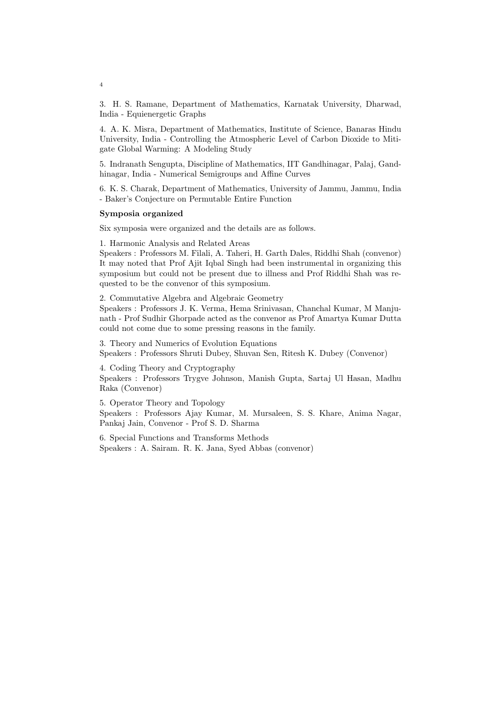3. H. S. Ramane, Department of Mathematics, Karnatak University, Dharwad, India - Equienergetic Graphs

4. A. K. Misra, Department of Mathematics, Institute of Science, Banaras Hindu University, India - Controlling the Atmospheric Level of Carbon Dioxide to Mitigate Global Warming: A Modeling Study

5. Indranath Sengupta, Discipline of Mathematics, IIT Gandhinagar, Palaj, Gandhinagar, India - Numerical Semigroups and Affine Curves

6. K. S. Charak, Department of Mathematics, University of Jammu, Jammu, India - Baker's Conjecture on Permutable Entire Function

#### Symposia organized

Six symposia were organized and the details are as follows.

1. Harmonic Analysis and Related Areas

Speakers : Professors M. Filali, A. Taheri, H. Garth Dales, Riddhi Shah (convenor) It may noted that Prof Ajit Iqbal Singh had been instrumental in organizing this symposium but could not be present due to illness and Prof Riddhi Shah was requested to be the convenor of this symposium.

2. Commutative Algebra and Algebraic Geometry Speakers : Professors J. K. Verma, Hema Srinivasan, Chanchal Kumar, M Manjunath - Prof Sudhir Ghorpade acted as the convenor as Prof Amartya Kumar Dutta could not come due to some pressing reasons in the family.

3. Theory and Numerics of Evolution Equations Speakers : Professors Shruti Dubey, Shuvan Sen, Ritesh K. Dubey (Convenor)

4. Coding Theory and Cryptography

Speakers : Professors Trygve Johnson, Manish Gupta, Sartaj Ul Hasan, Madhu Raka (Convenor)

5. Operator Theory and Topology Speakers : Professors Ajay Kumar, M. Mursaleen, S. S. Khare, Anima Nagar, Pankaj Jain, Convenor - Prof S. D. Sharma

6. Special Functions and Transforms Methods Speakers : A. Sairam. R. K. Jana, Syed Abbas (convenor)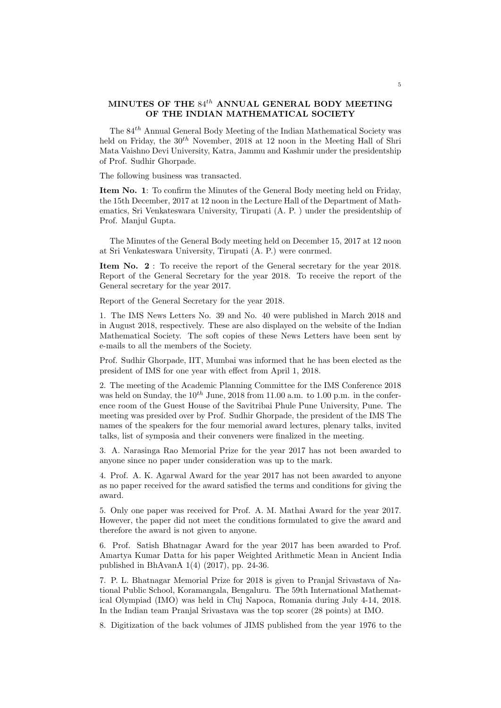## MINUTES OF THE  $84^{th}$  ANNUAL GENERAL BODY MEETING OF THE INDIAN MATHEMATICAL SOCIETY

The  $84<sup>th</sup>$  Annual General Body Meeting of the Indian Mathematical Society was held on Friday, the  $30<sup>th</sup>$  November, 2018 at 12 noon in the Meeting Hall of Shri Mata Vaishno Devi University, Katra, Jammu and Kashmir under the presidentship of Prof. Sudhir Ghorpade.

The following business was transacted.

Item No. 1: To confirm the Minutes of the General Body meeting held on Friday, the 15th December, 2017 at 12 noon in the Lecture Hall of the Department of Mathematics, Sri Venkateswara University, Tirupati (A. P. ) under the presidentship of Prof. Manjul Gupta.

The Minutes of the General Body meeting held on December 15, 2017 at 12 noon at Sri Venkateswara University, Tirupati (A. P.) were conrmed.

Item No. 2 : To receive the report of the General secretary for the year 2018. Report of the General Secretary for the year 2018. To receive the report of the General secretary for the year 2017.

Report of the General Secretary for the year 2018.

1. The IMS News Letters No. 39 and No. 40 were published in March 2018 and in August 2018, respectively. These are also displayed on the website of the Indian Mathematical Society. The soft copies of these News Letters have been sent by e-mails to all the members of the Society.

Prof. Sudhir Ghorpade, IIT, Mumbai was informed that he has been elected as the president of IMS for one year with effect from April 1, 2018.

2. The meeting of the Academic Planning Committee for the IMS Conference 2018 was held on Sunday, the  $10^{th}$  June, 2018 from 11.00 a.m. to 1.00 p.m. in the conference room of the Guest House of the Savitribai Phule Pune University, Pune. The meeting was presided over by Prof. Sudhir Ghorpade, the president of the IMS The names of the speakers for the four memorial award lectures, plenary talks, invited talks, list of symposia and their conveners were finalized in the meeting.

3. A. Narasinga Rao Memorial Prize for the year 2017 has not been awarded to anyone since no paper under consideration was up to the mark.

4. Prof. A. K. Agarwal Award for the year 2017 has not been awarded to anyone as no paper received for the award satisfied the terms and conditions for giving the award.

5. Only one paper was received for Prof. A. M. Mathai Award for the year 2017. However, the paper did not meet the conditions formulated to give the award and therefore the award is not given to anyone.

6. Prof. Satish Bhatnagar Award for the year 2017 has been awarded to Prof. Amartya Kumar Datta for his paper Weighted Arithmetic Mean in Ancient India published in BhAvanA 1(4) (2017), pp. 24-36.

7. P. L. Bhatnagar Memorial Prize for 2018 is given to Pranjal Srivastava of National Public School, Koramangala, Bengaluru. The 59th International Mathematical Olympiad (IMO) was held in Cluj Napoca, Romania during July 4-14, 2018. In the Indian team Pranjal Srivastava was the top scorer (28 points) at IMO.

8. Digitization of the back volumes of JIMS published from the year 1976 to the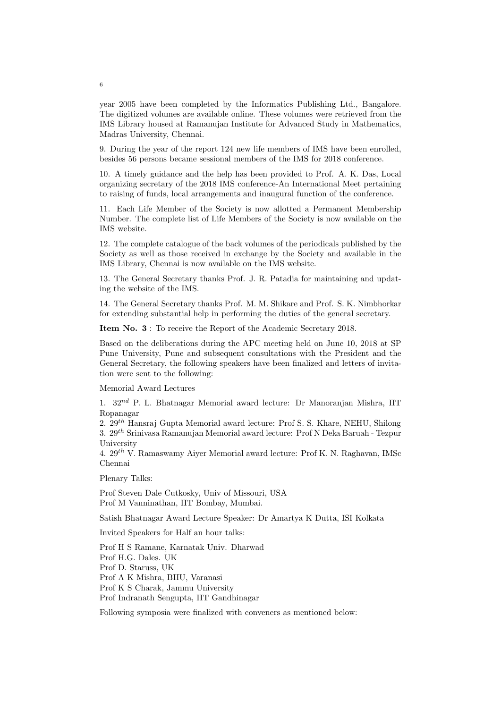year 2005 have been completed by the Informatics Publishing Ltd., Bangalore. The digitized volumes are available online. These volumes were retrieved from the IMS Library housed at Ramanujan Institute for Advanced Study in Mathematics, Madras University, Chennai.

9. During the year of the report 124 new life members of IMS have been enrolled, besides 56 persons became sessional members of the IMS for 2018 conference.

10. A timely guidance and the help has been provided to Prof. A. K. Das, Local organizing secretary of the 2018 IMS conference-An International Meet pertaining to raising of funds, local arrangements and inaugural function of the conference.

11. Each Life Member of the Society is now allotted a Permanent Membership Number. The complete list of Life Members of the Society is now available on the IMS website.

12. The complete catalogue of the back volumes of the periodicals published by the Society as well as those received in exchange by the Society and available in the IMS Library, Chennai is now available on the IMS website.

13. The General Secretary thanks Prof. J. R. Patadia for maintaining and updating the website of the IMS.

14. The General Secretary thanks Prof. M. M. Shikare and Prof. S. K. Nimbhorkar for extending substantial help in performing the duties of the general secretary.

Item No. 3 : To receive the Report of the Academic Secretary 2018.

Based on the deliberations during the APC meeting held on June 10, 2018 at SP Pune University, Pune and subsequent consultations with the President and the General Secretary, the following speakers have been finalized and letters of invitation were sent to the following:

#### Memorial Award Lectures

1.  $32^{nd}$  P. L. Bhatnagar Memorial award lecture: Dr Manoranjan Mishra, IIT Ropanagar

2.  $29<sup>th</sup>$  Hansraj Gupta Memorial award lecture: Prof S. S. Khare, NEHU, Shilong 3.  $29^{th}$  Srinivasa Ramanujan Memorial award lecture: Prof N Deka Baruah - Tezpur University

4.  $29^{th}$  V. Ramaswamy Aiyer Memorial award lecture: Prof K. N. Raghavan, IMSc Chennai

Plenary Talks:

Prof Steven Dale Cutkosky, Univ of Missouri, USA Prof M Vanninathan, IIT Bombay, Mumbai.

Satish Bhatnagar Award Lecture Speaker: Dr Amartya K Dutta, ISI Kolkata

Invited Speakers for Half an hour talks:

Prof H S Ramane, Karnatak Univ. Dharwad Prof H.G. Dales. UK Prof D. Staruss, UK Prof A K Mishra, BHU, Varanasi Prof K S Charak, Jammu University Prof Indranath Sengupta, IIT Gandhinagar

Following symposia were finalized with conveners as mentioned below: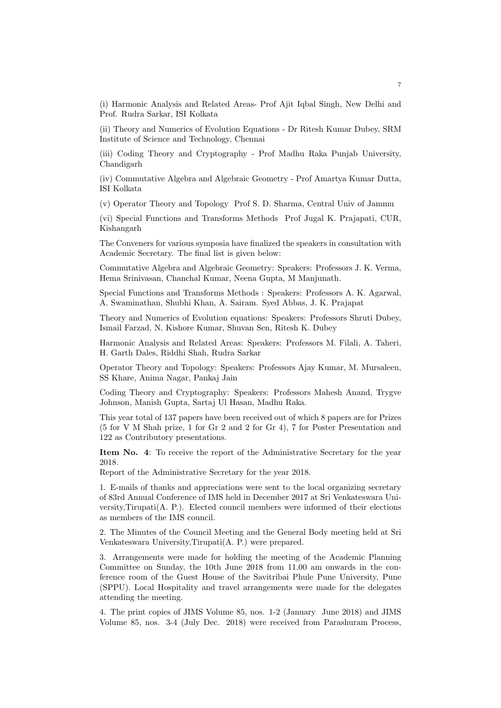(i) Harmonic Analysis and Related Areas- Prof Ajit Iqbal Singh, New Delhi and Prof. Rudra Sarkar, ISI Kolkata

(ii) Theory and Numerics of Evolution Equations - Dr Ritesh Kumar Dubey, SRM Institute of Science and Technology, Chennai

(iii) Coding Theory and Cryptography - Prof Madhu Raka Punjab University, Chandigarh

(iv) Commutative Algebra and Algebraic Geometry - Prof Amartya Kumar Dutta, ISI Kolkata

(v) Operator Theory and Topology Prof S. D. Sharma, Central Univ of Jammu

(vi) Special Functions and Transforms Methods Prof Jugal K. Prajapati, CUR, Kishangarh

The Conveners for various symposia have finalized the speakers in consultation with Academic Secretary. The final list is given below:

Commutative Algebra and Algebraic Geometry: Speakers: Professors J. K. Verma, Hema Srinivasan, Chanchal Kumar, Neena Gupta, M Manjunath.

Special Functions and Transforms Methods : Speakers: Professors A. K. Agarwal, A. Swaminathan, Shubhi Khan, A. Sairam. Syed Abbas, J. K. Prajapat

Theory and Numerics of Evolution equations: Speakers: Professors Shruti Dubey, Ismail Farzad, N. Kishore Kumar, Shuvan Sen, Ritesh K. Dubey

Harmonic Analysis and Related Areas: Speakers: Professors M. Filali, A. Taheri, H. Garth Dales, Riddhi Shah, Rudra Sarkar

Operator Theory and Topology: Speakers: Professors Ajay Kumar, M. Mursaleen, SS Khare, Anima Nagar, Pankaj Jain

Coding Theory and Cryptography: Speakers: Professors Mahesh Anand, Trygve Johnson, Manish Gupta, Sartaj Ul Hasan, Madhu Raka.

This year total of 137 papers have been received out of which 8 papers are for Prizes (5 for V M Shah prize, 1 for Gr 2 and 2 for Gr 4), 7 for Poster Presentation and 122 as Contributory presentations.

Item No. 4: To receive the report of the Administrative Secretary for the year 2018.

Report of the Administrative Secretary for the year 2018.

1. E-mails of thanks and appreciations were sent to the local organizing secretary of 83rd Annual Conference of IMS held in December 2017 at Sri Venkateswara University,Tirupati(A. P.). Elected council members were informed of their elections as members of the IMS council.

2. The Minutes of the Council Meeting and the General Body meeting held at Sri Venkateswara University,Tirupati(A. P.) were prepared.

3. Arrangements were made for holding the meeting of the Academic Planning Committee on Sunday, the 10th June 2018 from 11.00 am onwards in the conference room of the Guest House of the Savitribai Phule Pune University, Pune (SPPU). Local Hospitality and travel arrangements were made for the delegates attending the meeting.

4. The print copies of JIMS Volume 85, nos. 1-2 (January June 2018) and JIMS Volume 85, nos. 3-4 (July Dec. 2018) were received from Parashuram Process,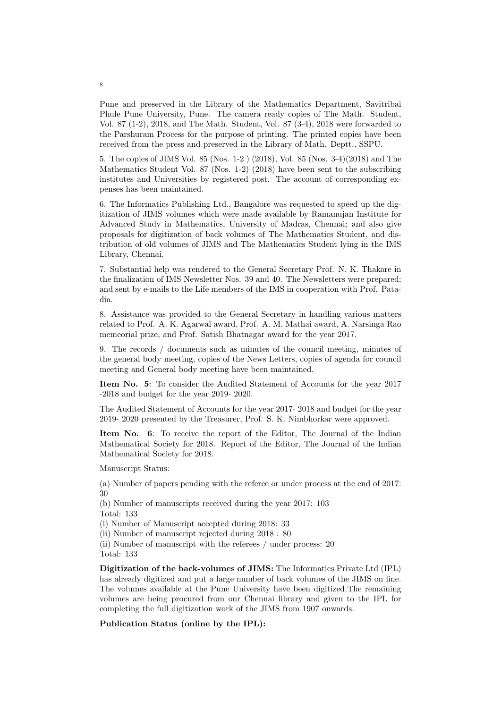Pune and preserved in the Library of the Mathematics Department, Savitribai Phule Pune University, Pune. The camera ready copies of The Math. Student, Vol. 87 (1-2), 2018, and The Math. Student, Vol. 87 (3-4), 2018 were forwarded to the Parshuram Process for the purpose of printing. The printed copies have been received from the press and preserved in the Library of Math. Deptt., SSPU.

5. The copies of JIMS Vol. 85 (Nos. 1-2 ) (2018), Vol. 85 (Nos. 3-4)(2018) and The Mathematics Student Vol. 87 (Nos. 1-2) (2018) have been sent to the subscribing institutes and Universities by registered post. The account of corresponding expenses has been maintained.

6. The Informatics Publishing Ltd., Bangalore was requested to speed up the digitization of JIMS volumes which were made available by Ramanujan Institute for Advanced Study in Mathematics, University of Madras, Chennai; and also give proposals for digitization of back volumes of The Mathematics Student, and distribution of old volumes of JIMS and The Mathematics Student lying in the IMS Library, Chennai.

7. Substantial help was rendered to the General Secretary Prof. N. K. Thakare in the finalization of IMS Newsletter Nos. 39 and 40. The Newsletters were prepared; and sent by e-mails to the Life members of the IMS in cooperation with Prof. Patadia.

8. Assistance was provided to the General Secretary in handling various matters related to Prof. A. K. Agarwal award, Prof. A. M. Mathai award, A. Narsinga Rao memeorial prize, and Prof. Satish Bhatnagar award for the year 2017.

9. The records / documents such as minutes of the council meeting, minutes of the general body meeting, copies of the News Letters, copies of agenda for council meeting and General body meeting have been maintained.

Item No. 5: To consider the Audited Statement of Accounts for the year 2017 -2018 and budget for the year 2019- 2020.

The Audited Statement of Accounts for the year 2017- 2018 and budget for the year 2019- 2020 presented by the Treasurer, Prof. S. K. Nimbhorkar were approved.

Item No. 6: To receive the report of the Editor, The Journal of the Indian Mathematical Society for 2018. Report of the Editor, The Journal of the Indian Mathematical Society for 2018.

Manuscript Status:

(a) Number of papers pending with the referee or under process at the end of 2017: 30

(b) Number of manuscripts received during the year 2017: 103 Total: 133

(i) Number of Manuscript accepted during 2018: 33

(ii) Number of manuscript rejected during 2018 : 80

(ii) Number of manuscript with the referees / under process: 20 Total: 133

Digitization of the back-volumes of JIMS: The Informatics Private Ltd (IPL) has already digitized and put a large number of back volumes of the JIMS on line. The volumes available at the Pune University have been digitized.The remaining volumes are being procured from our Chennai library and given to the IPL for completing the full digitization work of the JIMS from 1907 onwards.

Publication Status (online by the IPL):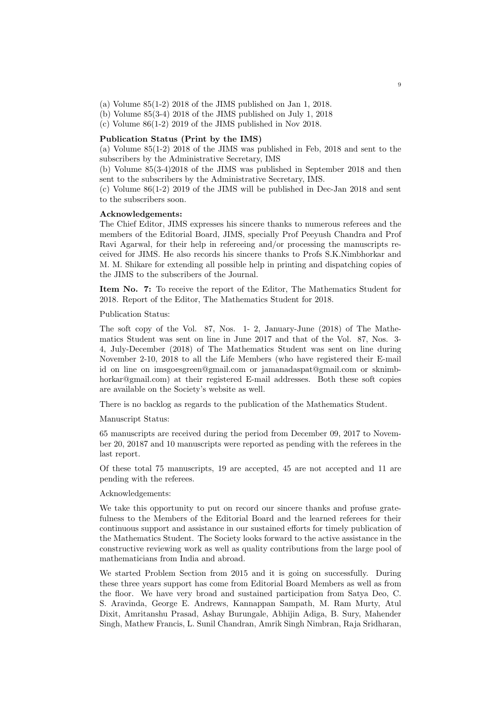- (a) Volume  $85(1-2)$  2018 of the JIMS published on Jan 1, 2018.
- (b) Volume  $85(3-4)$  2018 of the JIMS published on July 1, 2018
- (c) Volume 86(1-2) 2019 of the JIMS published in Nov 2018.

#### Publication Status (Print by the IMS)

(a) Volume 85(1-2) 2018 of the JIMS was published in Feb, 2018 and sent to the subscribers by the Administrative Secretary, IMS

(b) Volume 85(3-4)2018 of the JIMS was published in September 2018 and then sent to the subscribers by the Administrative Secretary, IMS.

(c) Volume 86(1-2) 2019 of the JIMS will be published in Dec-Jan 2018 and sent to the subscribers soon.

#### Acknowledgements:

The Chief Editor, JIMS expresses his sincere thanks to numerous referees and the members of the Editorial Board, JIMS, specially Prof Peeyush Chandra and Prof Ravi Agarwal, for their help in refereeing and/or processing the manuscripts received for JIMS. He also records his sincere thanks to Profs S.K.Nimbhorkar and M. M. Shikare for extending all possible help in printing and dispatching copies of the JIMS to the subscribers of the Journal.

Item No. 7: To receive the report of the Editor, The Mathematics Student for 2018. Report of the Editor, The Mathematics Student for 2018.

Publication Status:

The soft copy of the Vol. 87, Nos. 1- 2, January-June (2018) of The Mathematics Student was sent on line in June 2017 and that of the Vol. 87, Nos. 3- 4, July-December (2018) of The Mathematics Student was sent on line during November 2-10, 2018 to all the Life Members (who have registered their E-mail id on line on imsgoesgreen@gmail.com or jamanadaspat@gmail.com or sknimbhorkar@gmail.com) at their registered E-mail addresses. Both these soft copies are available on the Society's website as well.

There is no backlog as regards to the publication of the Mathematics Student.

#### Manuscript Status:

65 manuscripts are received during the period from December 09, 2017 to November 20, 20187 and 10 manuscripts were reported as pending with the referees in the last report.

Of these total 75 manuscripts, 19 are accepted, 45 are not accepted and 11 are pending with the referees.

#### Acknowledgements:

We take this opportunity to put on record our sincere thanks and profuse gratefulness to the Members of the Editorial Board and the learned referees for their continuous support and assistance in our sustained efforts for timely publication of the Mathematics Student. The Society looks forward to the active assistance in the constructive reviewing work as well as quality contributions from the large pool of mathematicians from India and abroad.

We started Problem Section from 2015 and it is going on successfully. During these three years support has come from Editorial Board Members as well as from the floor. We have very broad and sustained participation from Satya Deo, C. S. Aravinda, George E. Andrews, Kannappan Sampath, M. Ram Murty, Atul Dixit, Amritanshu Prasad, Ashay Burungale, Abhijin Adiga, B. Sury, Mahender Singh, Mathew Francis, L. Sunil Chandran, Amrik Singh Nimbran, Raja Sridharan,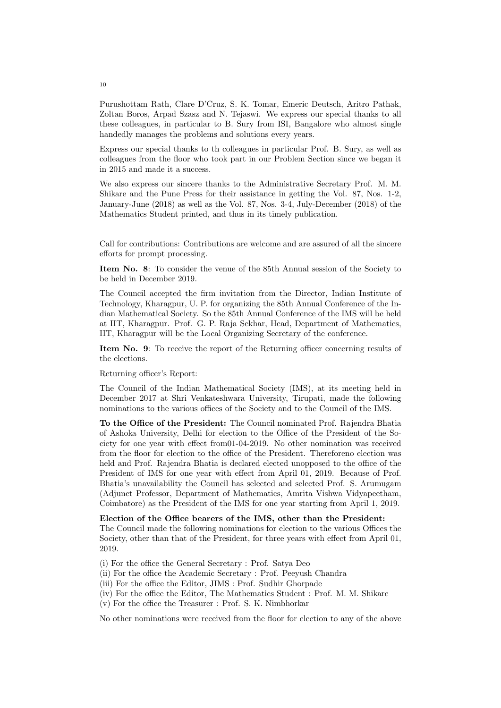Purushottam Rath, Clare D'Cruz, S. K. Tomar, Emeric Deutsch, Aritro Pathak, Zoltan Boros, Arpad Szasz and N. Tejaswi. We express our special thanks to all these colleagues, in particular to B. Sury from ISI, Bangalore who almost single handedly manages the problems and solutions every years.

Express our special thanks to th colleagues in particular Prof. B. Sury, as well as colleagues from the floor who took part in our Problem Section since we began it in 2015 and made it a success.

We also express our sincere thanks to the Administrative Secretary Prof. M. M. Shikare and the Pune Press for their assistance in getting the Vol. 87, Nos. 1-2, January-June (2018) as well as the Vol. 87, Nos. 3-4, July-December (2018) of the Mathematics Student printed, and thus in its timely publication.

Call for contributions: Contributions are welcome and are assured of all the sincere efforts for prompt processing.

Item No. 8: To consider the venue of the 85th Annual session of the Society to be held in December 2019.

The Council accepted the firm invitation from the Director, Indian Institute of Technology, Kharagpur, U. P. for organizing the 85th Annual Conference of the Indian Mathematical Society. So the 85th Annual Conference of the IMS will be held at IIT, Kharagpur. Prof. G. P. Raja Sekhar, Head, Department of Mathematics, IIT, Kharagpur will be the Local Organizing Secretary of the conference.

Item No. 9: To receive the report of the Returning officer concerning results of the elections.

Returning officer's Report:

The Council of the Indian Mathematical Society (IMS), at its meeting held in December 2017 at Shri Venkateshwara University, Tirupati, made the following nominations to the various offices of the Society and to the Council of the IMS.

To the Office of the President: The Council nominated Prof. Rajendra Bhatia of Ashoka University, Delhi for election to the Office of the President of the Society for one year with effect from01-04-2019. No other nomination was received from the floor for election to the office of the President. Thereforeno election was held and Prof. Rajendra Bhatia is declared elected unopposed to the office of the President of IMS for one year with effect from April 01, 2019. Because of Prof. Bhatia's unavailability the Council has selected and selected Prof. S. Arumugam (Adjunct Professor, Department of Mathematics, Amrita Vishwa Vidyapeetham, Coimbatore) as the President of the IMS for one year starting from April 1, 2019.

Election of the Office bearers of the IMS, other than the President:

The Council made the following nominations for election to the various Offices the Society, other than that of the President, for three years with effect from April 01, 2019.

(i) For the office the General Secretary : Prof. Satya Deo

- (ii) For the office the Academic Secretary : Prof. Peeyush Chandra
- (iii) For the office the Editor, JIMS : Prof. Sudhir Ghorpade
- (iv) For the office the Editor, The Mathematics Student : Prof. M. M. Shikare
- (v) For the office the Treasurer : Prof. S. K. Nimbhorkar

No other nominations were received from the floor for election to any of the above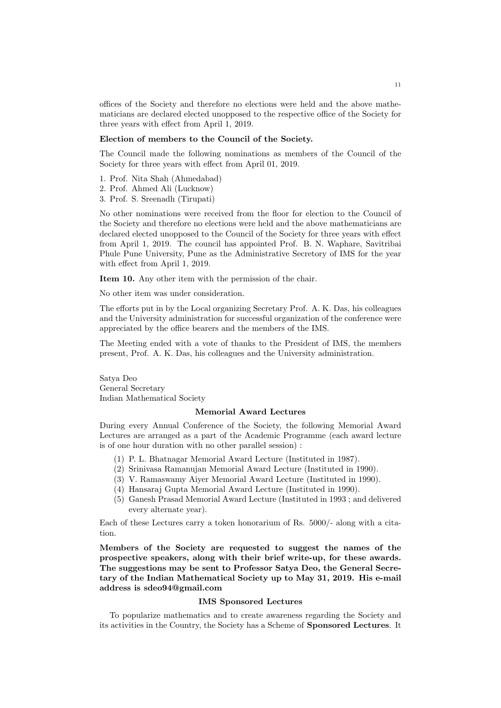offices of the Society and therefore no elections were held and the above mathematicians are declared elected unopposed to the respective office of the Society for three years with effect from April 1, 2019.

#### Election of members to the Council of the Society.

The Council made the following nominations as members of the Council of the Society for three years with effect from April 01, 2019.

- 1. Prof. Nita Shah (Ahmedabad)
- 2. Prof. Ahmed Ali (Lucknow)
- 3. Prof. S. Sreenadh (Tirupati)

No other nominations were received from the floor for election to the Council of the Society and therefore no elections were held and the above mathematicians are declared elected unopposed to the Council of the Society for three years with effect from April 1, 2019. The council has appointed Prof. B. N. Waphare, Savitribai Phule Pune University, Pune as the Administrative Secretory of IMS for the year with effect from April 1, 2019.

Item 10. Any other item with the permission of the chair.

No other item was under consideration.

The efforts put in by the Local organizing Secretary Prof. A. K. Das, his colleagues and the University administration for successful organization of the conference were appreciated by the office bearers and the members of the IMS.

The Meeting ended with a vote of thanks to the President of IMS, the members present, Prof. A. K. Das, his colleagues and the University administration.

Satya Deo General Secretary Indian Mathematical Society

#### Memorial Award Lectures

During every Annual Conference of the Society, the following Memorial Award Lectures are arranged as a part of the Academic Programme (each award lecture is of one hour duration with no other parallel session) :

- (1) P. L. Bhatnagar Memorial Award Lecture (Instituted in 1987).
- (2) Srinivasa Ramanujan Memorial Award Lecture (Instituted in 1990).
- (3) V. Ramaswamy Aiyer Memorial Award Lecture (Instituted in 1990).
- (4) Hansaraj Gupta Memorial Award Lecture (Instituted in 1990).
- (5) Ganesh Prasad Memorial Award Lecture (Instituted in 1993 ; and delivered every alternate year).

Each of these Lectures carry a token honorarium of Rs. 5000/- along with a citation.

Members of the Society are requested to suggest the names of the prospective speakers, along with their brief write-up, for these awards. The suggestions may be sent to Professor Satya Deo, the General Secretary of the Indian Mathematical Society up to May 31, 2019. His e-mail address is sdeo94@gmail.com

#### IMS Sponsored Lectures

To popularize mathematics and to create awareness regarding the Society and its activities in the Country, the Society has a Scheme of Sponsored Lectures. It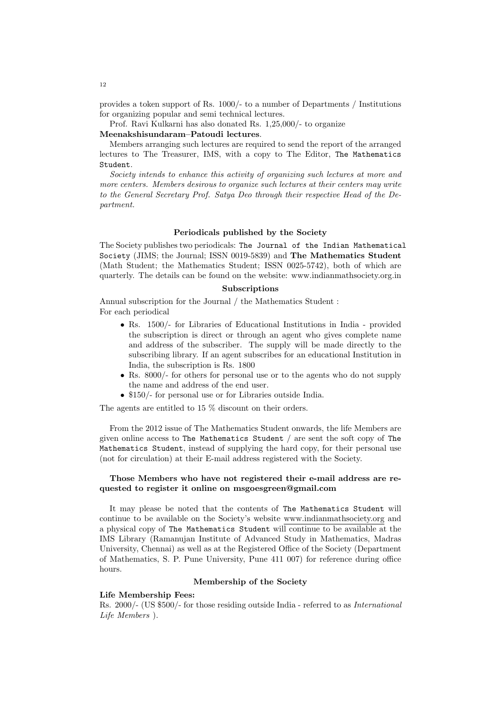provides a token support of Rs. 1000/- to a number of Departments / Institutions for organizing popular and semi technical lectures.

Prof. Ravi Kulkarni has also donated Rs. 1,25,000/- to organize

#### Meenakshisundaram–Patoudi lectures.

Members arranging such lectures are required to send the report of the arranged lectures to The Treasurer, IMS, with a copy to The Editor, The Mathematics Student.

Society intends to enhance this activity of organizing such lectures at more and more centers. Members desirous to organize such lectures at their centers may write to the General Secretary Prof. Satya Deo through their respective Head of the Department.

#### Periodicals published by the Society

The Society publishes two periodicals: The Journal of the Indian Mathematical Society (JIMS; the Journal; ISSN 0019-5839) and The Mathematics Student (Math Student; the Mathematics Student; ISSN 0025-5742), both of which are quarterly. The details can be found on the website: www.indianmathsociety.org.in

#### Subscriptions

Annual subscription for the Journal / the Mathematics Student : For each periodical

- Rs. 1500/- for Libraries of Educational Institutions in India provided the subscription is direct or through an agent who gives complete name and address of the subscriber. The supply will be made directly to the subscribing library. If an agent subscribes for an educational Institution in India, the subscription is Rs. 1800
- Rs. 8000/- for others for personal use or to the agents who do not supply the name and address of the end user.
- \$150/- for personal use or for Libraries outside India.

The agents are entitled to 15 % discount on their orders.

From the 2012 issue of The Mathematics Student onwards, the life Members are given online access to The Mathematics Student / are sent the soft copy of The Mathematics Student, instead of supplying the hard copy, for their personal use (not for circulation) at their E-mail address registered with the Society.

## Those Members who have not registered their e-mail address are requested to register it online on msgoesgreen@gmail.com

It may please be noted that the contents of The Mathematics Student will continue to be available on the Society's website www.indianmathsociety.org and a physical copy of The Mathematics Student will continue to be available at the IMS Library (Ramanujan Institute of Advanced Study in Mathematics, Madras University, Chennai) as well as at the Registered Office of the Society (Department of Mathematics, S. P. Pune University, Pune 411 007) for reference during office hours.

#### Membership of the Society

#### Life Membership Fees:

Rs. 2000/- (US \$500/- for those residing outside India - referred to as International Life Members ).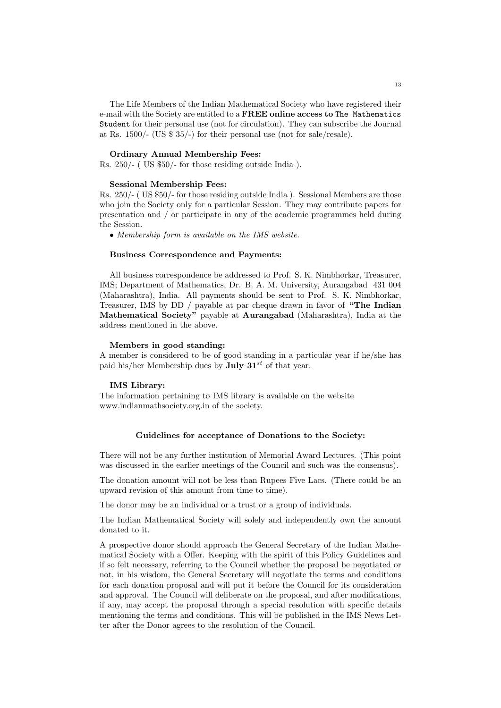The Life Members of the Indian Mathematical Society who have registered their e-mail with the Society are entitled to a FREE online access to The Mathematics Student for their personal use (not for circulation). They can subscribe the Journal at Rs. 1500/- (US \$ 35/-) for their personal use (not for sale/resale).

#### Ordinary Annual Membership Fees:

Rs. 250/- ( US \$50/- for those residing outside India ).

#### Sessional Membership Fees:

Rs. 250/- ( US \$50/- for those residing outside India ). Sessional Members are those who join the Society only for a particular Session. They may contribute papers for presentation and / or participate in any of the academic programmes held during the Session.

• Membership form is available on the IMS website.

#### Business Correspondence and Payments:

All business correspondence be addressed to Prof. S. K. Nimbhorkar, Treasurer, IMS; Department of Mathematics, Dr. B. A. M. University, Aurangabad 431 004 (Maharashtra), India. All payments should be sent to Prof. S. K. Nimbhorkar, Treasurer, IMS by DD / payable at par cheque drawn in favor of "The Indian Mathematical Society" payable at Aurangabad (Maharashtra), India at the address mentioned in the above.

### Members in good standing:

A member is considered to be of good standing in a particular year if he/she has paid his/her Membership dues by **July 31**<sup>st</sup> of that year.

#### IMS Library:

The information pertaining to IMS library is available on the website www.indianmathsociety.org.in of the society.

#### Guidelines for acceptance of Donations to the Society:

There will not be any further institution of Memorial Award Lectures. (This point was discussed in the earlier meetings of the Council and such was the consensus).

The donation amount will not be less than Rupees Five Lacs. (There could be an upward revision of this amount from time to time).

The donor may be an individual or a trust or a group of individuals.

The Indian Mathematical Society will solely and independently own the amount donated to it.

A prospective donor should approach the General Secretary of the Indian Mathematical Society with a Offer. Keeping with the spirit of this Policy Guidelines and if so felt necessary, referring to the Council whether the proposal be negotiated or not, in his wisdom, the General Secretary will negotiate the terms and conditions for each donation proposal and will put it before the Council for its consideration and approval. The Council will deliberate on the proposal, and after modifications, if any, may accept the proposal through a special resolution with specific details mentioning the terms and conditions. This will be published in the IMS News Letter after the Donor agrees to the resolution of the Council.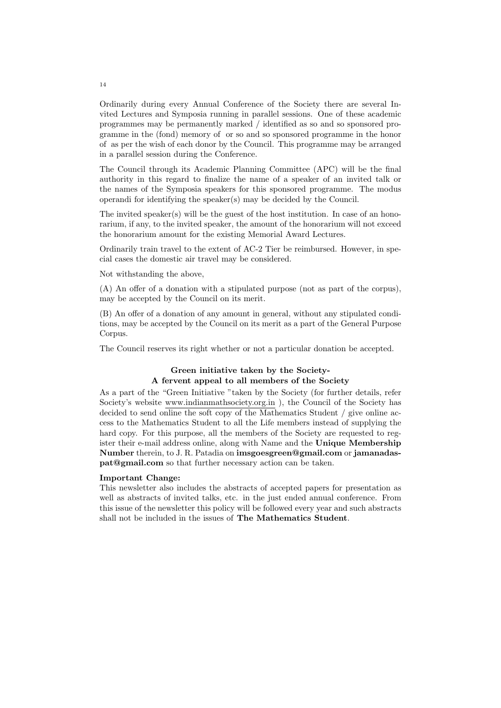Ordinarily during every Annual Conference of the Society there are several Invited Lectures and Symposia running in parallel sessions. One of these academic programmes may be permanently marked / identified as so and so sponsored programme in the (fond) memory of or so and so sponsored programme in the honor of as per the wish of each donor by the Council. This programme may be arranged in a parallel session during the Conference.

The Council through its Academic Planning Committee (APC) will be the final authority in this regard to finalize the name of a speaker of an invited talk or the names of the Symposia speakers for this sponsored programme. The modus operandi for identifying the speaker(s) may be decided by the Council.

The invited speaker(s) will be the guest of the host institution. In case of an honorarium, if any, to the invited speaker, the amount of the honorarium will not exceed the honorarium amount for the existing Memorial Award Lectures.

Ordinarily train travel to the extent of AC-2 Tier be reimbursed. However, in special cases the domestic air travel may be considered.

Not withstanding the above,

(A) An offer of a donation with a stipulated purpose (not as part of the corpus), may be accepted by the Council on its merit.

(B) An offer of a donation of any amount in general, without any stipulated conditions, may be accepted by the Council on its merit as a part of the General Purpose Corpus.

The Council reserves its right whether or not a particular donation be accepted.

## Green initiative taken by the Society-A fervent appeal to all members of the Society

As a part of the "Green Initiative "taken by the Society (for further details, refer Society's website www.indianmathsociety.org.in ), the Council of the Society has decided to send online the soft copy of the Mathematics Student / give online access to the Mathematics Student to all the Life members instead of supplying the hard copy. For this purpose, all the members of the Society are requested to register their e-mail address online, along with Name and the Unique Membership Number therein, to J. R. Patadia on imsgoesgreen@gmail.com or jamanadaspat@gmail.com so that further necessary action can be taken.

#### Important Change:

This newsletter also includes the abstracts of accepted papers for presentation as well as abstracts of invited talks, etc. in the just ended annual conference. From this issue of the newsletter this policy will be followed every year and such abstracts shall not be included in the issues of The Mathematics Student.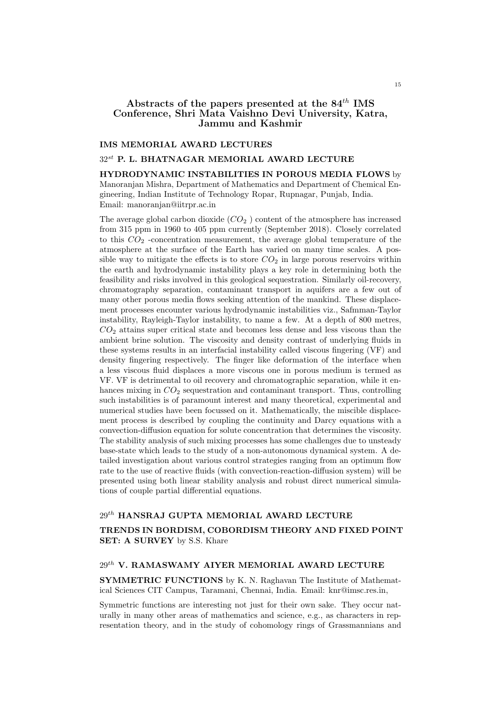# Abstracts of the papers presented at the  $84^{th}$  IMS Conference, Shri Mata Vaishno Devi University, Katra, Jammu and Kashmir

#### IMS MEMORIAL AWARD LECTURES

#### $32^{st}$  P. L. BHATNAGAR MEMORIAL AWARD LECTURE

HYDRODYNAMIC INSTABILITIES IN POROUS MEDIA FLOWS by Manoranjan Mishra, Department of Mathematics and Department of Chemical Engineering, Indian Institute of Technology Ropar, Rupnagar, Punjab, India. Email: manoranjan@iitrpr.ac.in

The average global carbon dioxide  $(CO_2)$  content of the atmosphere has increased from 315 ppm in 1960 to 405 ppm currently (September 2018). Closely correlated to this  $CO<sub>2</sub>$  -concentration measurement, the average global temperature of the atmosphere at the surface of the Earth has varied on many time scales. A possible way to mitigate the effects is to store  $CO<sub>2</sub>$  in large porous reservoirs within the earth and hydrodynamic instability plays a key role in determining both the feasibility and risks involved in this geological sequestration. Similarly oil-recovery, chromatography separation, contaminant transport in aquifers are a few out of many other porous media flows seeking attention of the mankind. These displacement processes encounter various hydrodynamic instabilities viz., Safmman-Taylor instability, Rayleigh-Taylor instability, to name a few. At a depth of 800 metres,  $CO<sub>2</sub>$  attains super critical state and becomes less dense and less viscous than the ambient brine solution. The viscosity and density contrast of underlying fluids in these systems results in an interfacial instability called viscous fingering (VF) and density fingering respectively. The finger like deformation of the interface when a less viscous fluid displaces a more viscous one in porous medium is termed as VF. VF is detrimental to oil recovery and chromatographic separation, while it enhances mixing in  $CO<sub>2</sub>$  sequestration and contaminant transport. Thus, controlling such instabilities is of paramount interest and many theoretical, experimental and numerical studies have been focussed on it. Mathematically, the miscible displacement process is described by coupling the continuity and Darcy equations with a convection-diffusion equation for solute concentration that determines the viscosity. The stability analysis of such mixing processes has some challenges due to unsteady base-state which leads to the study of a non-autonomous dynamical system. A detailed investigation about various control strategies ranging from an optimum flow rate to the use of reactive fluids (with convection-reaction-diffusion system) will be presented using both linear stability analysis and robust direct numerical simulations of couple partial differential equations.

# $29^{th}$  HANSRAJ GUPTA MEMORIAL AWARD LECTURE

TRENDS IN BORDISM, COBORDISM THEORY AND FIXED POINT SET: A SURVEY by S.S. Khare

# $29^{th}$ V. RAMASWAMY AIYER MEMORIAL AWARD LECTURE

SYMMETRIC FUNCTIONS by K. N. Raghavan The Institute of Mathematical Sciences CIT Campus, Taramani, Chennai, India. Email: knr@imsc.res.in,

Symmetric functions are interesting not just for their own sake. They occur naturally in many other areas of mathematics and science, e.g., as characters in representation theory, and in the study of cohomology rings of Grassmannians and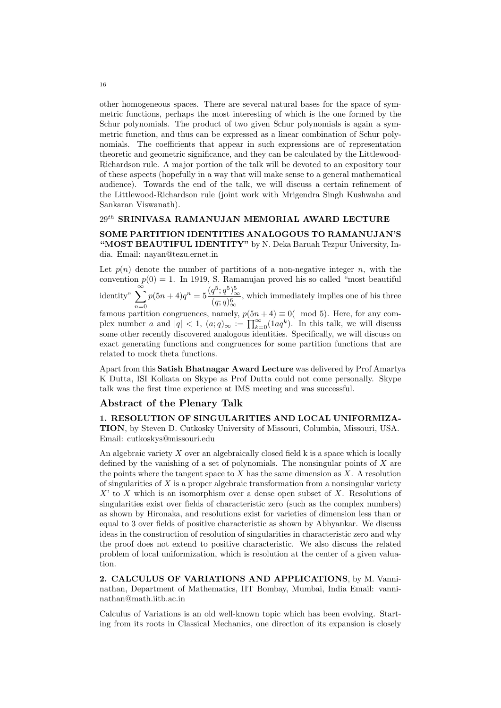other homogeneous spaces. There are several natural bases for the space of symmetric functions, perhaps the most interesting of which is the one formed by the Schur polynomials. The product of two given Schur polynomials is again a symmetric function, and thus can be expressed as a linear combination of Schur polynomials. The coefficients that appear in such expressions are of representation theoretic and geometric significance, and they can be calculated by the Littlewood-Richardson rule. A major portion of the talk will be devoted to an expository tour of these aspects (hopefully in a way that will make sense to a general mathematical audience). Towards the end of the talk, we will discuss a certain refinement of the Littlewood-Richardson rule (joint work with Mrigendra Singh Kushwaha and Sankaran Viswanath).

## $29^{th}$  SRINIVASA RAMANUJAN MEMORIAL AWARD LECTURE

SOME PARTITION IDENTITIES ANALOGOUS TO RAMANUJAN'S "MOST BEAUTIFUL IDENTITY" by N. Deka Baruah Tezpur University, India. Email: nayan@tezu.ernet.in

Let  $p(n)$  denote the number of partitions of a non-negative integer n, with the convention  $p(0) = 1$ . In 1919, S. Ramanujan proved his so called "most beautiful identity"  $\sum_{n=1}^{\infty} p(5n+4)q^{n} = 5 \frac{(q^{5}; q^{5})_{\infty}^{5}}{(1-q)^{6}}$ famous partition congruences, namely,  $p(5n + 4) \equiv 0$  (mod 5). Here, for any com- $\frac{q+q}{(q;q)_\infty^6}$ , which immediately implies one of his three plex number a and  $|q| < 1$ ,  $(a;q)_{\infty} := \prod_{k=0}^{\infty} (1aq^k)$ . In this talk, we will discuss some other recently discovered analogous identities. Specifically, we will discuss on exact generating functions and congruences for some partition functions that are related to mock theta functions.

Apart from this Satish Bhatnagar Award Lecture was delivered by Prof Amartya K Dutta, ISI Kolkata on Skype as Prof Dutta could not come personally. Skype talk was the first time experience at IMS meeting and was successful.

## Abstract of the Plenary Talk

1. RESOLUTION OF SINGULARITIES AND LOCAL UNIFORMIZA-TION, by Steven D. Cutkosky University of Missouri, Columbia, Missouri, USA. Email: cutkoskys@missouri.edu

An algebraic variety X over an algebraically closed field k is a space which is locally defined by the vanishing of a set of polynomials. The nonsingular points of  $X$  are the points where the tangent space to  $X$  has the same dimension as  $X$ . A resolution of singularities of  $X$  is a proper algebraic transformation from a nonsingular variety  $X'$  to X which is an isomorphism over a dense open subset of X. Resolutions of singularities exist over fields of characteristic zero (such as the complex numbers) as shown by Hironaka, and resolutions exist for varieties of dimension less than or equal to 3 over fields of positive characteristic as shown by Abhyankar. We discuss ideas in the construction of resolution of singularities in characteristic zero and why the proof does not extend to positive characteristic. We also discuss the related problem of local uniformization, which is resolution at the center of a given valuation.

2. CALCULUS OF VARIATIONS AND APPLICATIONS, by M. Vanninathan, Department of Mathematics, IIT Bombay, Mumbai, India Email: vanninathan@math.iitb.ac.in

Calculus of Variations is an old well-known topic which has been evolving. Starting from its roots in Classical Mechanics, one direction of its expansion is closely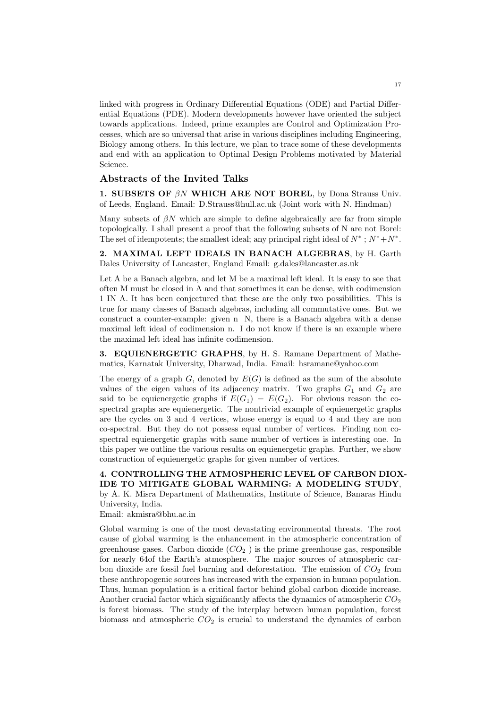linked with progress in Ordinary Differential Equations (ODE) and Partial Differential Equations (PDE). Modern developments however have oriented the subject towards applications. Indeed, prime examples are Control and Optimization Processes, which are so universal that arise in various disciplines including Engineering, Biology among others. In this lecture, we plan to trace some of these developments and end with an application to Optimal Design Problems motivated by Material Science.

## Abstracts of the Invited Talks

1. SUBSETS OF  $\beta N$  WHICH ARE NOT BOREL, by Dona Strauss Univ. of Leeds, England. Email: D.Strauss@hull.ac.uk (Joint work with N. Hindman)

Many subsets of  $\beta N$  which are simple to define algebraically are far from simple topologically. I shall present a proof that the following subsets of N are not Borel: The set of idempotents; the smallest ideal; any principal right ideal of  $N^*$ ;  $N^* + N^*$ .

2. MAXIMAL LEFT IDEALS IN BANACH ALGEBRAS, by H. Garth Dales University of Lancaster, England Email: g.dales@lancaster.as.uk

Let A be a Banach algebra, and let M be a maximal left ideal. It is easy to see that often M must be closed in A and that sometimes it can be dense, with codimension 1 IN A. It has been conjectured that these are the only two possibilities. This is true for many classes of Banach algebras, including all commutative ones. But we construct a counter-example: given n N, there is a Banach algebra with a dense maximal left ideal of codimension n. I do not know if there is an example where the maximal left ideal has infinite codimension.

3. EQUIENERGETIC GRAPHS, by H. S. Ramane Department of Mathematics, Karnatak University, Dharwad, India. Email: hsramane@yahoo.com

The energy of a graph  $G$ , denoted by  $E(G)$  is defined as the sum of the absolute values of the eigen values of its adjacency matrix. Two graphs  $G_1$  and  $G_2$  are said to be equienergetic graphs if  $E(G_1) = E(G_2)$ . For obvious reason the cospectral graphs are equienergetic. The nontrivial example of equienergetic graphs are the cycles on 3 and 4 vertices, whose energy is equal to 4 and they are non co-spectral. But they do not possess equal number of vertices. Finding non cospectral equienergetic graphs with same number of vertices is interesting one. In this paper we outline the various results on equienergetic graphs. Further, we show construction of equienergetic graphs for given number of vertices.

4. CONTROLLING THE ATMOSPHERIC LEVEL OF CARBON DIOX-IDE TO MITIGATE GLOBAL WARMING: A MODELING STUDY, by A. K. Misra Department of Mathematics, Institute of Science, Banaras Hindu University, India.

Email: akmisra@bhu.ac.in

Global warming is one of the most devastating environmental threats. The root cause of global warming is the enhancement in the atmospheric concentration of greenhouse gases. Carbon dioxide  $(CO<sub>2</sub>)$  is the prime greenhouse gas, responsible for nearly 64of the Earth's atmosphere. The major sources of atmospheric carbon dioxide are fossil fuel burning and deforestation. The emission of  $CO<sub>2</sub>$  from these anthropogenic sources has increased with the expansion in human population. Thus, human population is a critical factor behind global carbon dioxide increase. Another crucial factor which significantly affects the dynamics of atmospheric  $CO<sub>2</sub>$ is forest biomass. The study of the interplay between human population, forest biomass and atmospheric  $CO<sub>2</sub>$  is crucial to understand the dynamics of carbon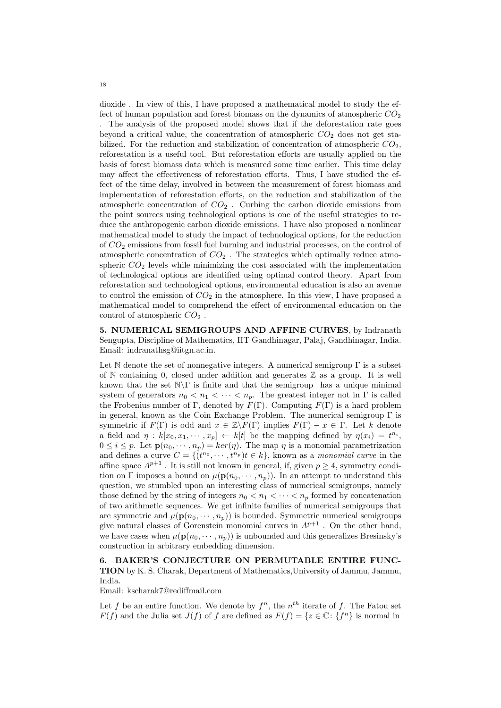dioxide . In view of this, I have proposed a mathematical model to study the effect of human population and forest biomass on the dynamics of atmospheric  $CO<sub>2</sub>$ . The analysis of the proposed model shows that if the deforestation rate goes beyond a critical value, the concentration of atmospheric  $CO<sub>2</sub>$  does not get stabilized. For the reduction and stabilization of concentration of atmospheric  $CO<sub>2</sub>$ , reforestation is a useful tool. But reforestation efforts are usually applied on the basis of forest biomass data which is measured some time earlier. This time delay may affect the effectiveness of reforestation efforts. Thus, I have studied the effect of the time delay, involved in between the measurement of forest biomass and implementation of reforestation efforts, on the reduction and stabilization of the atmospheric concentration of  $CO<sub>2</sub>$ . Curbing the carbon dioxide emissions from the point sources using technological options is one of the useful strategies to reduce the anthropogenic carbon dioxide emissions. I have also proposed a nonlinear mathematical model to study the impact of technological options, for the reduction of  $CO<sub>2</sub>$  emissions from fossil fuel burning and industrial processes, on the control of atmospheric concentration of  $CO<sub>2</sub>$ . The strategies which optimally reduce atmospheric  $CO<sub>2</sub>$  levels while minimizing the cost associated with the implementation of technological options are identified using optimal control theory. Apart from reforestation and technological options, environmental education is also an avenue to control the emission of  $CO<sub>2</sub>$  in the atmosphere. In this view, I have proposed a mathematical model to comprehend the effect of environmental education on the control of atmospheric  $CO<sub>2</sub>$ .

5. NUMERICAL SEMIGROUPS AND AFFINE CURVES, by Indranath Sengupta, Discipline of Mathematics, IIT Gandhinagar, Palaj, Gandhinagar, India. Email: indranathsg@iitgn.ac.in.

Let  $\mathbb N$  denote the set of nonnegative integers. A numerical semigroup  $\Gamma$  is a subset of N containing 0, closed under addition and generates  $\mathbb Z$  as a group. It is well known that the set  $\mathbb{N}\Gamma$  is finite and that the semigroup has a unique minimal system of generators  $n_0 < n_1 < \cdots < n_p$ . The greatest integer not in  $\Gamma$  is called the Frobenius number of Γ, denoted by  $F(\Gamma)$ . Computing  $F(\Gamma)$  is a hard problem in general, known as the Coin Exchange Problem. The numerical semigroup  $\Gamma$  is symmetric if  $F(\Gamma)$  is odd and  $x \in \mathbb{Z} \backslash F(\Gamma)$  implies  $F(\Gamma) - x \in \Gamma$ . Let k denote a field and  $\eta : k[x_0, x_1, \dots, x_p] \leftarrow k[t]$  be the mapping defined by  $\eta(x_i) = t^{n_i}$ ,  $0 \leq i \leq p$ . Let  $\mathbf{p}(n_0, \dots, n_p) = \ker(\eta)$ . The map  $\eta$  is a monomial parametrization and defines a curve  $C = \{ (t^{n_0}, \dots, t^{n_p})_t \in k \}$ , known as a monomial curve in the affine space  $A^{p+1}$ . It is still not known in general, if, given  $p \geq 4$ , symmetry condition on Γ imposes a bound on  $\mu(\mathbf{p}(n_0, \dots, n_p))$ . In an attempt to understand this question, we stumbled upon an interesting class of numerical semigroups, namely those defined by the string of integers  $n_0 < n_1 < \cdots < n_p$  formed by concatenation of two arithmetic sequences. We get infinite families of numerical semigroups that are symmetric and  $\mu(\mathbf{p}(n_0, \dots, n_p))$  is bounded. Symmetric numerical semigroups give natural classes of Gorenstein monomial curves in  $A^{p+1}$ . On the other hand, we have cases when  $\mu(\mathbf{p}(n_0, \dots, n_p))$  is unbounded and this generalizes Bresinsky's construction in arbitrary embedding dimension.

6. BAKER'S CONJECTURE ON PERMUTABLE ENTIRE FUNC-TION by K. S. Charak, Department of Mathematics,University of Jammu, Jammu, India.

Email: kscharak7@rediffmail.com

Let f be an entire function. We denote by  $f^n$ , the  $n^{th}$  iterate of f. The Fatou set  $F(f)$  and the Julia set  $J(f)$  of f are defined as  $F(f) = \{z \in \mathbb{C} : \{f^n\}$  is normal in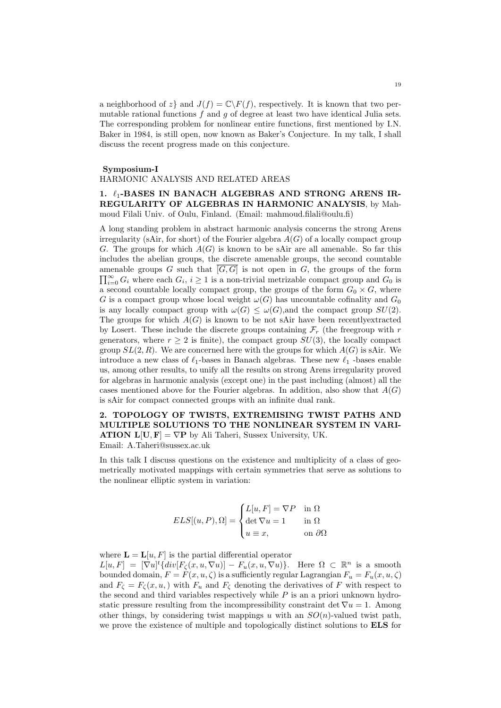a neighborhood of z} and  $J(f) = \mathbb{C} \backslash F(f)$ , respectively. It is known that two permutable rational functions  $f$  and  $g$  of degree at least two have identical Julia sets. The corresponding problem for nonlinear entire functions, first mentioned by I.N. Baker in 1984, is still open, now known as Baker's Conjecture. In my talk, I shall discuss the recent progress made on this conjecture.

#### Symposium-I

## HARMONIC ANALYSIS AND RELATED AREAS

## 1.  $\ell_1$ -BASES IN BANACH ALGEBRAS AND STRONG ARENS IR-REGULARITY OF ALGEBRAS IN HARMONIC ANALYSIS, by Mahmoud Filali Univ. of Oulu, Finland. (Email: mahmoud.filali@oulu.fi)

A long standing problem in abstract harmonic analysis concerns the strong Arens irregularity (sAir, for short) of the Fourier algebra  $A(G)$  of a locally compact group G. The groups for which  $A(G)$  is known to be sAir are all amenable. So far this includes the abelian groups, the discrete amenable groups, the second countable amenable groups G such that  $[G, G]$  is not open in G, the groups of the form  $\prod_{i=0}^{\infty} G_i$  where each  $G_i$ ,  $i \geq 1$  is a non-trivial metrizable compact group and  $G_0$  is a second countable locally compact group, the groups of the form  $G_0 \times G$ , where G is a compact group whose local weight  $\omega(G)$  has uncountable cofinality and  $G_0$ is any locally compact group with  $\omega(G) \leq \omega(G)$ , and the compact group  $SU(2)$ . The groups for which  $A(G)$  is known to be not sAir have been recently extracted by Losert. These include the discrete groups containing  $\mathcal{F}_r$  (the freegroup with r generators, where  $r \geq 2$  is finite), the compact group  $SU(3)$ , the locally compact group  $SL(2, R)$ . We are concerned here with the groups for which  $A(G)$  is sAir. We introduce a new class of  $\ell_1$ -bases in Banach algebras. These new  $\ell_1$  -bases enable us, among other results, to unify all the results on strong Arens irregularity proved for algebras in harmonic analysis (except one) in the past including (almost) all the cases mentioned above for the Fourier algebras. In addition, also show that  $A(G)$ is sAir for compact connected groups with an infinite dual rank.

2. TOPOLOGY OF TWISTS, EXTREMISING TWIST PATHS AND MULTIPLE SOLUTIONS TO THE NONLINEAR SYSTEM IN VARI-**ATION**  $L[U, F] = \nabla P$  by Ali Taheri, Sussex University, UK.

Email: A.Taheri@sussex.ac.uk

In this talk I discuss questions on the existence and multiplicity of a class of geometrically motivated mappings with certain symmetries that serve as solutions to the nonlinear elliptic system in variation:

$$
ELS[(u, P), \Omega] = \begin{cases} L[u, F] = \nabla P & \text{in } \Omega \\ \det \nabla u = 1 & \text{in } \Omega \\ u \equiv x, & \text{on } \partial \Omega \end{cases}
$$

where  $\mathbf{L} = \mathbf{L}[u, F]$  is the partial differential operator  $L[u, F] = [\nabla u]^t \{ div[F_{\zeta}(x, u, \nabla u)] - F_u(x, u, \nabla u) \}.$  Here  $\Omega \subset \mathbb{R}^n$  is a smooth bounded domain,  $F = F(x, u, \zeta)$  is a sufficiently regular Lagrangian  $F_u = F_u(x, u, \zeta)$ and  $F_{\zeta} = F_{\zeta}(x, u, z)$  with  $F_u$  and  $F_{\zeta}$  denoting the derivatives of F with respect to the second and third variables respectively while  $P$  is an a priori unknown hydrostatic pressure resulting from the incompressibility constraint det  $\nabla u = 1$ . Among other things, by considering twist mappings u with an  $SO(n)$ -valued twist path, we prove the existence of multiple and topologically distinct solutions to ELS for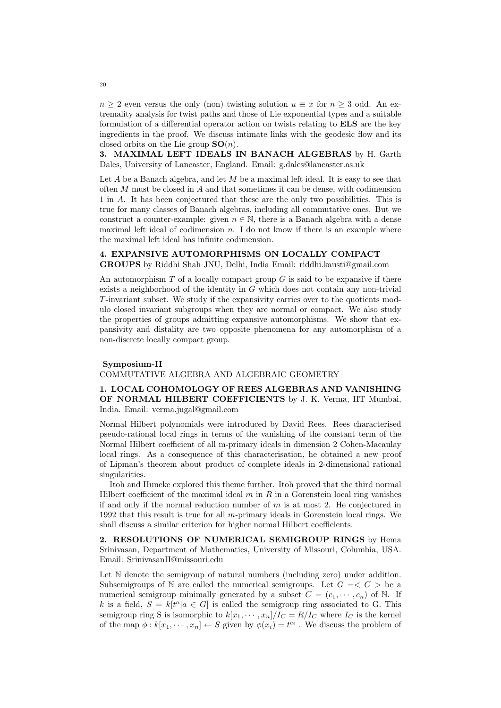$n \geq 2$  even versus the only (non) twisting solution  $u \equiv x$  for  $n \geq 3$  odd. An extremality analysis for twist paths and those of Lie exponential types and a suitable formulation of a differential operator action on twists relating to ELS are the key ingredients in the proof. We discuss intimate links with the geodesic flow and its closed orbits on the Lie group  $SO(n)$ .

3. MAXIMAL LEFT IDEALS IN BANACH ALGEBRAS by H. Garth Dales, University of Lancaster, England. Email: g.dales@lancaster.as.uk

Let  $A$  be a Banach algebra, and let  $M$  be a maximal left ideal. It is easy to see that often  $M$  must be closed in  $A$  and that sometimes it can be dense, with codimension 1 in A. It has been conjectured that these are the only two possibilities. This is true for many classes of Banach algebras, including all commutative ones. But we construct a counter-example: given  $n \in \mathbb{N}$ , there is a Banach algebra with a dense maximal left ideal of codimension  $n$ . I do not know if there is an example where the maximal left ideal has infinite codimension.

## 4. EXPANSIVE AUTOMORPHISMS ON LOCALLY COMPACT GROUPS by Riddhi Shah JNU, Delhi, India Email: riddhi.kausti@gmail.com

An automorphism  $T$  of a locally compact group  $G$  is said to be expansive if there exists a neighborhood of the identity in G which does not contain any non-trivial T-invariant subset. We study if the expansivity carries over to the quotients modulo closed invariant subgroups when they are normal or compact. We also study the properties of groups admitting expansive automorphisms. We show that expansivity and distality are two opposite phenomena for any automorphism of a non-discrete locally compact group.

#### Symposium-II

#### COMMUTATIVE ALGEBRA AND ALGEBRAIC GEOMETRY

## 1. LOCAL COHOMOLOGY OF REES ALGEBRAS AND VANISHING OF NORMAL HILBERT COEFFICIENTS by J. K. Verma, IIT Mumbai, India. Email: verma.jugal@gmail.com

Normal Hilbert polynomials were introduced by David Rees. Rees characterised pseudo-rational local rings in terms of the vanishing of the constant term of the Normal Hilbert coefficient of all m-primary ideals in dimension 2 Cohen-Macaulay local rings. As a consequence of this characterisation, he obtained a new proof of Lipman's theorem about product of complete ideals in 2-dimensional rational singularities.

Itoh and Huneke explored this theme further. Itoh proved that the third normal Hilbert coefficient of the maximal ideal  $m$  in  $R$  in a Gorenstein local ring vanishes if and only if the normal reduction number of  $m$  is at most 2. He conjectured in 1992 that this result is true for all m-primary ideals in Gorenstein local rings. We shall discuss a similar criterion for higher normal Hilbert coefficients.

2. RESOLUTIONS OF NUMERICAL SEMIGROUP RINGS by Hema Srinivasan, Department of Mathematics, University of Missouri, Columbia, USA. Email: SrinivasanH@missouri.edu

Let  $\mathbb N$  denote the semigroup of natural numbers (including zero) under addition. Subsemigroups of N are called the numerical semigroups. Let  $G = \langle C \rangle$  be a numerical semigroup minimally generated by a subset  $C = (c_1, \dots, c_n)$  of N. If k is a field,  $S = k[t^a | a \in G]$  is called the semigroup ring associated to G. This semigroup ring S is isomorphic to  $k[x_1, \cdots, x_n]/I_C = R/I_C$  where  $I_C$  is the kernel of the map  $\phi: k[x_1, \dots, x_n] \leftarrow S$  given by  $\phi(x_i) = t^{c_i}$ . We discuss the problem of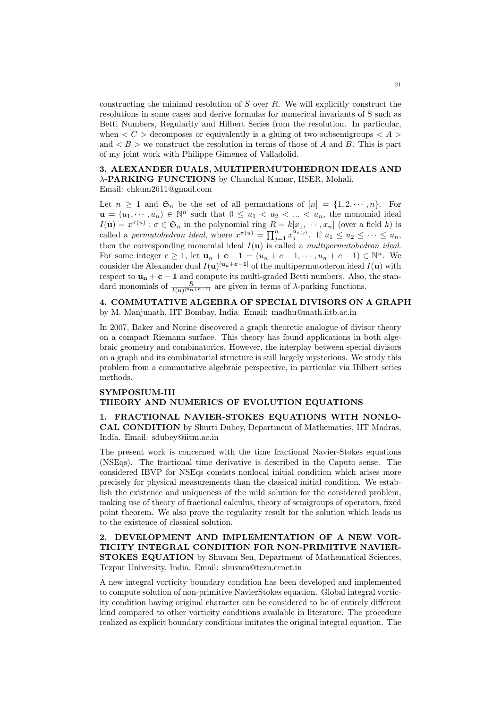constructing the minimal resolution of  $S$  over  $R$ . We will explicitly construct the resolutions in some cases and derive formulas for numerical invariants of S such as Betti Numbers, Regularity and Hilbert Series from the resolution. In particular, when  $\lt C$   $>$  decomposes or equivalently is a gluing of two subsemigroups  $\lt A$ and  $\lt B$   $>$  we construct the resolution in terms of those of A and B. This is part of my joint work with Philippe Gimenez of Valladolid.

# 3. ALEXANDER DUALS, MULTIPERMUTOHEDRON IDEALS AND λ-PARKING FUNCTIONS by Chanchal Kumar, IISER, Mohali.

Email: chkum2611@gmail.com

Let  $n \geq 1$  and  $\mathfrak{S}_n$  be the set of all permutations of  $[n] = \{1, 2, \dots, n\}$ . For  $\mathbf{u} = (u_1, \dots, u_n) \in \mathbb{N}^n$  such that  $0 \leq u_1 < u_2 < \dots < u_n$ , the monomial ideal  $I(\mathbf{u}) = x^{\sigma(u)} : \sigma \in \mathfrak{S}_n$  in the polynomial ring  $R = k[x_1, \dots, x_n]$  (over a field k) is called a permutohedron ideal, where  $x^{\sigma(u)} = \prod_{j=1}^n x_j^{u_{\sigma(j)}}$ . If  $u_1 \leq u_2 \leq \cdots \leq u_n$ , then the corresponding monomial ideal  $I(\mathbf{u})$  is called a *multipermutohedron ideal*. For some integer  $c \geq 1$ , let  $\mathbf{u}_n + \mathbf{c} - \mathbf{1} = (u_n + c - 1, \dots, u_n + c - 1) \in \mathbb{N}^n$ . We consider the Alexander dual  $I(\mathbf{u})^{[\mathbf{u_n}+\mathbf{c}-\mathbf{1}]}$  of the multipermutoderon ideal  $I(\mathbf{u})$  with respect to  $\mathbf{u}_n + \mathbf{c} - \mathbf{1}$  and compute its multi-graded Betti numbers. Also, the standard monomials of  $\frac{R}{I(\mathbf{u})^{[\mathbf{u}_{\mathbf{n}}+\mathbf{c}-\mathbf{1}]}}$  are given in terms of  $\lambda$ -parking functions.

## 4. COMMUTATIVE ALGEBRA OF SPECIAL DIVISORS ON A GRAPH by M. Manjunath, IIT Bombay, India. Email: madhu@math.iitb.ac.in

In 2007, Baker and Norine discovered a graph theoretic analogue of divisor theory on a compact Riemann surface. This theory has found applications in both algebraic geometry and combinatorics. However, the interplay between special divisors on a graph and its combinatorial structure is still largely mysterious. We study this problem from a commutative algebraic perspective, in particular via Hilbert series methods.

# SYMPOSIUM-III

## THEORY AND NUMERICS OF EVOLUTION EQUATIONS

## 1. FRACTIONAL NAVIER-STOKES EQUATIONS WITH NONLO-CAL CONDITION by Shurti Dubey, Department of Mathematics, IIT Madras, India. Email: sdubey@iitm.ac.in

The present work is concerned with the time fractional Navier-Stokes equations (NSEqs). The fractional time derivative is described in the Caputo sense. The considered IBVP for NSEqs consists nonlocal initial condition which arises more precisely for physical measurements than the classical initial condition. We establish the existence and uniqueness of the mild solution for the considered problem, making use of theory of fractional calculus, theory of semigroups of operators, fixed point theorem. We also prove the regularity result for the solution which leads us to the existence of classical solution.

## 2. DEVELOPMENT AND IMPLEMENTATION OF A NEW VOR-TICITY INTEGRAL CONDITION FOR NON-PRIMITIVE NAVIER-STOKES EQUATION by Shuvam Sen, Department of Mathematical Sciences, Tezpur University, India. Email: shuvam@tezu.ernet.in

A new integral vorticity boundary condition has been developed and implemented to compute solution of non-primitive NavierStokes equation. Global integral vorticity condition having original character can be considered to be of entirely different kind compared to other vorticity conditions available in literature. The procedure realized as explicit boundary conditions imitates the original integral equation. The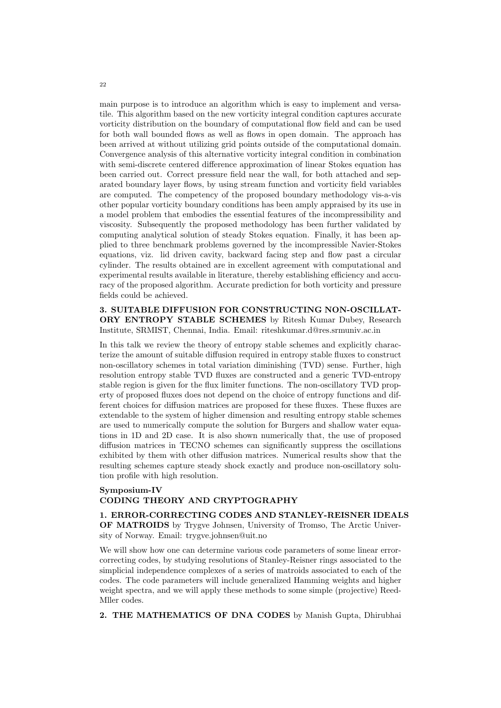main purpose is to introduce an algorithm which is easy to implement and versatile. This algorithm based on the new vorticity integral condition captures accurate vorticity distribution on the boundary of computational flow field and can be used for both wall bounded flows as well as flows in open domain. The approach has been arrived at without utilizing grid points outside of the computational domain. Convergence analysis of this alternative vorticity integral condition in combination with semi-discrete centered difference approximation of linear Stokes equation has been carried out. Correct pressure field near the wall, for both attached and separated boundary layer flows, by using stream function and vorticity field variables are computed. The competency of the proposed boundary methodology vis-a-vis other popular vorticity boundary conditions has been amply appraised by its use in a model problem that embodies the essential features of the incompressibility and viscosity. Subsequently the proposed methodology has been further validated by computing analytical solution of steady Stokes equation. Finally, it has been applied to three benchmark problems governed by the incompressible Navier-Stokes equations, viz. lid driven cavity, backward facing step and flow past a circular cylinder. The results obtained are in excellent agreement with computational and experimental results available in literature, thereby establishing efficiency and accuracy of the proposed algorithm. Accurate prediction for both vorticity and pressure fields could be achieved.

## 3. SUITABLE DIFFUSION FOR CONSTRUCTING NON-OSCILLAT-ORY ENTROPY STABLE SCHEMES by Ritesh Kumar Dubey, Research Institute, SRMIST, Chennai, India. Email: riteshkumar.d@res.srmuniv.ac.in

In this talk we review the theory of entropy stable schemes and explicitly characterize the amount of suitable diffusion required in entropy stable fluxes to construct non-oscillatory schemes in total variation diminishing (TVD) sense. Further, high resolution entropy stable TVD fluxes are constructed and a generic TVD-entropy stable region is given for the flux limiter functions. The non-oscillatory TVD property of proposed fluxes does not depend on the choice of entropy functions and different choices for diffusion matrices are proposed for these fluxes. These fluxes are extendable to the system of higher dimension and resulting entropy stable schemes are used to numerically compute the solution for Burgers and shallow water equations in 1D and 2D case. It is also shown numerically that, the use of proposed diffusion matrices in TECNO schemes can significantly suppress the oscillations exhibited by them with other diffusion matrices. Numerical results show that the resulting schemes capture steady shock exactly and produce non-oscillatory solution profile with high resolution.

## Symposium-IV CODING THEORY AND CRYPTOGRAPHY

# 1. ERROR-CORRECTING CODES AND STANLEY-REISNER IDEALS

OF MATROIDS by Trygve Johnsen, University of Tromso, The Arctic University of Norway. Email: trygve.johnsen@uit.no

We will show how one can determine various code parameters of some linear errorcorrecting codes, by studying resolutions of Stanley-Reisner rings associated to the simplicial independence complexes of a series of matroids associated to each of the codes. The code parameters will include generalized Hamming weights and higher weight spectra, and we will apply these methods to some simple (projective) Reed-Mller codes.

2. THE MATHEMATICS OF DNA CODES by Manish Gupta, Dhirubhai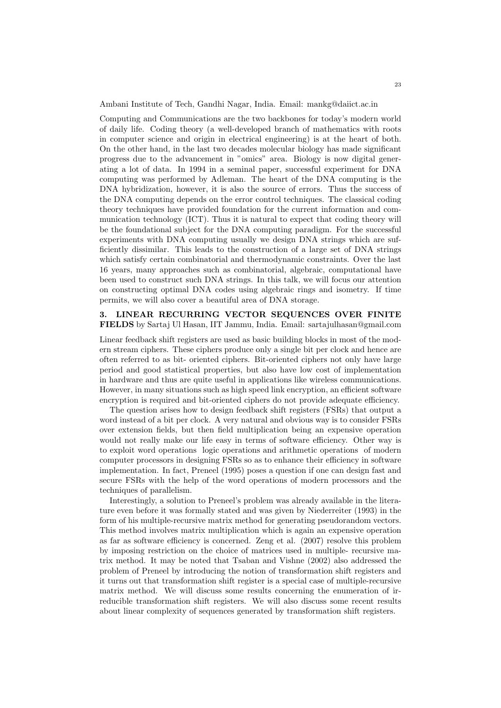Ambani Institute of Tech, Gandhi Nagar, India. Email: mankg@daiict.ac.in

Computing and Communications are the two backbones for today's modern world of daily life. Coding theory (a well-developed branch of mathematics with roots in computer science and origin in electrical engineering) is at the heart of both. On the other hand, in the last two decades molecular biology has made significant progress due to the advancement in "omics" area. Biology is now digital generating a lot of data. In 1994 in a seminal paper, successful experiment for DNA computing was performed by Adleman. The heart of the DNA computing is the DNA hybridization, however, it is also the source of errors. Thus the success of the DNA computing depends on the error control techniques. The classical coding theory techniques have provided foundation for the current information and communication technology (ICT). Thus it is natural to expect that coding theory will be the foundational subject for the DNA computing paradigm. For the successful experiments with DNA computing usually we design DNA strings which are sufficiently dissimilar. This leads to the construction of a large set of DNA strings which satisfy certain combinatorial and thermodynamic constraints. Over the last 16 years, many approaches such as combinatorial, algebraic, computational have been used to construct such DNA strings. In this talk, we will focus our attention on constructing optimal DNA codes using algebraic rings and isometry. If time permits, we will also cover a beautiful area of DNA storage.

## 3. LINEAR RECURRING VECTOR SEQUENCES OVER FINITE FIELDS by Sartaj Ul Hasan, IIT Jammu, India. Email: sartajulhasan@gmail.com

Linear feedback shift registers are used as basic building blocks in most of the modern stream ciphers. These ciphers produce only a single bit per clock and hence are often referred to as bit- oriented ciphers. Bit-oriented ciphers not only have large period and good statistical properties, but also have low cost of implementation in hardware and thus are quite useful in applications like wireless communications. However, in many situations such as high speed link encryption, an efficient software encryption is required and bit-oriented ciphers do not provide adequate efficiency.

The question arises how to design feedback shift registers (FSRs) that output a word instead of a bit per clock. A very natural and obvious way is to consider FSRs over extension fields, but then field multiplication being an expensive operation would not really make our life easy in terms of software efficiency. Other way is to exploit word operations logic operations and arithmetic operations of modern computer processors in designing FSRs so as to enhance their efficiency in software implementation. In fact, Preneel (1995) poses a question if one can design fast and secure FSRs with the help of the word operations of modern processors and the techniques of parallelism.

Interestingly, a solution to Preneel's problem was already available in the literature even before it was formally stated and was given by Niederreiter (1993) in the form of his multiple-recursive matrix method for generating pseudorandom vectors. This method involves matrix multiplication which is again an expensive operation as far as software efficiency is concerned. Zeng et al. (2007) resolve this problem by imposing restriction on the choice of matrices used in multiple- recursive matrix method. It may be noted that Tsaban and Vishne (2002) also addressed the problem of Preneel by introducing the notion of transformation shift registers and it turns out that transformation shift register is a special case of multiple-recursive matrix method. We will discuss some results concerning the enumeration of irreducible transformation shift registers. We will also discuss some recent results about linear complexity of sequences generated by transformation shift registers.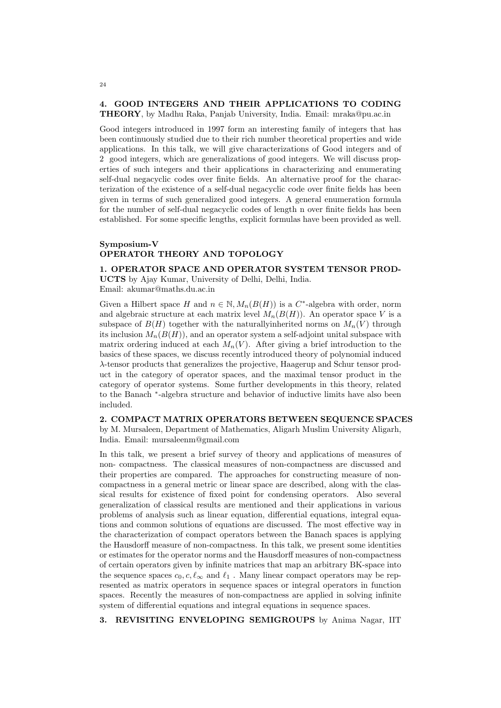## 4. GOOD INTEGERS AND THEIR APPLICATIONS TO CODING THEORY, by Madhu Raka, Panjab University, India. Email: mraka@pu.ac.in

Good integers introduced in 1997 form an interesting family of integers that has been continuously studied due to their rich number theoretical properties and wide applications. In this talk, we will give characterizations of Good integers and of 2 good integers, which are generalizations of good integers. We will discuss properties of such integers and their applications in characterizing and enumerating self-dual negacyclic codes over finite fields. An alternative proof for the characterization of the existence of a self-dual negacyclic code over finite fields has been given in terms of such generalized good integers. A general enumeration formula

for the number of self-dual negacyclic codes of length n over finite fields has been established. For some specific lengths, explicit formulas have been provided as well.

# Symposium-V OPERATOR THEORY AND TOPOLOGY

#### 1. OPERATOR SPACE AND OPERATOR SYSTEM TENSOR PROD-

UCTS by Ajay Kumar, University of Delhi, Delhi, India. Email: akumar@maths.du.ac.in

Given a Hilbert space H and  $n \in \mathbb{N}, M_n(B(H))$  is a C<sup>\*</sup>-algebra with order, norm and algebraic structure at each matrix level  $M_n(B(H))$ . An operator space V is a subspace of  $B(H)$  together with the naturallyinherited norms on  $M_n(V)$  through its inclusion  $M_n(B(H))$ , and an operator system a self-adjoint unital subspace with matrix ordering induced at each  $M_n(V)$ . After giving a brief introduction to the basics of these spaces, we discuss recently introduced theory of polynomial induced λ-tensor products that generalizes the projective, Haagerup and Schur tensor product in the category of operator spaces, and the maximal tensor product in the category of operator systems. Some further developments in this theory, related to the Banach <sup>∗</sup> -algebra structure and behavior of inductive limits have also been included.

2. COMPACT MATRIX OPERATORS BETWEEN SEQUENCE SPACES by M. Mursaleen, Department of Mathematics, Aligarh Muslim University Aligarh, India. Email: mursaleenm@gmail.com

In this talk, we present a brief survey of theory and applications of measures of non- compactness. The classical measures of non-compactness are discussed and their properties are compared. The approaches for constructing measure of noncompactness in a general metric or linear space are described, along with the classical results for existence of fixed point for condensing operators. Also several generalization of classical results are mentioned and their applications in various problems of analysis such as linear equation, differential equations, integral equations and common solutions of equations are discussed. The most effective way in the characterization of compact operators between the Banach spaces is applying the Hausdorff measure of non-compactness. In this talk, we present some identities or estimates for the operator norms and the Hausdorff measures of non-compactness of certain operators given by infinite matrices that map an arbitrary BK-space into the sequence spaces  $c_0, c, \ell_{\infty}$  and  $\ell_1$ . Many linear compact operators may be represented as matrix operators in sequence spaces or integral operators in function spaces. Recently the measures of non-compactness are applied in solving infinite system of differential equations and integral equations in sequence spaces.

3. REVISITING ENVELOPING SEMIGROUPS by Anima Nagar, IIT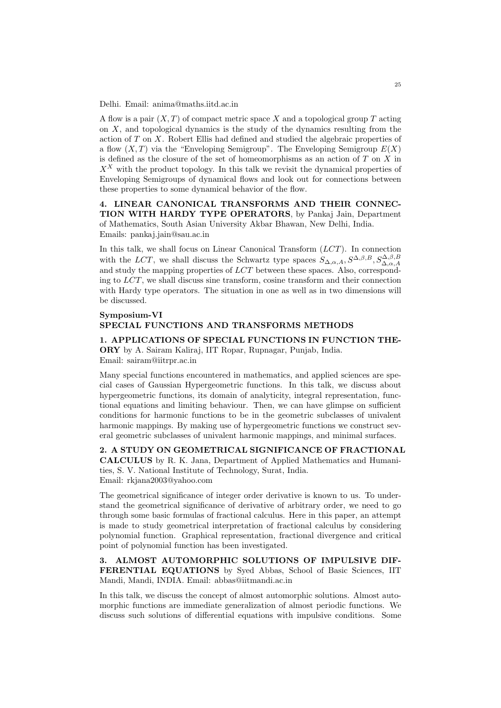Delhi. Email: anima@maths.iitd.ac.in

A flow is a pair  $(X, T)$  of compact metric space X and a topological group T acting on  $X$ , and topological dynamics is the study of the dynamics resulting from the action of T on X. Robert Ellis had defined and studied the algebraic properties of a flow  $(X, T)$  via the "Enveloping Semigroup". The Enveloping Semigroup  $E(X)$ is defined as the closure of the set of homeomorphisms as an action of  $T$  on  $X$  in  $X^X$  with the product topology. In this talk we revisit the dynamical properties of Enveloping Semigroups of dynamical flows and look out for connections between these properties to some dynamical behavior of the flow.

4. LINEAR CANONICAL TRANSFORMS AND THEIR CONNEC-TION WITH HARDY TYPE OPERATORS, by Pankaj Jain, Department of Mathematics, South Asian University Akbar Bhawan, New Delhi, India. Emails: pankaj.jain@sau.ac.in

In this talk, we shall focus on Linear Canonical Transform  $(LCT)$ . In connection with the LCT, we shall discuss the Schwartz type spaces  $S_{\Delta,\alpha,A}, S^{\Delta,\beta,B}, S^{\Delta,\beta,B}_{\Delta,\alpha,A}$ and study the mapping properties of LCT between these spaces. Also, corresponding to  $LCT$ , we shall discuss sine transform, cosine transform and their connection with Hardy type operators. The situation in one as well as in two dimensions will be discussed.

#### Symposium-VI SPECIAL FUNCTIONS AND TRANSFORMS METHODS

1. APPLICATIONS OF SPECIAL FUNCTIONS IN FUNCTION THE-ORY by A. Sairam Kaliraj, IIT Ropar, Rupnagar, Punjab, India. Email: sairam@iitrpr.ac.in

Many special functions encountered in mathematics, and applied sciences are special cases of Gaussian Hypergeometric functions. In this talk, we discuss about hypergeometric functions, its domain of analyticity, integral representation, functional equations and limiting behaviour. Then, we can have glimpse on sufficient conditions for harmonic functions to be in the geometric subclasses of univalent harmonic mappings. By making use of hypergeometric functions we construct several geometric subclasses of univalent harmonic mappings, and minimal surfaces.

2. A STUDY ON GEOMETRICAL SIGNIFICANCE OF FRACTIONAL CALCULUS by R. K. Jana, Department of Applied Mathematics and Humanities, S. V. National Institute of Technology, Surat, India. Email: rkjana2003@yahoo.com

The geometrical significance of integer order derivative is known to us. To understand the geometrical significance of derivative of arbitrary order, we need to go through some basic formulas of fractional calculus. Here in this paper, an attempt is made to study geometrical interpretation of fractional calculus by considering polynomial function. Graphical representation, fractional divergence and critical point of polynomial function has been investigated.

3. ALMOST AUTOMORPHIC SOLUTIONS OF IMPULSIVE DIF-FERENTIAL EQUATIONS by Syed Abbas, School of Basic Sciences, IIT Mandi, Mandi, INDIA. Email: abbas@iitmandi.ac.in

In this talk, we discuss the concept of almost automorphic solutions. Almost automorphic functions are immediate generalization of almost periodic functions. We discuss such solutions of differential equations with impulsive conditions. Some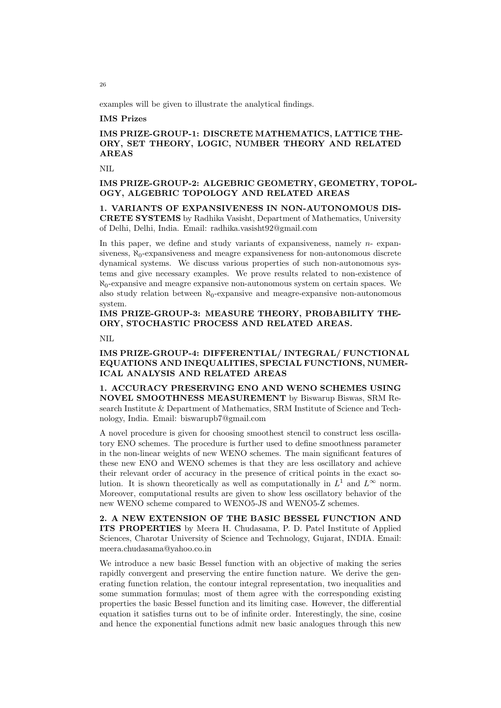examples will be given to illustrate the analytical findings.

## IMS Prizes

# IMS PRIZE-GROUP-1: DISCRETE MATHEMATICS, LATTICE THE-ORY, SET THEORY, LOGIC, NUMBER THEORY AND RELATED AREAS

NIL

# IMS PRIZE-GROUP-2: ALGEBRIC GEOMETRY, GEOMETRY, TOPOL-OGY, ALGEBRIC TOPOLOGY AND RELATED AREAS

1. VARIANTS OF EXPANSIVENESS IN NON-AUTONOMOUS DIS-CRETE SYSTEMS by Radhika Vasisht, Department of Mathematics, University of Delhi, Delhi, India. Email: radhika.vasisht92@gmail.com

In this paper, we define and study variants of expansiveness, namely  $n$ -expansiveness,  $\aleph_0$ -expansiveness and meagre expansiveness for non-autonomous discrete dynamical systems. We discuss various properties of such non-autonomous systems and give necessary examples. We prove results related to non-existence of  $\aleph_0$ -expansive and meagre expansive non-autonomous system on certain spaces. We also study relation between  $\aleph_0$ -expansive and meagre-expansive non-autonomous system.

# IMS PRIZE-GROUP-3: MEASURE THEORY, PROBABILITY THE-ORY, STOCHASTIC PROCESS AND RELATED AREAS.

NIL

# IMS PRIZE-GROUP-4: DIFFERENTIAL/ INTEGRAL/ FUNCTIONAL EQUATIONS AND INEQUALITIES, SPECIAL FUNCTIONS, NUMER-ICAL ANALYSIS AND RELATED AREAS

1. ACCURACY PRESERVING ENO AND WENO SCHEMES USING NOVEL SMOOTHNESS MEASUREMENT by Biswarup Biswas, SRM Research Institute & Department of Mathematics, SRM Institute of Science and Technology, India. Email: biswarupb7@gmail.com

A novel procedure is given for choosing smoothest stencil to construct less oscillatory ENO schemes. The procedure is further used to define smoothness parameter in the non-linear weights of new WENO schemes. The main significant features of these new ENO and WENO schemes is that they are less oscillatory and achieve their relevant order of accuracy in the presence of critical points in the exact solution. It is shown theoretically as well as computationally in  $L^1$  and  $L^{\infty}$  norm. Moreover, computational results are given to show less oscillatory behavior of the new WENO scheme compared to WENO5-JS and WENO5-Z schemes.

2. A NEW EXTENSION OF THE BASIC BESSEL FUNCTION AND ITS PROPERTIES by Meera H. Chudasama, P. D. Patel Institute of Applied Sciences, Charotar University of Science and Technology, Gujarat, INDIA. Email: meera.chudasama@yahoo.co.in

We introduce a new basic Bessel function with an objective of making the series rapidly convergent and preserving the entire function nature. We derive the generating function relation, the contour integral representation, two inequalities and some summation formulas; most of them agree with the corresponding existing properties the basic Bessel function and its limiting case. However, the differential equation it satisfies turns out to be of infinite order. Interestingly, the sine, cosine and hence the exponential functions admit new basic analogues through this new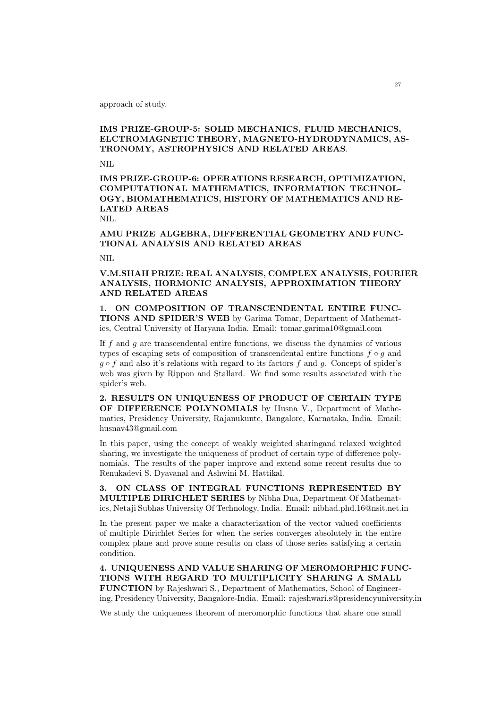approach of study.

# IMS PRIZE-GROUP-5: SOLID MECHANICS, FLUID MECHANICS, ELCTROMAGNETIC THEORY, MAGNETO-HYDRODYNAMICS, AS-TRONOMY, ASTROPHYSICS AND RELATED AREAS.

NIL

IMS PRIZE-GROUP-6: OPERATIONS RESEARCH, OPTIMIZATION, COMPUTATIONAL MATHEMATICS, INFORMATION TECHNOL-OGY, BIOMATHEMATICS, HISTORY OF MATHEMATICS AND RE-LATED AREAS

NIL.

AMU PRIZE ALGEBRA, DIFFERENTIAL GEOMETRY AND FUNC-TIONAL ANALYSIS AND RELATED AREAS

NIL

V.M.SHAH PRIZE: REAL ANALYSIS, COMPLEX ANALYSIS, FOURIER ANALYSIS, HORMONIC ANALYSIS, APPROXIMATION THEORY AND RELATED AREAS

1. ON COMPOSITION OF TRANSCENDENTAL ENTIRE FUNC-TIONS AND SPIDER'S WEB by Garima Tomar, Department of Mathematics, Central University of Haryana India. Email: tomar.garima10@gmail.com

If  $f$  and  $g$  are transcendental entire functions, we discuss the dynamics of various types of escaping sets of composition of transcendental entire functions  $f \circ g$  and  $q \circ f$  and also it's relations with regard to its factors f and q. Concept of spider's web was given by Rippon and Stallard. We find some results associated with the spider's web.

2. RESULTS ON UNIQUENESS OF PRODUCT OF CERTAIN TYPE OF DIFFERENCE POLYNOMIALS by Husna V., Department of Mathematics, Presidency University, Rajanukunte, Bangalore, Karnataka, India. Email: husnav43@gmail.com

In this paper, using the concept of weakly weighted sharingand relaxed weighted sharing, we investigate the uniqueness of product of certain type of difference polynomials. The results of the paper improve and extend some recent results due to Renukadevi S. Dyavanal and Ashwini M. Hattikal.

3. ON CLASS OF INTEGRAL FUNCTIONS REPRESENTED BY MULTIPLE DIRICHLET SERIES by Nibha Dua, Department Of Mathematics, Netaji Subhas University Of Technology, India. Email: nibhad.phd.16@nsit.net.in

In the present paper we make a characterization of the vector valued coefficients of multiple Dirichlet Series for when the series converges absolutely in the entire complex plane and prove some results on class of those series satisfying a certain condition.

4. UNIQUENESS AND VALUE SHARING OF MEROMORPHIC FUNC-TIONS WITH REGARD TO MULTIPLICITY SHARING A SMALL FUNCTION by Rajeshwari S., Department of Mathematics, School of Engineering, Presidency University, Bangalore-India. Email: rajeshwari.s@presidencyuniversity.in

We study the uniqueness theorem of meromorphic functions that share one small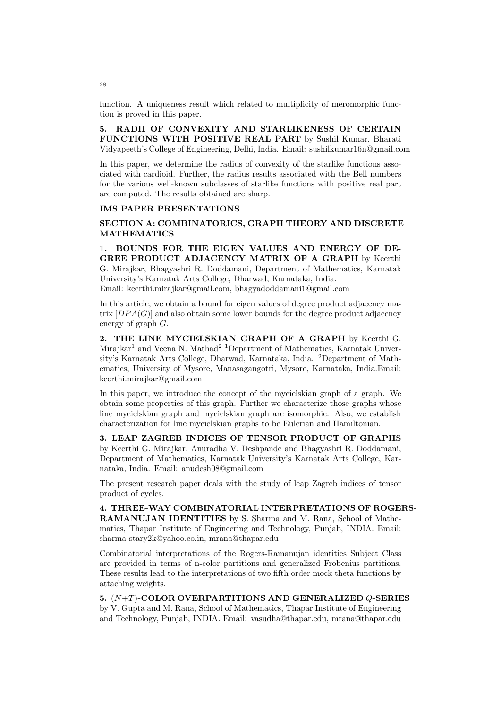function. A uniqueness result which related to multiplicity of meromorphic function is proved in this paper.

5. RADII OF CONVEXITY AND STARLIKENESS OF CERTAIN FUNCTIONS WITH POSITIVE REAL PART by Sushil Kumar, Bharati Vidyapeeth's College of Engineering, Delhi, India. Email: sushilkumar16n@gmail.com

In this paper, we determine the radius of convexity of the starlike functions associated with cardioid. Further, the radius results associated with the Bell numbers for the various well-known subclasses of starlike functions with positive real part are computed. The results obtained are sharp.

## IMS PAPER PRESENTATIONS

## SECTION A: COMBINATORICS, GRAPH THEORY AND DISCRETE MATHEMATICS

1. BOUNDS FOR THE EIGEN VALUES AND ENERGY OF DE-GREE PRODUCT ADJACENCY MATRIX OF A GRAPH by Keerthi G. Mirajkar, Bhagyashri R. Doddamani, Department of Mathematics, Karnatak University's Karnatak Arts College, Dharwad, Karnataka, India. Email: keerthi.mirajkar@gmail.com, bhagyadoddamani1@gmail.com

In this article, we obtain a bound for eigen values of degree product adjacency matrix  $[DPA(G)]$  and also obtain some lower bounds for the degree product adjacency energy of graph G.

2. THE LINE MYCIELSKIAN GRAPH OF A GRAPH by Keerthi G. Mirajkar<sup>1</sup> and Veena N. Mathad<sup>2 1</sup>Department of Mathematics, Karnatak University's Karnatak Arts College, Dharwad, Karnataka, India. <sup>2</sup>Department of Mathematics, University of Mysore, Manasagangotri, Mysore, Karnataka, India.Email: keerthi.mirajkar@gmail.com

In this paper, we introduce the concept of the mycielskian graph of a graph. We obtain some properties of this graph. Further we characterize those graphs whose line mycielskian graph and mycielskian graph are isomorphic. Also, we establish characterization for line mycielskian graphs to be Eulerian and Hamiltonian.

3. LEAP ZAGREB INDICES OF TENSOR PRODUCT OF GRAPHS by Keerthi G. Mirajkar, Anuradha V. Deshpande and Bhagyashri R. Doddamani, Department of Mathematics, Karnatak University's Karnatak Arts College, Karnataka, India. Email: anudesh08@gmail.com

The present research paper deals with the study of leap Zagreb indices of tensor product of cycles.

4. THREE-WAY COMBINATORIAL INTERPRETATIONS OF ROGERS-RAMANUJAN IDENTITIES by S. Sharma and M. Rana, School of Mathematics, Thapar Institute of Engineering and Technology, Punjab, INDIA. Email: sharma stary2k@yahoo.co.in, mrana@thapar.edu

Combinatorial interpretations of the Rogers-Ramanujan identities Subject Class are provided in terms of n-color partitions and generalized Frobenius partitions. These results lead to the interpretations of two fifth order mock theta functions by attaching weights.

5.  $(N+T)$ -COLOR OVERPARTITIONS AND GENERALIZED  $Q$ -SERIES by V. Gupta and M. Rana, School of Mathematics, Thapar Institute of Engineering and Technology, Punjab, INDIA. Email: vasudha@thapar.edu, mrana@thapar.edu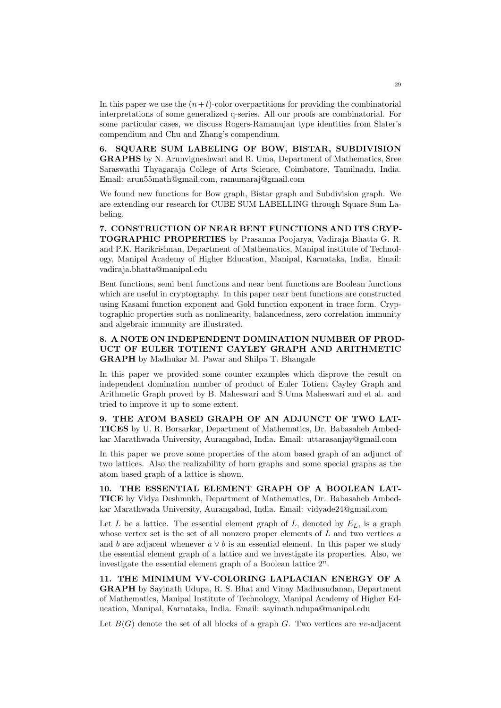In this paper we use the  $(n+t)$ -color overpartitions for providing the combinatorial interpretations of some generalized q-series. All our proofs are combinatorial. For some particular cases, we discuss Rogers-Ramanujan type identities from Slater's compendium and Chu and Zhang's compendium.

6. SQUARE SUM LABELING OF BOW, BISTAR, SUBDIVISION GRAPHS by N. Arunvigneshwari and R. Uma, Department of Mathematics, Sree Saraswathi Thyagaraja College of Arts Science, Coimbatore, Tamilnadu, India. Email: arun55math@gmail.com, ramumaraj@gmail.com

We found new functions for Bow graph, Bistar graph and Subdivision graph. We are extending our research for CUBE SUM LABELLING through Square Sum Labeling.

7. CONSTRUCTION OF NEAR BENT FUNCTIONS AND ITS CRYP-TOGRAPHIC PROPERTIES by Prasanna Poojarya, Vadiraja Bhatta G. R. and P.K. Harikrishnan, Department of Mathematics, Manipal institute of Technology, Manipal Academy of Higher Education, Manipal, Karnataka, India. Email: vadiraja.bhatta@manipal.edu

Bent functions, semi bent functions and near bent functions are Boolean functions which are useful in cryptography. In this paper near bent functions are constructed using Kasami function exponent and Gold function exponent in trace form. Cryptographic properties such as nonlinearity, balancedness, zero correlation immunity and algebraic immunity are illustrated.

8. A NOTE ON INDEPENDENT DOMINATION NUMBER OF PROD-UCT OF EULER TOTIENT CAYLEY GRAPH AND ARITHMETIC GRAPH by Madhukar M. Pawar and Shilpa T. Bhangale

In this paper we provided some counter examples which disprove the result on independent domination number of product of Euler Totient Cayley Graph and Arithmetic Graph proved by B. Maheswari and S.Uma Maheswari and et al. and tried to improve it up to some extent.

9. THE ATOM BASED GRAPH OF AN ADJUNCT OF TWO LAT-TICES by U. R. Borsarkar, Department of Mathematics, Dr. Babasaheb Ambedkar Marathwada University, Aurangabad, India. Email: uttarasanjay@gmail.com

In this paper we prove some properties of the atom based graph of an adjunct of two lattices. Also the realizability of horn graphs and some special graphs as the atom based graph of a lattice is shown.

10. THE ESSENTIAL ELEMENT GRAPH OF A BOOLEAN LAT-TICE by Vidya Deshmukh, Department of Mathematics, Dr. Babasaheb Ambedkar Marathwada University, Aurangabad, India. Email: vidyade24@gmail.com

Let L be a lattice. The essential element graph of L, denoted by  $E_L$ , is a graph whose vertex set is the set of all nonzero proper elements of  $L$  and two vertices  $a$ and b are adjacent whenever  $a \vee b$  is an essential element. In this paper we study the essential element graph of a lattice and we investigate its properties. Also, we investigate the essential element graph of a Boolean lattice  $2^n$ .

11. THE MINIMUM VV-COLORING LAPLACIAN ENERGY OF A GRAPH by Sayinath Udupa, R. S. Bhat and Vinay Madhusudanan, Department of Mathematics, Manipal Institute of Technology, Manipal Academy of Higher Education, Manipal, Karnataka, India. Email: sayinath.udupa@manipal.edu

Let  $B(G)$  denote the set of all blocks of a graph G. Two vertices are vv-adjacent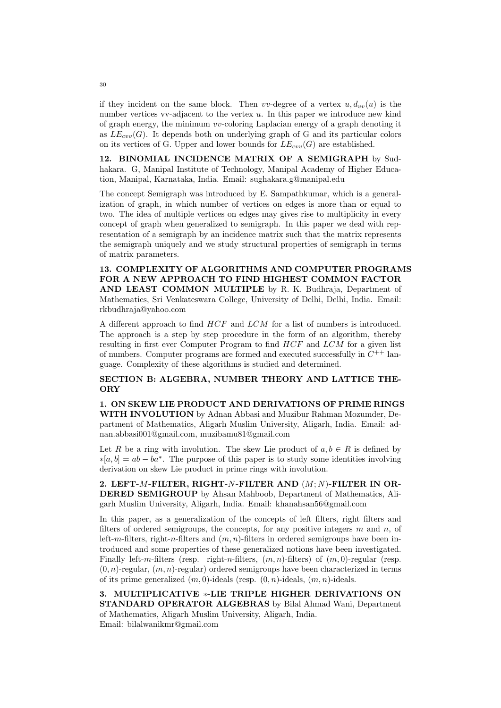if they incident on the same block. Then vv-degree of a vertex  $u, d_{vv}(u)$  is the number vertices vv-adjacent to the vertex  $u$ . In this paper we introduce new kind of graph energy, the minimum vv-coloring Laplacian energy of a graph denoting it as  $LE_{cuv}(G)$ . It depends both on underlying graph of G and its particular colors on its vertices of G. Upper and lower bounds for  $LE_{cw}(G)$  are established.

12. BINOMIAL INCIDENCE MATRIX OF A SEMIGRAPH by Sudhakara. G, Manipal Institute of Technology, Manipal Academy of Higher Education, Manipal, Karnataka, India. Email: sughakara.g@manipal.edu

The concept Semigraph was introduced by E. Sampathkumar, which is a generalization of graph, in which number of vertices on edges is more than or equal to two. The idea of multiple vertices on edges may gives rise to multiplicity in every concept of graph when generalized to semigraph. In this paper we deal with representation of a semigraph by an incidence matrix such that the matrix represents the semigraph uniquely and we study structural properties of semigraph in terms of matrix parameters.

13. COMPLEXITY OF ALGORITHMS AND COMPUTER PROGRAMS FOR A NEW APPROACH TO FIND HIGHEST COMMON FACTOR AND LEAST COMMON MULTIPLE by R. K. Budhraja, Department of Mathematics, Sri Venkateswara College, University of Delhi, Delhi, India. Email: rkbudhraja@yahoo.com

A different approach to find HCF and LCM for a list of numbers is introduced. The approach is a step by step procedure in the form of an algorithm, thereby resulting in first ever Computer Program to find HCF and LCM for a given list of numbers. Computer programs are formed and executed successfully in  $C^{++}$  language. Complexity of these algorithms is studied and determined.

SECTION B: ALGEBRA, NUMBER THEORY AND LATTICE THE-**ORY** 

1. ON SKEW LIE PRODUCT AND DERIVATIONS OF PRIME RINGS WITH INVOLUTION by Adnan Abbasi and Muzibur Rahman Mozumder, Department of Mathematics, Aligarh Muslim University, Aligarh, India. Email: adnan.abbasi001@gmail.com, muzibamu81@gmail.com

Let R be a ring with involution. The skew Lie product of  $a, b \in R$  is defined by  $*[a, b] = ab - ba^*$ . The purpose of this paper is to study some identities involving derivation on skew Lie product in prime rings with involution.

2. LEFT- $M$ -FILTER, RIGHT- $N$ -FILTER AND  $(M; N)$ -FILTER IN OR-DERED SEMIGROUP by Ahsan Mahboob, Department of Mathematics, Aligarh Muslim University, Aligarh, India. Email: khanahsan56@gmail.com

In this paper, as a generalization of the concepts of left filters, right filters and filters of ordered semigroups, the concepts, for any positive integers  $m$  and  $n$ , of left-m-filters, right-n-filters and  $(m, n)$ -filters in ordered semigroups have been introduced and some properties of these generalized notions have been investigated. Finally left-m-filters (resp. right-n-filters,  $(m, n)$ -filters) of  $(m, 0)$ -regular (resp.  $(0, n)$ -regular,  $(m, n)$ -regular) ordered semigroups have been characterized in terms of its prime generalized  $(m, 0)$ -ideals (resp.  $(0, n)$ -ideals,  $(m, n)$ -ideals.

3. MULTIPLICATIVE ∗-LIE TRIPLE HIGHER DERIVATIONS ON STANDARD OPERATOR ALGEBRAS by Bilal Ahmad Wani, Department of Mathematics, Aligarh Muslim University, Aligarh, India. Email: bilalwanikmr@gmail.com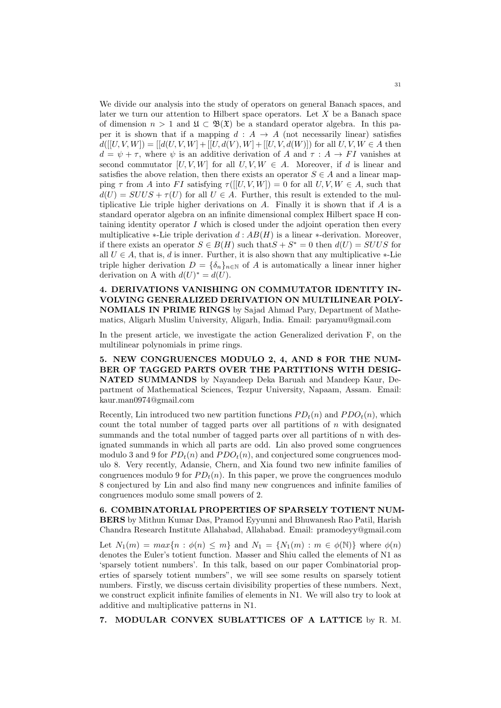We divide our analysis into the study of operators on general Banach spaces, and later we turn our attention to Hilbert space operators. Let  $X$  be a Banach space of dimension  $n > 1$  and  $\mathfrak{U} \subset \mathfrak{B}(\mathfrak{X})$  be a standard operator algebra. In this paper it is shown that if a mapping  $d : A \rightarrow A$  (not necessarily linear) satisfies  $d([U, V, W]) = [[d(U, V, W] + [[U, d(V), W] + [[U, V, d(W)])$  for all  $U, V, W \in A$  then  $d = \psi + \tau$ , where  $\psi$  is an additive derivation of A and  $\tau : A \to FI$  vanishes at second commutator  $[U, V, W]$  for all  $U, V, W \in A$ . Moreover, if d is linear and satisfies the above relation, then there exists an operator  $S \in A$  and a linear mapping  $\tau$  from A into FI satisfying  $\tau([[U, V, W]) = 0$  for all  $U, V, W \in A$ , such that  $d(U) = SUUS + \tau(U)$  for all  $U \in A$ . Further, this result is extended to the multiplicative Lie triple higher derivations on A. Finally it is shown that if  $A$  is a standard operator algebra on an infinite dimensional complex Hilbert space H containing identity operator  $I$  which is closed under the adjoint operation then every multiplicative ∗-Lie triple derivation  $d : AB(H)$  is a linear ∗-derivation. Moreover, if there exists an operator  $S \in B(H)$  such that  $S + S^* = 0$  then  $d(U) = SUUS$  for all  $U \in A$ , that is, d is inner. Further, it is also shown that any multiplicative  $*$ -Lie triple higher derivation  $D = {\delta_n}_{n \in \mathbb{N}}$  of A is automatically a linear inner higher derivation on A with  $d(U)^* = d(U)$ .

4. DERIVATIONS VANISHING ON COMMUTATOR IDENTITY IN-VOLVING GENERALIZED DERIVATION ON MULTILINEAR POLY-NOMIALS IN PRIME RINGS by Sajad Ahmad Pary, Department of Mathematics, Aligarh Muslim University, Aligarh, India. Email: paryamu@gmail.com

In the present article, we investigate the action Generalized derivation F, on the multilinear polynomials in prime rings.

5. NEW CONGRUENCES MODULO 2, 4, AND 8 FOR THE NUM-BER OF TAGGED PARTS OVER THE PARTITIONS WITH DESIG-NATED SUMMANDS by Nayandeep Deka Baruah and Mandeep Kaur, Department of Mathematical Sciences, Tezpur University, Napaam, Assam. Email: kaur.man0974@gmail.com

Recently, Lin introduced two new partition functions  $PD_t(n)$  and  $PD_t(n)$ , which count the total number of tagged parts over all partitions of  $n$  with designated summands and the total number of tagged parts over all partitions of n with designated summands in which all parts are odd. Lin also proved some congruences modulo 3 and 9 for  $PD_t(n)$  and  $PD_t(n)$ , and conjectured some congruences modulo 8. Very recently, Adansie, Chern, and Xia found two new infinite families of congruences modulo 9 for  $PD_t(n)$ . In this paper, we prove the congruences modulo 8 conjectured by Lin and also find many new congruences and infinite families of congruences modulo some small powers of 2.

6. COMBINATORIAL PROPERTIES OF SPARSELY TOTIENT NUM-BERS by Mithun Kumar Das, Pramod Eyyunni and Bhuwanesh Rao Patil, Harish Chandra Research Institute Allahabad, Allahabad. Email: pramodeyy@gmail.com

Let  $N_1(m) = max\{n : \phi(n) \leq m\}$  and  $N_1 = \{N_1(m) : m \in \phi(\mathbb{N})\}$  where  $\phi(n)$ denotes the Euler's totient function. Masser and Shiu called the elements of N1 as 'sparsely totient numbers'. In this talk, based on our paper Combinatorial properties of sparsely totient numbers", we will see some results on sparsely totient numbers. Firstly, we discuss certain divisibility properties of these numbers. Next, we construct explicit infinite families of elements in N1. We will also try to look at additive and multiplicative patterns in N1.

7. MODULAR CONVEX SUBLATTICES OF A LATTICE by R. M.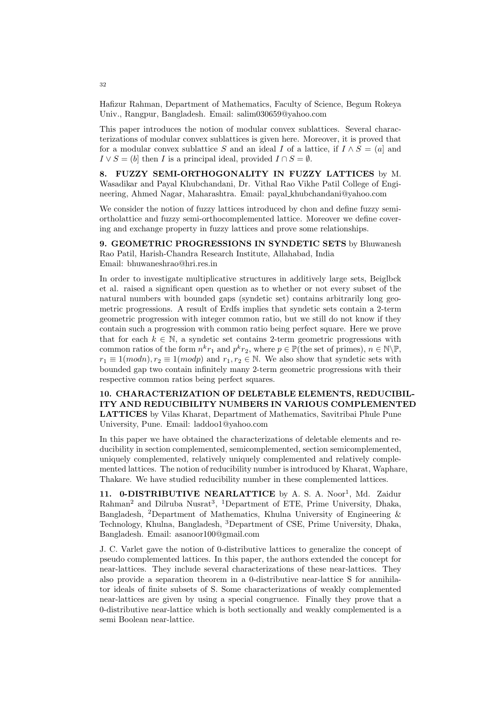Hafizur Rahman, Department of Mathematics, Faculty of Science, Begum Rokeya Univ., Rangpur, Bangladesh. Email: salim030659@yahoo.com

This paper introduces the notion of modular convex sublattices. Several characterizations of modular convex sublattices is given here. Moreover, it is proved that for a modular convex sublattice S and an ideal I of a lattice, if  $I \wedge S = (a]$  and  $I \vee S = (b]$  then I is a principal ideal, provided  $I \cap S = \emptyset$ .

8. FUZZY SEMI-ORTHOGONALITY IN FUZZY LATTICES by M. Wasadikar and Payal Khubchandani, Dr. Vithal Rao Vikhe Patil College of Engineering, Ahmed Nagar, Maharashtra. Email: payal khubchandani@yahoo.com

We consider the notion of fuzzy lattices introduced by chon and define fuzzy semiortholattice and fuzzy semi-orthocomplemented lattice. Moreover we define covering and exchange property in fuzzy lattices and prove some relationships.

9. GEOMETRIC PROGRESSIONS IN SYNDETIC SETS by Bhuwanesh Rao Patil, Harish-Chandra Research Institute, Allahabad, India Email: bhuwaneshrao@hri.res.in

In order to investigate multiplicative structures in additively large sets, Beiglbck et al. raised a significant open question as to whether or not every subset of the natural numbers with bounded gaps (syndetic set) contains arbitrarily long geometric progressions. A result of Erdfs implies that syndetic sets contain a 2-term geometric progression with integer common ratio, but we still do not know if they contain such a progression with common ratio being perfect square. Here we prove that for each  $k \in \mathbb{N}$ , a syndetic set contains 2-term geometric progressions with common ratios of the form  $n^k r_1$  and  $p^k r_2$ , where  $p \in \mathbb{P}$  (the set of primes),  $n \in \mathbb{N} \backslash \mathbb{P}$ ,  $r_1 \equiv 1 (modn), r_2 \equiv 1 (modp)$  and  $r_1, r_2 \in \mathbb{N}$ . We also show that syndetic sets with bounded gap two contain infinitely many 2-term geometric progressions with their respective common ratios being perfect squares.

10. CHARACTERIZATION OF DELETABLE ELEMENTS, REDUCIBIL-ITY AND REDUCIBILITY NUMBERS IN VARIOUS COMPLEMENTED LATTICES by Vilas Kharat, Department of Mathematics, Savitribai Phule Pune University, Pune. Email: laddoo1@yahoo.com

In this paper we have obtained the characterizations of deletable elements and reducibility in section complemented, semicomplemented, section semicomplemented, uniquely complemented, relatively uniquely complemented and relatively complemented lattices. The notion of reducibility number is introduced by Kharat, Waphare, Thakare. We have studied reducibility number in these complemented lattices.

11. 0-DISTRIBUTIVE NEARLATTICE by A. S. A. Noor<sup>1</sup>, Md. Zaidur Rahman<sup>2</sup> and Dilruba Nusrat<sup>3</sup>, <sup>1</sup>Department of ETE, Prime University, Dhaka, Bangladesh, <sup>2</sup>Department of Mathematics, Khulna University of Engineering  $\&$ Technology, Khulna, Bangladesh, <sup>3</sup>Department of CSE, Prime University, Dhaka, Bangladesh. Email: asanoor100@gmail.com

J. C. Varlet gave the notion of 0-distributive lattices to generalize the concept of pseudo complemented lattices. In this paper, the authors extended the concept for near-lattices. They include several characterizations of these near-lattices. They also provide a separation theorem in a 0-distributive near-lattice S for annihilator ideals of finite subsets of S. Some characterizations of weakly complemented near-lattices are given by using a special congruence. Finally they prove that a 0-distributive near-lattice which is both sectionally and weakly complemented is a semi Boolean near-lattice.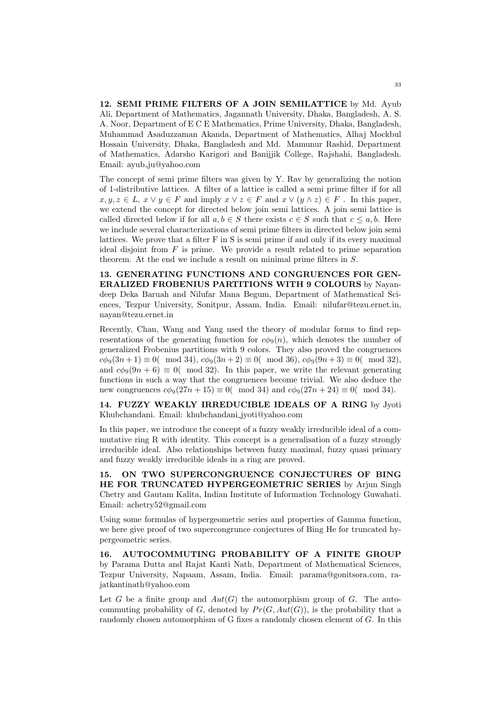12. SEMI PRIME FILTERS OF A JOIN SEMILATTICE by Md. Ayub Ali, Department of Mathematics, Jagannath University, Dhaka, Bangladesh, A. S. A. Noor, Department of E C E Mathematics, Prime University, Dhaka, Bangladesh, Muhammad Asaduzzaman Akanda, Department of Mathematics, Alhaj Mockbul Hossain University, Dhaka, Bangladesh and Md. Mamunur Rashid, Department of Mathematics, Adarsho Karigori and Banijjik College, Rajshahi, Bangladesh. Email: ayub ju@yahoo.com

The concept of semi prime filters was given by Y. Rav by generalizing the notion of 1-distributive lattices. A filter of a lattice is called a semi prime filter if for all  $x, y, z \in L$ ,  $x \vee y \in F$  and imply  $x \vee z \in F$  and  $x \vee (y \wedge z) \in F$ . In this paper, we extend the concept for directed below join semi lattices. A join semi lattice is called directed below if for all  $a, b \in S$  there exists  $c \in S$  such that  $c \leq a, b$ . Here we include several characterizations of semi prime filters in directed below join semi lattices. We prove that a filter F in S is semi prime if and only if its every maximal ideal disjoint from  $F$  is prime. We provide a result related to prime separation theorem. At the end we include a result on minimal prime filters in S.

13. GENERATING FUNCTIONS AND CONGRUENCES FOR GEN-ERALIZED FROBENIUS PARTITIONS WITH 9 COLOURS by Nayandeep Deka Baruah and Nilufar Mana Begum, Department of Mathematical Sciences, Tezpur University, Sonitpur, Assam, India. Email: nilufar@tezu.ernet.in, nayan@tezu.ernet.in

Recently, Chan, Wang and Yang used the theory of modular forms to find representations of the generating function for  $c\phi_9(n)$ , which denotes the number of generalized Frobenius partitions with 9 colors. They also proved the congruences  $c\phi_9(3n+1) \equiv 0 \pmod{34}$ ,  $c\phi_9(3n+2) \equiv 0 \pmod{36}$ ,  $c\phi_9(9n+3) \equiv 0 \pmod{32}$ , and  $c\phi_9(9n+6) \equiv 0 \pmod{32}$ . In this paper, we write the relevant generating functions in such a way that the congruences become trivial. We also deduce the new congruences  $c\phi_9(27n + 15) \equiv 0 \pmod{34}$  and  $c\phi_9(27n + 24) \equiv 0 \pmod{34}$ .

14. FUZZY WEAKLY IRREDUCIBLE IDEALS OF A RING by Jyoti Khubchandani. Email: khubchandani jyoti@yahoo.com

In this paper, we introduce the concept of a fuzzy weakly irreducible ideal of a commutative ring R with identity. This concept is a generalisation of a fuzzy strongly irreducible ideal. Also relationships between fuzzy maximal, fuzzy quasi primary and fuzzy weakly irreducible ideals in a ring are proved.

15. ON TWO SUPERCONGRUENCE CONJECTURES OF BING HE FOR TRUNCATED HYPERGEOMETRIC SERIES by Arjun Singh Chetry and Gautam Kalita, Indian Institute of Information Technology Guwahati. Email: achetry52@gmail.com

Using some formulas of hypergeometric series and properties of Gamma function, we here give proof of two supercongrunce conjectures of Bing He for truncated hypergeometric series.

16. AUTOCOMMUTING PROBABILITY OF A FINITE GROUP by Parama Dutta and Rajat Kanti Nath, Department of Mathematical Sciences, Tezpur University, Napaam, Assam, India. Email: parama@gonitsora.com, rajatkantinath@yahoo.com

Let G be a finite group and  $Aut(G)$  the automorphism group of G. The autocommuting probability of G, denoted by  $Pr(G, Aut(G))$ , is the probability that a randomly chosen automorphism of G fixes a randomly chosen element of G. In this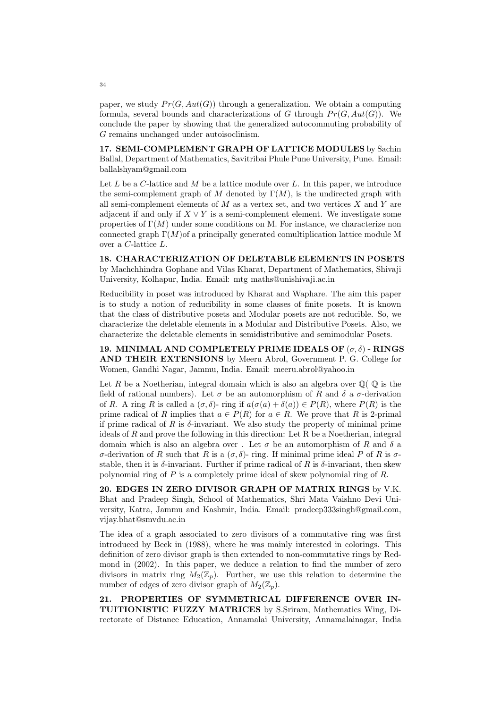paper, we study  $Pr(G, Aut(G))$  through a generalization. We obtain a computing formula, several bounds and characterizations of G through  $Pr(G, Aut(G))$ . We conclude the paper by showing that the generalized autocommuting probability of G remains unchanged under autoisoclinism.

17. SEMI-COMPLEMENT GRAPH OF LATTICE MODULES by Sachin Ballal, Department of Mathematics, Savitribai Phule Pune University, Pune. Email: ballalshyam@gmail.com

Let L be a C-lattice and M be a lattice module over L. In this paper, we introduce the semi-complement graph of M denoted by  $\Gamma(M)$ , is the undirected graph with all semi-complement elements of  $M$  as a vertex set, and two vertices  $X$  and  $Y$  are adjacent if and only if  $X \vee Y$  is a semi-complement element. We investigate some properties of  $\Gamma(M)$  under some conditions on M. For instance, we characterize non connected graph  $\Gamma(M)$  of a principally generated comultiplication lattice module M over a C-lattice L.

18. CHARACTERIZATION OF DELETABLE ELEMENTS IN POSETS by Machchhindra Gophane and Vilas Kharat, Department of Mathematics, Shivaji University, Kolhapur, India. Email: mtg maths@unishivaji.ac.in

Reducibility in poset was introduced by Kharat and Waphare. The aim this paper is to study a notion of reducibility in some classes of finite posets. It is known that the class of distributive posets and Modular posets are not reducible. So, we characterize the deletable elements in a Modular and Distributive Posets. Also, we characterize the deletable elements in semidistributive and semimodular Posets.

19. MINIMAL AND COMPLETELY PRIME IDEALS OF  $(\sigma, \delta)$  - RINGS AND THEIR EXTENSIONS by Meeru Abrol, Government P. G. College for Women, Gandhi Nagar, Jammu, India. Email: meeru.abrol@yahoo.in

Let R be a Noetherian, integral domain which is also an algebra over  $\mathbb{Q}(\mathbb{Q})$  is the field of rational numbers). Let  $\sigma$  be an automorphism of R and  $\delta$  a  $\sigma$ -derivation of R. A ring R is called a  $(\sigma, \delta)$ - ring if  $a(\sigma(a) + \delta(a)) \in P(R)$ , where  $P(R)$  is the prime radical of R implies that  $a \in P(R)$  for  $a \in R$ . We prove that R is 2-primal if prime radical of R is  $\delta$ -invariant. We also study the property of minimal prime ideals of  $R$  and prove the following in this direction: Let  $R$  be a Noetherian, integral domain which is also an algebra over . Let  $\sigma$  be an automorphism of R and  $\delta$  a σ-derivation of R such that R is a  $(σ, δ)$ - ring. If minimal prime ideal P of R is σstable, then it is  $\delta$ -invariant. Further if prime radical of R is  $\delta$ -invariant, then skew polynomial ring of  $P$  is a completely prime ideal of skew polynomial ring of  $R$ .

20. EDGES IN ZERO DIVISOR GRAPH OF MATRIX RINGS by V.K. Bhat and Pradeep Singh, School of Mathematics, Shri Mata Vaishno Devi University, Katra, Jammu and Kashmir, India. Email: pradeep333singh@gmail.com, vijay.bhat@smvdu.ac.in

The idea of a graph associated to zero divisors of a commutative ring was first introduced by Beck in (1988), where he was mainly interested in colorings. This definition of zero divisor graph is then extended to non-commutative rings by Redmond in (2002). In this paper, we deduce a relation to find the number of zero divisors in matrix ring  $M_2(\mathbb{Z}_p)$ . Further, we use this relation to determine the number of edges of zero divisor graph of  $M_2(\mathbb{Z}_n)$ .

21. PROPERTIES OF SYMMETRICAL DIFFERENCE OVER IN-TUITIONISTIC FUZZY MATRICES by S.Sriram, Mathematics Wing, Directorate of Distance Education, Annamalai University, Annamalainagar, India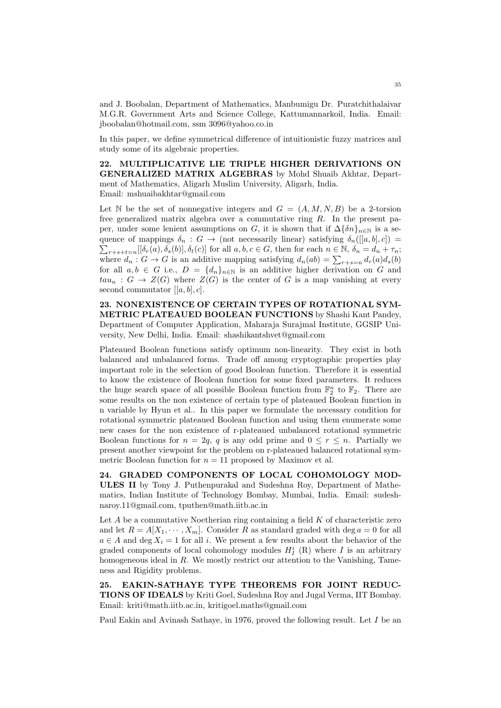and J. Boobalan, Department of Mathematics, Manbumigu Dr. Puratchithalaivar M.G.R. Government Arts and Science College, Kattumannarkoil, India. Email: jboobalan@hotmail.com, ssm 3096@yahoo.co.in

In this paper, we define symmetrical difference of intuitionistic fuzzy matrices and study some of its algebraic properties.

22. MULTIPLICATIVE LIE TRIPLE HIGHER DERIVATIONS ON GENERALIZED MATRIX ALGEBRAS by Mohd Shuaib Akhtar, Department of Mathematics, Aligarh Muslim University, Aligarh, India. Email: mshuaibakhtar@gmail.com

Let N be the set of nonnegative integers and  $G = (A, M, N, B)$  be a 2-torsion free generalized matrix algebra over a commutative ring  $R$ . In the present paper, under some lenient assumptions on G, it is shown that if  $\Delta\{\delta n\}_{n\in\mathbb{N}}$  is a sequence of mappings  $\delta_n : G \to$  (not necessarily linear) satisfying  $\delta_n([[a, b], c]) =$  $\sum_{r+s+t=n} [[\delta_r(a), \delta_s(b)], \delta_t(c)]$  for all  $a, b, c \in G$ , then for each  $n \in \mathbb{N}$ ,  $\delta_n = d_n + \tau_n$ ; where  $d_n: G \to G$  is an additive mapping satisfying  $d_n(ab) = \sum_{r+s=n} d_r(a)d_s(b)$ for all  $a, b \in G$  i.e.,  $D = \{d_n\}_{n\in\mathbb{N}}$  is an additive higher derivation on G and  $tau_n: G \to Z(G)$  where  $Z(G)$  is the center of G is a map vanishing at every second commutator  $[[a, b], c]$ .

23. NONEXISTENCE OF CERTAIN TYPES OF ROTATIONAL SYM-METRIC PLATEAUED BOOLEAN FUNCTIONS by Shashi Kant Pandey, Department of Computer Application, Maharaja Surajmal Institute, GGSIP University, New Delhi, India. Email: shashikantshvet@gmail.com

Plateaued Boolean functions satisfy optimum non-linearity. They exist in both balanced and unbalanced forms. Trade off among cryptographic properties play important role in the selection of good Boolean function. Therefore it is essential to know the existence of Boolean function for some fixed parameters. It reduces the huge search space of all possible Boolean function from  $\mathbb{F}_2^n$  to  $\mathbb{F}_2$ . There are some results on the non existence of certain type of plateaued Boolean function in n variable by Hyun et al.. In this paper we formulate the necessary condition for rotational symmetric plateaued Boolean function and using them enumerate some new cases for the non existence of r-plateaued unbalanced rotational symmetric Boolean functions for  $n = 2q$ , q is any odd prime and  $0 \leq r \leq n$ . Partially we present another viewpoint for the problem on r-plateaued balanced rotational symmetric Boolean function for  $n = 11$  proposed by Maximov et al.

24. GRADED COMPONENTS OF LOCAL COHOMOLOGY MOD-ULES II by Tony J. Puthenpurakal and Sudeshna Roy, Department of Mathematics, Indian Institute of Technology Bombay, Mumbai, India. Email: sudeshnaroy.11@gmail.com, tputhen@math.iitb.ac.in

Let  $A$  be a commutative Noetherian ring containing a field  $K$  of characteristic zero and let  $R = A[X_1, \dots, X_m]$ . Consider R as standard graded with deg  $a = 0$  for all  $a \in A$  and deg  $X_i = 1$  for all i. We present a few results about the behavior of the graded components of local cohomology modules  $H_I^i$  (R) where I is an arbitrary homogeneous ideal in R. We mostly restrict our attention to the Vanishing, Tameness and Rigidity problems.

25. EAKIN-SATHAYE TYPE THEOREMS FOR JOINT REDUC-TIONS OF IDEALS by Kriti Goel, Sudeshna Roy and Jugal Verma, IIT Bombay. Email: kriti@math.iitb.ac.in, kritigoel.maths@gmail.com

Paul Eakin and Avinash Sathaye, in 1976, proved the following result. Let I be an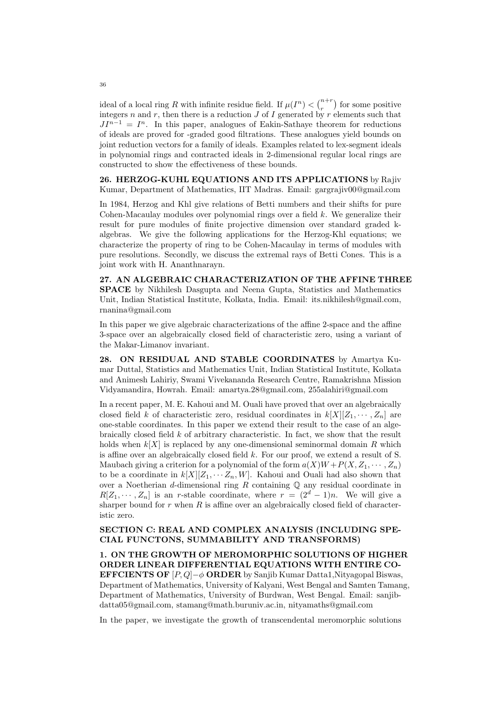ideal of a local ring R with infinite residue field. If  $\mu(I^n) < \binom{n+r}{r}$  for some positive integers  $n$  and  $r$ , then there is a reduction  $J$  of  $I$  generated by  $r$  elements such that  $JI^{n-1} = I^n$ . In this paper, analogues of Eakin-Sathaye theorem for reductions of ideals are proved for -graded good filtrations. These analogues yield bounds on joint reduction vectors for a family of ideals. Examples related to lex-segment ideals in polynomial rings and contracted ideals in 2-dimensional regular local rings are constructed to show the effectiveness of these bounds.

26. HERZOG-KUHL EQUATIONS AND ITS APPLICATIONS by Rajiv Kumar, Department of Mathematics, IIT Madras. Email: gargrajiv00@gmail.com

In 1984, Herzog and Khl give relations of Betti numbers and their shifts for pure Cohen-Macaulay modules over polynomial rings over a field k. We generalize their result for pure modules of finite projective dimension over standard graded kalgebras. We give the following applications for the Herzog-Khl equations; we characterize the property of ring to be Cohen-Macaulay in terms of modules with pure resolutions. Secondly, we discuss the extremal rays of Betti Cones. This is a joint work with H. Ananthnarayn.

27. AN ALGEBRAIC CHARACTERIZATION OF THE AFFINE THREE SPACE by Nikhilesh Dasgupta and Neena Gupta, Statistics and Mathematics Unit, Indian Statistical Institute, Kolkata, India. Email: its.nikhilesh@gmail.com, rnanina@gmail.com

In this paper we give algebraic characterizations of the affine 2-space and the affine 3-space over an algebraically closed field of characteristic zero, using a variant of the Makar-Limanov invariant.

28. ON RESIDUAL AND STABLE COORDINATES by Amartya Kumar Duttal, Statistics and Mathematics Unit, Indian Statistical Institute, Kolkata and Animesh Lahiriy, Swami Vivekananda Research Centre, Ramakrishna Mission Vidyamandira, Howrah. Email: amartya.28@gmail.com, 255alahiri@gmail.com

In a recent paper, M. E. Kahoui and M. Ouali have proved that over an algebraically closed field k of characteristic zero, residual coordinates in  $k[X][Z_1, \cdots, Z_n]$  are one-stable coordinates. In this paper we extend their result to the case of an algebraically closed field k of arbitrary characteristic. In fact, we show that the result holds when  $k[X]$  is replaced by any one-dimensional seminormal domain R which is affine over an algebraically closed field k. For our proof, we extend a result of S. Maubach giving a criterion for a polynomial of the form  $a(X)W + P(X, Z_1, \dots, Z_n)$ to be a coordinate in  $k[X][Z_1, \cdots Z_n, W]$ . Kahoui and Ouali had also shown that over a Noetherian d-dimensional ring  $R$  containing  $\mathbb Q$  any residual coordinate in  $R[Z_1, \dots, Z_n]$  is an r-stable coordinate, where  $r = (2^d - 1)n$ . We will give a sharper bound for r when  $R$  is affine over an algebraically closed field of characteristic zero.

## SECTION C: REAL AND COMPLEX ANALYSIS (INCLUDING SPE-CIAL FUNCTONS, SUMMABILITY AND TRANSFORMS)

1. ON THE GROWTH OF MEROMORPHIC SOLUTIONS OF HIGHER ORDER LINEAR DIFFERENTIAL EQUATIONS WITH ENTIRE CO-**EFFCIENTS OF**  $[P,Q]-\phi$  **ORDER** by Sanjib Kumar Datta1, Nityagopal Biswas, Department of Mathematics, University of Kalyani, West Bengal and Samten Tamang, Department of Mathematics, University of Burdwan, West Bengal. Email: sanjibdatta05@gmail.com, stamang@math.buruniv.ac.in, nityamaths@gmail.com

In the paper, we investigate the growth of transcendental meromorphic solutions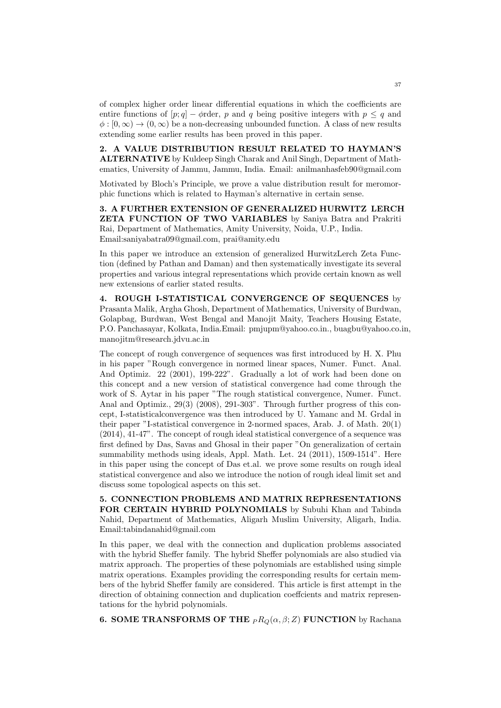of complex higher order linear differential equations in which the coefficients are entire functions of  $[p; q] - \phi$ rder, p and q being positive integers with  $p \leq q$  and  $\phi : [0, \infty) \to (0, \infty)$  be a non-decreasing unbounded function. A class of new results extending some earlier results has been proved in this paper.

2. A VALUE DISTRIBUTION RESULT RELATED TO HAYMAN'S ALTERNATIVE by Kuldeep Singh Charak and Anil Singh, Department of Mathematics, University of Jammu, Jammu, India. Email: anilmanhasfeb90@gmail.com

Motivated by Bloch's Principle, we prove a value distribution result for meromorphic functions which is related to Hayman's alternative in certain sense.

3. A FURTHER EXTENSION OF GENERALIZED HURWITZ LERCH ZETA FUNCTION OF TWO VARIABLES by Saniya Batra and Prakriti Rai, Department of Mathematics, Amity University, Noida, U.P., India. Email:saniyabatra09@gmail.com, prai@amity.edu

In this paper we introduce an extension of generalized HurwitzLerch Zeta Function (defined by Pathan and Daman) and then systematically investigate its several properties and various integral representations which provide certain known as well new extensions of earlier stated results.

4. ROUGH I-STATISTICAL CONVERGENCE OF SEQUENCES by Prasanta Malik, Argha Ghosh, Department of Mathematics, University of Burdwan, Golapbag, Burdwan, West Bengal and Manojit Maity, Teachers Housing Estate, P.O. Panchasayar, Kolkata, India.Email: pmjupm@yahoo.co.in., buagbu@yahoo.co.in, manojitm@research.jdvu.ac.in

The concept of rough convergence of sequences was first introduced by H. X. Phu in his paper "Rough convergence in normed linear spaces, Numer. Funct. Anal. And Optimiz. 22 (2001), 199-222". Gradually a lot of work had been done on this concept and a new version of statistical convergence had come through the work of S. Aytar in his paper "The rough statistical convergence, Numer. Funct. Anal and Optimiz., 29(3) (2008), 291-303". Through further progress of this concept, I-statisticalconvergence was then introduced by U. Yamanc and M. Grdal in their paper "I-statistical convergence in 2-normed spaces, Arab. J. of Math. 20(1) (2014), 41-47". The concept of rough ideal statistical convergence of a sequence was first defined by Das, Savas and Ghosal in their paper "On generalization of certain summability methods using ideals, Appl. Math. Let. 24 (2011), 1509-1514". Here in this paper using the concept of Das et.al. we prove some results on rough ideal statistical convergence and also we introduce the notion of rough ideal limit set and discuss some topological aspects on this set.

5. CONNECTION PROBLEMS AND MATRIX REPRESENTATIONS FOR CERTAIN HYBRID POLYNOMIALS by Subuhi Khan and Tabinda Nahid, Department of Mathematics, Aligarh Muslim University, Aligarh, India. Email:tabindanahid@gmail.com

In this paper, we deal with the connection and duplication problems associated with the hybrid Sheffer family. The hybrid Sheffer polynomials are also studied via matrix approach. The properties of these polynomials are established using simple matrix operations. Examples providing the corresponding results for certain members of the hybrid Sheffer family are considered. This article is first attempt in the direction of obtaining connection and duplication coeffcients and matrix representations for the hybrid polynomials.

**6. SOME TRANSFORMS OF THE**  $PR_Q(\alpha, \beta; Z)$  FUNCTION by Rachana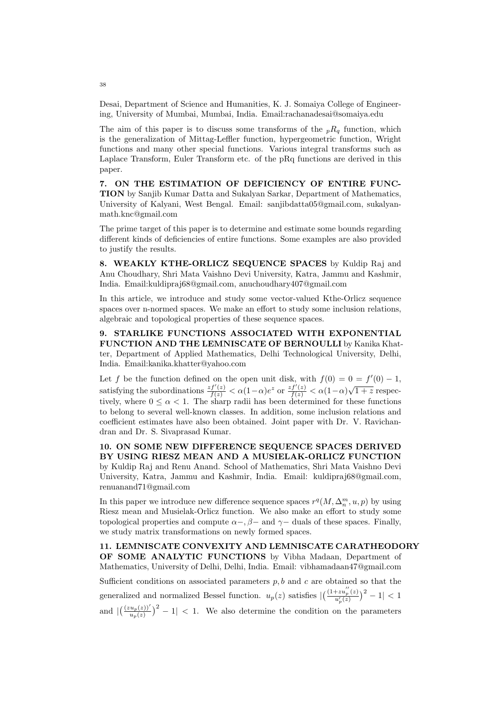Desai, Department of Science and Humanities, K. J. Somaiya College of Engineering, University of Mumbai, Mumbai, India. Email:rachanadesai@somaiya.edu

The aim of this paper is to discuss some transforms of the  ${}_{p}R_{q}$  function, which is the generalization of Mittag-Leffler function, hypergeometric function, Wright functions and many other special functions. Various integral transforms such as Laplace Transform, Euler Transform etc. of the pRq functions are derived in this paper.

7. ON THE ESTIMATION OF DEFICIENCY OF ENTIRE FUNC-TION by Sanjib Kumar Datta and Sukalyan Sarkar, Department of Mathematics, University of Kalyani, West Bengal. Email: sanjibdatta05@gmail.com, sukalyanmath.knc@gmail.com

The prime target of this paper is to determine and estimate some bounds regarding different kinds of deficiencies of entire functions. Some examples are also provided to justify the results.

8. WEAKLY KTHE-ORLICZ SEQUENCE SPACES by Kuldip Raj and Anu Choudhary, Shri Mata Vaishno Devi University, Katra, Jammu and Kashmir, India. Email:kuldipraj68@gmail.com, anuchoudhary407@gmail.com

In this article, we introduce and study some vector-valued Kthe-Orlicz sequence spaces over n-normed spaces. We make an effort to study some inclusion relations, algebraic and topological properties of these sequence spaces.

9. STARLIKE FUNCTIONS ASSOCIATED WITH EXPONENTIAL FUNCTION AND THE LEMNISCATE OF BERNOULLI by Kanika Khatter, Department of Applied Mathematics, Delhi Technological University, Delhi, India. Email:kanika.khatter@yahoo.com

Let f be the function defined on the open unit disk, with  $f(0) = 0 = f'(0) - 1$ , Let *f* be the function defined one open time disk, which  $f(σ) = σ - f(σ)$  i,<br>satisfying the subordinations  $\frac{zf'(z)}{f(z)} < α(1-α)e^z$  or  $\frac{zf'(z)}{f(z)} < α(1-α)\sqrt{1+z}$  respectively, where  $0 \leq \alpha < 1$ . The sharp radii has been determined for these functions to belong to several well-known classes. In addition, some inclusion relations and coefficient estimates have also been obtained. Joint paper with Dr. V. Ravichandran and Dr. S. Sivaprasad Kumar.

10. ON SOME NEW DIFFERENCE SEQUENCE SPACES DERIVED BY USING RIESZ MEAN AND A MUSIELAK-ORLICZ FUNCTION by Kuldip Raj and Renu Anand. School of Mathematics, Shri Mata Vaishno Devi University, Katra, Jammu and Kashmir, India. Email: kuldipraj68@gmail.com, renuanand71@gmail.com

In this paper we introduce new difference sequence spaces  $r^q(M, \Delta_n^m, u, p)$  by using Riesz mean and Musielak-Orlicz function. We also make an effort to study some topological properties and compute  $\alpha-\beta$  and  $\gamma$  duals of these spaces. Finally, we study matrix transformations on newly formed spaces.

11. LEMNISCATE CONVEXITY AND LEMNISCATE CARATHEODORY OF SOME ANALYTIC FUNCTIONS by Vibha Madaan, Department of Mathematics, University of Delhi, Delhi, India. Email: vibhamadaan47@gmail.com

Sufficient conditions on associated parameters  $p, b$  and  $c$  are obtained so that the generalized and normalized Bessel function.  $u_p(z)$  satisfies  $\left| \frac{1+z u_p''(z)}{u'(z)} \right|$  $\frac{+zu_p^{\scriptscriptstyle o}(z)}{u_p'(z)}\big)^2-1|<1$ and  $\left|\left(\frac{(zu_p(z))'}{u_p(z)}\right)^2-1\right| < 1$ . We also determine the condition on the parameters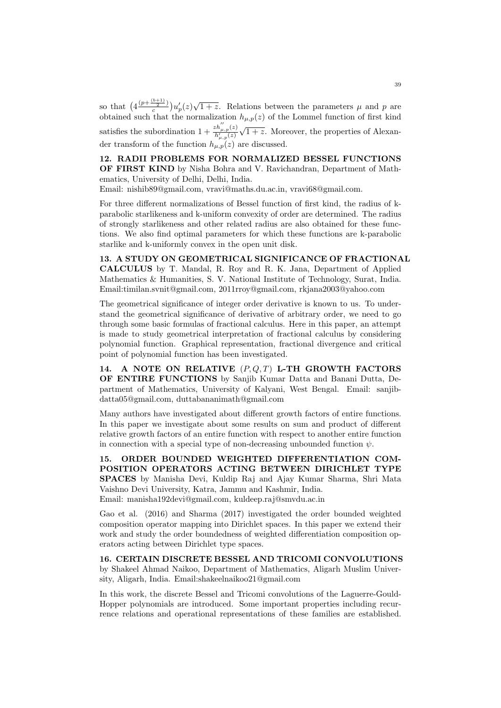so that  $\left(4\frac{\left(p+\frac{\left(b+1\right)}{2}\right)}{c}\right)$  $\frac{2}{c} \left( \frac{2}{c} \right) u'_p(z) \sqrt{1+z}$ . Relations between the parameters  $\mu$  and  $p$  are obtained such that the normalization  $h_{\mu,p}(z)$  of the Lommel function of first kind satisfies the subordination  $1 + \frac{zh_{\mu,p}^{\gamma}(z)}{h_{\mu,p}^{\prime}(z)}$  $\sqrt{1+z}$ . Moreover, the properties of Alexander transform of the function  $h_{\mu,p}(z)$  are discussed.

12. RADII PROBLEMS FOR NORMALIZED BESSEL FUNCTIONS OF FIRST KIND by Nisha Bohra and V. Ravichandran, Department of Mathematics, University of Delhi, Delhi, India.

Email: nishib89@gmail.com, vravi@maths.du.ac.in, vravi68@gmail.com.

For three different normalizations of Bessel function of first kind, the radius of kparabolic starlikeness and k-uniform convexity of order are determined. The radius of strongly starlikeness and other related radius are also obtained for these functions. We also find optimal parameters for which these functions are k-parabolic starlike and k-uniformly convex in the open unit disk.

13. A STUDY ON GEOMETRICAL SIGNIFICANCE OF FRACTIONAL CALCULUS by T. Mandal, R. Roy and R. K. Jana, Department of Applied Mathematics & Humanities, S. V. National Institute of Technology, Surat, India. Email:timilan.svnit@gmail.com, 2011rroy@gmail.com, rkjana2003@yahoo.com

The geometrical significance of integer order derivative is known to us. To understand the geometrical significance of derivative of arbitrary order, we need to go through some basic formulas of fractional calculus. Here in this paper, an attempt is made to study geometrical interpretation of fractional calculus by considering polynomial function. Graphical representation, fractional divergence and critical point of polynomial function has been investigated.

14. A NOTE ON RELATIVE  $(P,Q,T)$  L-TH GROWTH FACTORS OF ENTIRE FUNCTIONS by Sanjib Kumar Datta and Banani Dutta, Department of Mathematics, University of Kalyani, West Bengal. Email: sanjibdatta05@gmail.com, duttabananimath@gmail.com

Many authors have investigated about different growth factors of entire functions. In this paper we investigate about some results on sum and product of different relative growth factors of an entire function with respect to another entire function in connection with a special type of non-decreasing unbounded function  $\psi$ .

15. ORDER BOUNDED WEIGHTED DIFFERENTIATION COM-POSITION OPERATORS ACTING BETWEEN DIRICHLET TYPE SPACES by Manisha Devi, Kuldip Raj and Ajay Kumar Sharma, Shri Mata Vaishno Devi University, Katra, Jammu and Kashmir, India. Email: manisha192devi@gmail.com, kuldeep.raj@smvdu.ac.in

Gao et al. (2016) and Sharma (2017) investigated the order bounded weighted composition operator mapping into Dirichlet spaces. In this paper we extend their work and study the order boundedness of weighted differentiation composition operators acting between Dirichlet type spaces.

16. CERTAIN DISCRETE BESSEL AND TRICOMI CONVOLUTIONS by Shakeel Ahmad Naikoo, Department of Mathematics, Aligarh Muslim University, Aligarh, India. Email:shakeelnaikoo21@gmail.com

In this work, the discrete Bessel and Tricomi convolutions of the Laguerre-Gould-Hopper polynomials are introduced. Some important properties including recurrence relations and operational representations of these families are established.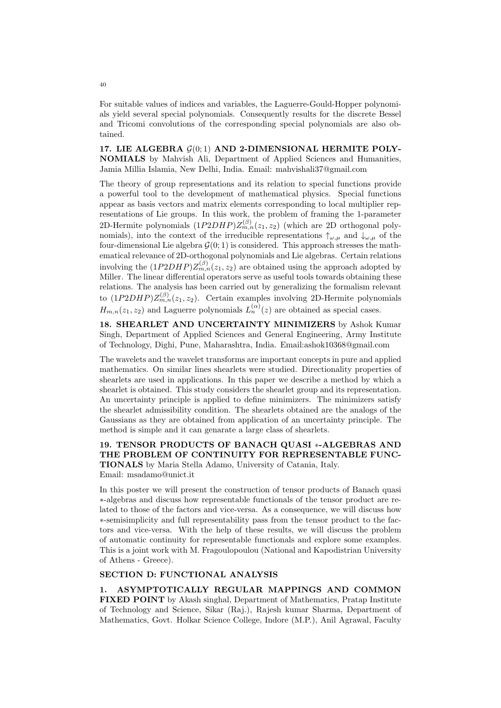For suitable values of indices and variables, the Laguerre-Gould-Hopper polynomials yield several special polynomials. Consequently results for the discrete Bessel and Tricomi convolutions of the corresponding special polynomials are also obtained.

17. LIE ALGEBRA  $\mathcal{G}(0;1)$  AND 2-DIMENSIONAL HERMITE POLY-NOMIALS by Mahvish Ali, Department of Applied Sciences and Humanities, Jamia Millia Islamia, New Delhi, India. Email: mahvishali37@gmail.com

The theory of group representations and its relation to special functions provide a powerful tool to the development of mathematical physics. Special functions appear as basis vectors and matrix elements corresponding to local multiplier representations of Lie groups. In this work, the problem of framing the 1-parameter 2D-Hermite polynomials  $(1P2DHP)Z_{m,n}^{(\beta)}(z_1, z_2)$  (which are 2D orthogonal polynomials), into the context of the irreducible representations  $\uparrow_{\omega,\mu}$  and  $\downarrow_{\omega,\mu}$  of the four-dimensional Lie algebra  $\mathcal{G}(0, 1)$  is considered. This approach stresses the mathematical relevance of 2D-orthogonal polynomials and Lie algebras. Certain relations involving the  $(1P2DHP)Z_{m,n}^{(\beta)}(z_1, z_2)$  are obtained using the approach adopted by Miller. The linear differential operators serve as useful tools towards obtaining these relations. The analysis has been carried out by generalizing the formalism relevant to  $(1P2DHP)Z_{m,n}^{(\beta)}(z_1, z_2)$ . Certain examples involving 2D-Hermite polynomials  $H_{m,n}(z_1, z_2)$  and Laguerre polynomials  $L_n^{(\alpha)}(z)$  are obtained as special cases.

18. SHEARLET AND UNCERTAINTY MINIMIZERS by Ashok Kumar Singh, Department of Applied Sciences and General Engineering, Army Institute of Technology, Dighi, Pune, Maharashtra, India. Email:ashok10368@gmail.com

The wavelets and the wavelet transforms are important concepts in pure and applied mathematics. On similar lines shearlets were studied. Directionality properties of shearlets are used in applications. In this paper we describe a method by which a shearlet is obtained. This study considers the shearlet group and its representation. An uncertainty principle is applied to define minimizers. The minimizers satisfy the shearlet admissibility condition. The shearlets obtained are the analogs of the Gaussians as they are obtained from application of an uncertainty principle. The method is simple and it can genarate a large class of shearlets.

19. TENSOR PRODUCTS OF BANACH QUASI ∗-ALGEBRAS AND THE PROBLEM OF CONTINUITY FOR REPRESENTABLE FUNC-TIONALS by Maria Stella Adamo, University of Catania, Italy. Email: msadamo@unict.it

In this poster we will present the construction of tensor products of Banach quasi ∗-algebras and discuss how representable functionals of the tensor product are related to those of the factors and vice-versa. As a consequence, we will discuss how ∗-semisimplicity and full representability pass from the tensor product to the factors and vice-versa. With the help of these results, we will discuss the problem of automatic continuity for representable functionals and explore some examples. This is a joint work with M. Fragoulopoulou (National and Kapodistrian University of Athens - Greece).

## SECTION D: FUNCTIONAL ANALYSIS

1. ASYMPTOTICALLY REGULAR MAPPINGS AND COMMON FIXED POINT by Akash singhal, Department of Mathematics, Pratap Institute of Technology and Science, Sikar (Raj.), Rajesh kumar Sharma, Department of Mathematics, Govt. Holkar Science College, Indore (M.P.), Anil Agrawal, Faculty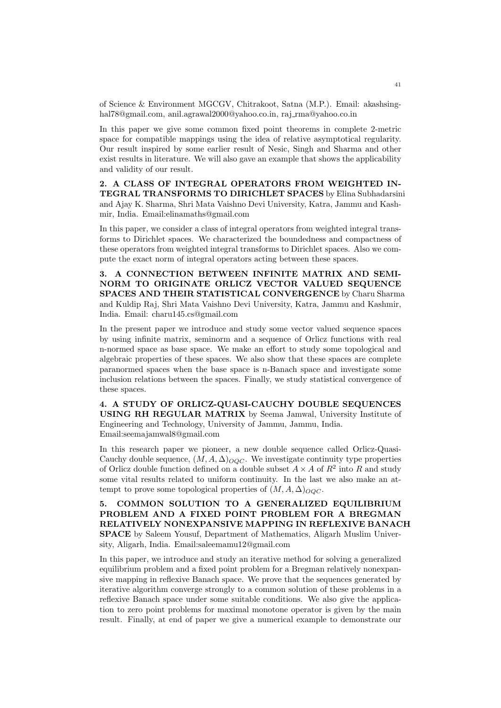of Science & Environment MGCGV, Chitrakoot, Satna (M.P.). Email: akashsinghal78@gmail.com, anil.agrawal2000@yahoo.co.in, raj\_rma@yahoo.co.in

In this paper we give some common fixed point theorems in complete 2-metric space for compatible mappings using the idea of relative asymptotical regularity. Our result inspired by some earlier result of Nesic, Singh and Sharma and other exist results in literature. We will also gave an example that shows the applicability and validity of our result.

2. A CLASS OF INTEGRAL OPERATORS FROM WEIGHTED IN-TEGRAL TRANSFORMS TO DIRICHLET SPACES by Elina Subhadarsini and Ajay K. Sharma, Shri Mata Vaishno Devi University, Katra, Jammu and Kashmir, India. Email:elinamaths@gmail.com

In this paper, we consider a class of integral operators from weighted integral transforms to Dirichlet spaces. We characterized the boundedness and compactness of these operators from weighted integral transforms to Dirichlet spaces. Also we compute the exact norm of integral operators acting between these spaces.

3. A CONNECTION BETWEEN INFINITE MATRIX AND SEMI-NORM TO ORIGINATE ORLICZ VECTOR VALUED SEQUENCE SPACES AND THEIR STATISTICAL CONVERGENCE by Charu Sharma and Kuldip Raj, Shri Mata Vaishno Devi University, Katra, Jammu and Kashmir, India. Email: charu145.cs@gmail.com

In the present paper we introduce and study some vector valued sequence spaces by using infinite matrix, seminorm and a sequence of Orlicz functions with real n-normed space as base space. We make an effort to study some topological and algebraic properties of these spaces. We also show that these spaces are complete paranormed spaces when the base space is n-Banach space and investigate some inclusion relations between the spaces. Finally, we study statistical convergence of these spaces.

4. A STUDY OF ORLICZ-QUASI-CAUCHY DOUBLE SEQUENCES USING RH REGULAR MATRIX by Seema Jamwal, University Institute of Engineering and Technology, University of Jammu, Jammu, India. Email:seemajamwal8@gmail.com

In this research paper we pioneer, a new double sequence called Orlicz-Quasi-Cauchy double sequence,  $(M, A, \Delta)_{OOC}$ . We investigate continuity type properties of Orlicz double function defined on a double subset  $A \times A$  of  $R^2$  into R and study some vital results related to uniform continuity. In the last we also make an attempt to prove some topological properties of  $(M, A, \Delta)_{OOC}$ .

5. COMMON SOLUTION TO A GENERALIZED EQUILIBRIUM PROBLEM AND A FIXED POINT PROBLEM FOR A BREGMAN RELATIVELY NONEXPANSIVE MAPPING IN REFLEXIVE BANACH SPACE by Saleem Yousuf, Department of Mathematics, Aligarh Muslim University, Aligarh, India. Email:saleemamu12@gmail.com

In this paper, we introduce and study an iterative method for solving a generalized equilibrium problem and a fixed point problem for a Bregman relatively nonexpansive mapping in reflexive Banach space. We prove that the sequences generated by iterative algorithm converge strongly to a common solution of these problems in a reflexive Banach space under some suitable conditions. We also give the application to zero point problems for maximal monotone operator is given by the main result. Finally, at end of paper we give a numerical example to demonstrate our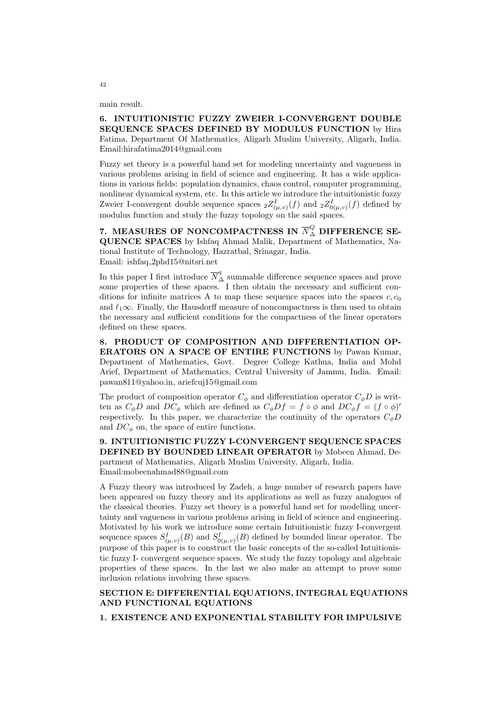main result.

6. INTUITIONISTIC FUZZY ZWEIER I-CONVERGENT DOUBLE SEQUENCE SPACES DEFINED BY MODULUS FUNCTION by Hira Fatima, Department Of Mathematics, Aligarh Muslim University, Aligarh, India. Email:hirafatima2014@gmail.com

Fuzzy set theory is a powerful hand set for modeling uncertainty and vagueness in various problems arising in field of science and engineering. It has a wide applications in various fields: population dynamics, chaos control, computer programming, nonlinear dynamical system, etc. In this article we introduce the intuitionistic fuzzy Zweier I-convergent double sequence spaces  ${}_{2}Z_{(\mu,v)}^{I}(f)$  and  ${}_{2}Z_{0(\mu,v)}^{I}(f)$  defined by modulus function and study the fuzzy topology on the said spaces.

7. MEASURES OF NONCOMPACTNESS IN  ${\overline N}_\Delta^Q$  difference se-QUENCE SPACES by Ishfaq Ahmad Malik, Department of Mathematics, National Institute of Technology, Hazratbal, Srinagar, India. Email: ishfaq 2phd15@nitsri.net

In this paper I first introduce  $\overline{N}_{\Delta}^q$  summable difference sequence spaces and prove some properties of these spaces. I then obtain the necessary and sufficient conditions for infinite matrices A to map these sequence spaces into the spaces  $c, c_0$ and  $\ell_1\infty$ . Finally, the Hausdorff measure of noncompactness is then used to obtain the necessary and sufficient conditions for the compactness of the linear operators defined on these spaces.

8. PRODUCT OF COMPOSITION AND DIFFERENTIATION OP-ERATORS ON A SPACE OF ENTIRE FUNCTIONS by Pawan Kumar, Department of Mathematics, Govt. Degree College Kathua, India and Mohd Arief, Department of Mathematics, Central University of Jammu, India. Email: pawan811@yahoo.in, ariefcuj15@gmail.com

The product of composition operator  $C_{\phi}$  and differentiation operator  $C_{\phi}D$  is written as  $C_{\phi}D$  and  $DC_{\phi}$  which are defined as  $C_{\phi}Df = f \circ \phi$  and  $DC_{\phi}f = (f \circ \phi)'$ respectively. In this paper, we characterize the continuity of the operators  $C_{\phi}D$ and  $DC_{\phi}$  on, the space of entire functions.

9. INTUITIONISTIC FUZZY I-CONVERGENT SEQUENCE SPACES DEFINED BY BOUNDED LINEAR OPERATOR by Mobeen Ahmad, Department of Mathematics, Aligarh Muslim University, Aligarh, India. Email:mobeenahmad88@gmail.com

A Fuzzy theory was introduced by Zadeh, a huge number of research papers have been appeared on fuzzy theory and its applications as well as fuzzy analogues of the classical theories. Fuzzy set theory is a powerful hand set for modelling uncertainty and vagueness in various problems arising in field of science and engineering. Motivated by his work we introduce some certain Intuitionistic fuzzy I-convergent sequence spaces  $S^I_{(\mu,\nu)}(B)$  and  $S^I_{0(\mu,\nu)}(B)$  defined by bounded linear operator. The purpose of this paper is to construct the basic concepts of the so-called Intuitionistic fuzzy I- convergent sequence spaces. We study the fuzzy topology and algebraic properties of these spaces. In the last we also make an attempt to prove some inclusion relations involving these spaces.

## SECTION E: DIFFERENTIAL EQUATIONS, INTEGRAL EQUATIONS AND FUNCTIONAL EQUATIONS

1. EXISTENCE AND EXPONENTIAL STABILITY FOR IMPULSIVE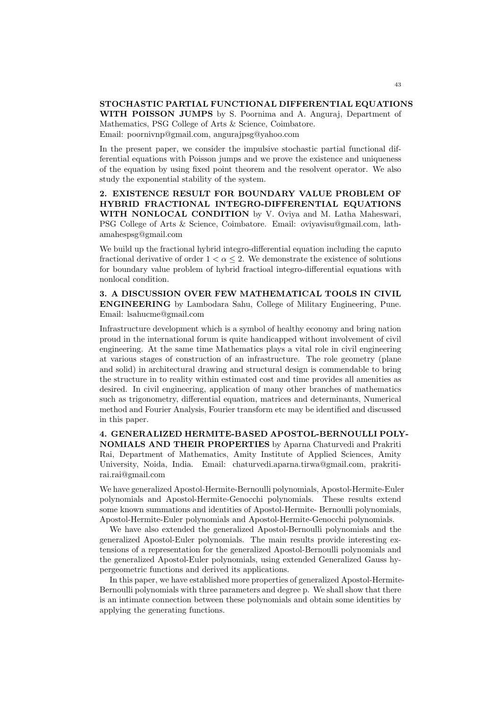## STOCHASTIC PARTIAL FUNCTIONAL DIFFERENTIAL EQUATIONS WITH POISSON JUMPS by S. Poornima and A. Anguraj, Department of

Mathematics, PSG College of Arts & Science, Coimbatore. Email: poornivnp@gmail.com, angurajpsg@yahoo.com

In the present paper, we consider the impulsive stochastic partial functional differential equations with Poisson jumps and we prove the existence and uniqueness of the equation by using fixed point theorem and the resolvent operator. We also study the exponential stability of the system.

2. EXISTENCE RESULT FOR BOUNDARY VALUE PROBLEM OF HYBRID FRACTIONAL INTEGRO-DIFFERENTIAL EQUATIONS WITH NONLOCAL CONDITION by V. Oviya and M. Latha Maheswari, PSG College of Arts & Science, Coimbatore. Email: oviyavisu@gmail.com, lathamahespsg@gmail.com

We build up the fractional hybrid integro-differential equation including the caputo fractional derivative of order  $1 < \alpha \leq 2$ . We demonstrate the existence of solutions for boundary value problem of hybrid fractioal integro-differential equations with nonlocal condition.

3. A DISCUSSION OVER FEW MATHEMATICAL TOOLS IN CIVIL ENGINEERING by Lambodara Sahu, College of Military Engineering, Pune. Email: lsahucme@gmail.com

Infrastructure development which is a symbol of healthy economy and bring nation proud in the international forum is quite handicapped without involvement of civil engineering. At the same time Mathematics plays a vital role in civil engineering at various stages of construction of an infrastructure. The role geometry (plane and solid) in architectural drawing and structural design is commendable to bring the structure in to reality within estimated cost and time provides all amenities as desired. In civil engineering, application of many other branches of mathematics such as trigonometry, differential equation, matrices and determinants, Numerical method and Fourier Analysis, Fourier transform etc may be identified and discussed in this paper.

4. GENERALIZED HERMITE-BASED APOSTOL-BERNOULLI POLY-NOMIALS AND THEIR PROPERTIES by Aparna Chaturvedi and Prakriti Rai, Department of Mathematics, Amity Institute of Applied Sciences, Amity University, Noida, India. Email: chaturvedi.aparna.tirwa@gmail.com, prakritirai.rai@gmail.com

We have generalized Apostol-Hermite-Bernoulli polynomials, Apostol-Hermite-Euler polynomials and Apostol-Hermite-Genocchi polynomials. These results extend some known summations and identities of Apostol-Hermite- Bernoulli polynomials, Apostol-Hermite-Euler polynomials and Apostol-Hermite-Genocchi polynomials.

We have also extended the generalized Apostol-Bernoulli polynomials and the generalized Apostol-Euler polynomials. The main results provide interesting extensions of a representation for the generalized Apostol-Bernoulli polynomials and the generalized Apostol-Euler polynomials, using extended Generalized Gauss hypergeometric functions and derived its applications.

In this paper, we have established more properties of generalized Apostol-Hermite-Bernoulli polynomials with three parameters and degree p. We shall show that there is an intimate connection between these polynomials and obtain some identities by applying the generating functions.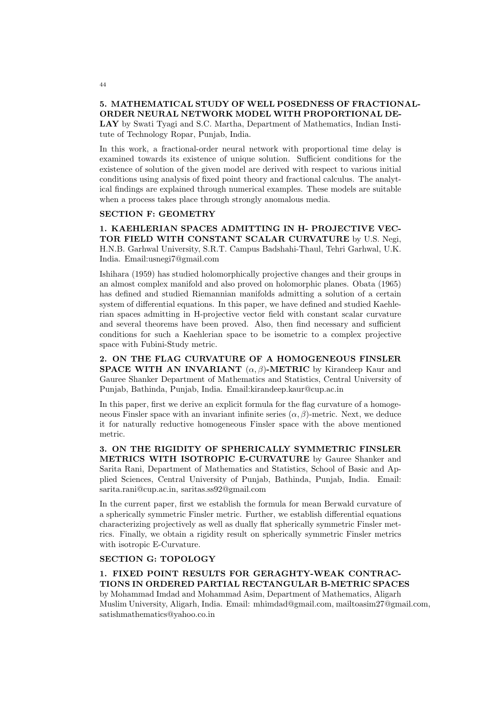## 5. MATHEMATICAL STUDY OF WELL POSEDNESS OF FRACTIONAL-ORDER NEURAL NETWORK MODEL WITH PROPORTIONAL DE-LAY by Swati Tyagi and S.C. Martha, Department of Mathematics, Indian Institute of Technology Ropar, Punjab, India.

In this work, a fractional-order neural network with proportional time delay is examined towards its existence of unique solution. Sufficient conditions for the existence of solution of the given model are derived with respect to various initial conditions using analysis of fixed point theory and fractional calculus. The analytical findings are explained through numerical examples. These models are suitable when a process takes place through strongly anomalous media.

#### SECTION F: GEOMETRY

1. KAEHLERIAN SPACES ADMITTING IN H- PROJECTIVE VEC-TOR FIELD WITH CONSTANT SCALAR CURVATURE by U.S. Negi, H.N.B. Garhwal University, S.R.T. Campus Badshahi-Thaul, Tehri Garhwal, U.K. India. Email:usnegi7@gmail.com

Ishihara (1959) has studied holomorphically projective changes and their groups in an almost complex manifold and also proved on holomorphic planes. Obata (1965) has defined and studied Riemannian manifolds admitting a solution of a certain system of differential equations. In this paper, we have defined and studied Kaehlerian spaces admitting in H-projective vector field with constant scalar curvature and several theorems have been proved. Also, then find necessary and sufficient conditions for such a Kaehlerian space to be isometric to a complex projective space with Fubini-Study metric.

2. ON THE FLAG CURVATURE OF A HOMOGENEOUS FINSLER **SPACE WITH AN INVARIANT**  $(\alpha, \beta)$ -METRIC by Kirandeep Kaur and Gauree Shanker Department of Mathematics and Statistics, Central University of Punjab, Bathinda, Punjab, India. Email:kirandeep.kaur@cup.ac.in

In this paper, first we derive an explicit formula for the flag curvature of a homogeneous Finsler space with an invariant infinite series  $(\alpha, \beta)$ -metric. Next, we deduce it for naturally reductive homogeneous Finsler space with the above mentioned metric.

3. ON THE RIGIDITY OF SPHERICALLY SYMMETRIC FINSLER METRICS WITH ISOTROPIC E-CURVATURE by Gauree Shanker and Sarita Rani, Department of Mathematics and Statistics, School of Basic and Applied Sciences, Central University of Punjab, Bathinda, Punjab, India. Email: sarita.rani@cup.ac.in, saritas.ss92@gmail.com

In the current paper, first we establish the formula for mean Berwald curvature of a spherically symmetric Finsler metric. Further, we establish differential equations characterizing projectively as well as dually flat spherically symmetric Finsler metrics. Finally, we obtain a rigidity result on spherically symmetric Finsler metrics with isotropic E-Curvature.

## SECTION G: TOPOLOGY

# 1. FIXED POINT RESULTS FOR GERAGHTY-WEAK CONTRAC-TIONS IN ORDERED PARTIAL RECTANGULAR B-METRIC SPACES

by Mohammad Imdad and Mohammad Asim, Department of Mathematics, Aligarh Muslim University, Aligarh, India. Email: mhimdad@gmail.com, mailtoasim27@gmail.com, satishmathematics@yahoo.co.in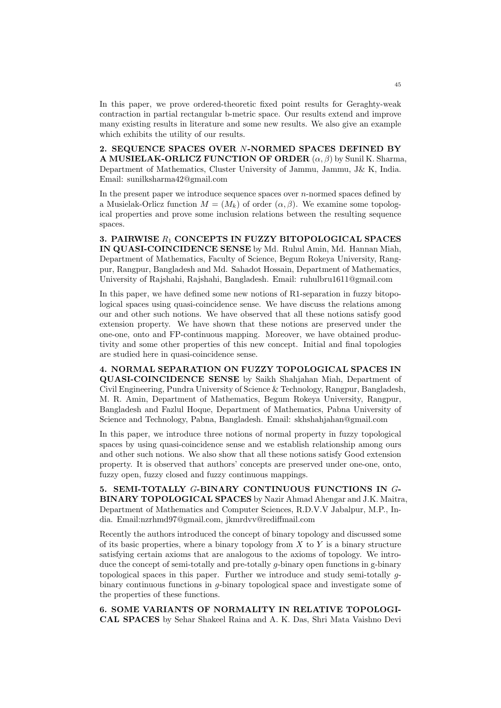In this paper, we prove ordered-theoretic fixed point results for Geraghty-weak contraction in partial rectangular b-metric space. Our results extend and improve many existing results in literature and some new results. We also give an example which exhibits the utility of our results.

2. SEQUENCE SPACES OVER N-NORMED SPACES DEFINED BY A MUSIELAK-ORLICZ FUNCTION OF ORDER  $(\alpha, \beta)$  by Sunil K. Sharma, Department of Mathematics, Cluster University of Jammu, Jammu, J& K, India. Email: sunilksharma42@gmail.com

In the present paper we introduce sequence spaces over  $n$ -normed spaces defined by a Musielak-Orlicz function  $M = (M_k)$  of order  $(\alpha, \beta)$ . We examine some topological properties and prove some inclusion relations between the resulting sequence spaces.

3. PAIRWISE  $R_1$  CONCEPTS IN FUZZY BITOPOLOGICAL SPACES IN QUASI-COINCIDENCE SENSE by Md. Ruhul Amin, Md. Hannan Miah, Department of Mathematics, Faculty of Science, Begum Rokeya University, Rangpur, Rangpur, Bangladesh and Md. Sahadot Hossain, Department of Mathematics, University of Rajshahi, Rajshahi, Bangladesh. Email: ruhulbru1611@gmail.com

In this paper, we have defined some new notions of R1-separation in fuzzy bitopological spaces using quasi-coincidence sense. We have discuss the relations among our and other such notions. We have observed that all these notions satisfy good extension property. We have shown that these notions are preserved under the one-one, onto and FP-continuous mapping. Moreover, we have obtained productivity and some other properties of this new concept. Initial and final topologies are studied here in quasi-coincidence sense.

4. NORMAL SEPARATION ON FUZZY TOPOLOGICAL SPACES IN QUASI-COINCIDENCE SENSE by Saikh Shahjahan Miah, Department of Civil Engineering, Pundra University of Science & Technology, Rangpur, Bangladesh, M. R. Amin, Department of Mathematics, Begum Rokeya University, Rangpur, Bangladesh and Fazlul Hoque, Department of Mathematics, Pabna University of Science and Technology, Pabna, Bangladesh. Email: skhshahjahan@gmail.com

In this paper, we introduce three notions of normal property in fuzzy topological spaces by using quasi-coincidence sense and we establish relationship among ours and other such notions. We also show that all these notions satisfy Good extension property. It is observed that authors' concepts are preserved under one-one, onto, fuzzy open, fuzzy closed and fuzzy continuous mappings.

5. SEMI-TOTALLY G-BINARY CONTINUOUS FUNCTIONS IN G-BINARY TOPOLOGICAL SPACES by Nazir Ahmad Ahengar and J.K. Maitra, Department of Mathematics and Computer Sciences, R.D.V.V Jabalpur, M.P., India. Email:nzrhmd97@gmail.com, jkmrdvv@rediffmail.com

Recently the authors introduced the concept of binary topology and discussed some of its basic properties, where a binary topology from  $X$  to  $Y$  is a binary structure satisfying certain axioms that are analogous to the axioms of topology. We introduce the concept of semi-totally and pre-totally g-binary open functions in g-binary topological spaces in this paper. Further we introduce and study semi-totally gbinary continuous functions in  $q$ -binary topological space and investigate some of the properties of these functions.

6. SOME VARIANTS OF NORMALITY IN RELATIVE TOPOLOGI-CAL SPACES by Sehar Shakeel Raina and A. K. Das, Shri Mata Vaishno Devi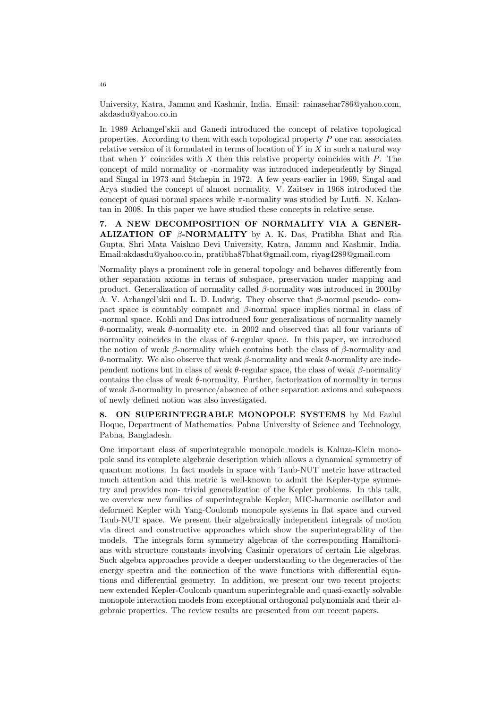University, Katra, Jammu and Kashmir, India. Email: rainasehar786@yahoo.com, akdasdu@yahoo.co.in

In 1989 Arhangel'skii and Ganedi introduced the concept of relative topological properties. According to them with each topological property  $P$  one can associated relative version of it formulated in terms of location of  $Y$  in  $X$  in such a natural way that when  $Y$  coincides with  $X$  then this relative property coincides with  $P$ . The concept of mild normality or -normality was introduced independently by Singal and Singal in 1973 and Stchepin in 1972. A few years earlier in 1969, Singal and Arya studied the concept of almost normality. V. Zaitsev in 1968 introduced the concept of quasi normal spaces while  $\pi$ -normality was studied by Lutfi. N. Kalantan in 2008. In this paper we have studied these concepts in relative sense.

7. A NEW DECOMPOSITION OF NORMALITY VIA A GENER-**ALIZATION OF**  $\beta$ **-NORMALITY** by A. K. Das, Pratibha Bhat and Ria Gupta, Shri Mata Vaishno Devi University, Katra, Jammu and Kashmir, India. Email:akdasdu@yahoo.co.in, pratibha87bhat@gmail.com, riyag4289@gmail.com

Normality plays a prominent role in general topology and behaves differently from other separation axioms in terms of subspace, preservation under mapping and product. Generalization of normality called  $\beta$ -normality was introduced in 2001by A. V. Arhangel'skii and L. D. Ludwig. They observe that β-normal pseudo- compact space is countably compact and  $\beta$ -normal space implies normal in class of -normal space. Kohli and Das introduced four generalizations of normality namely θ-normality, weak θ-normality etc. in 2002 and observed that all four variants of normality coincides in the class of  $\theta$ -regular space. In this paper, we introduced the notion of weak  $\beta$ -normality which contains both the class of  $\beta$ -normality and θ-normality. We also observe that weak β-normality and weak θ-normality are independent notions but in class of weak  $\theta$ -regular space, the class of weak  $\beta$ -normality contains the class of weak  $\theta$ -normality. Further, factorization of normality in terms of weak  $\beta$ -normality in presence/absence of other separation axioms and subspaces of newly defined notion was also investigated.

8. ON SUPERINTEGRABLE MONOPOLE SYSTEMS by Md Fazlul Hoque, Department of Mathematics, Pabna University of Science and Technology, Pabna, Bangladesh.

One important class of superintegrable monopole models is Kaluza-Klein monopole sand its complete algebraic description which allows a dynamical symmetry of quantum motions. In fact models in space with Taub-NUT metric have attracted much attention and this metric is well-known to admit the Kepler-type symmetry and provides non- trivial generalization of the Kepler problems. In this talk, we overview new families of superintegrable Kepler, MIC-harmonic oscillator and deformed Kepler with Yang-Coulomb monopole systems in flat space and curved Taub-NUT space. We present their algebraically independent integrals of motion via direct and constructive approaches which show the superintegrability of the models. The integrals form symmetry algebras of the corresponding Hamiltonians with structure constants involving Casimir operators of certain Lie algebras. Such algebra approaches provide a deeper understanding to the degeneracies of the energy spectra and the connection of the wave functions with differential equations and differential geometry. In addition, we present our two recent projects: new extended Kepler-Coulomb quantum superintegrable and quasi-exactly solvable monopole interaction models from exceptional orthogonal polynomials and their algebraic properties. The review results are presented from our recent papers.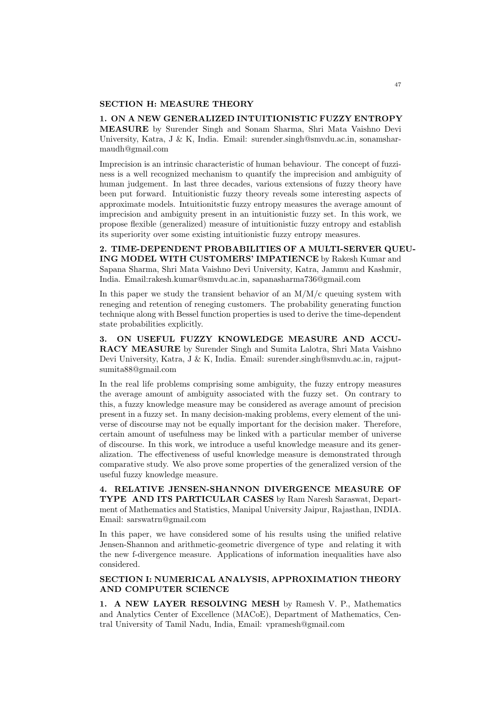#### SECTION H: MEASURE THEORY

1. ON A NEW GENERALIZED INTUITIONISTIC FUZZY ENTROPY MEASURE by Surender Singh and Sonam Sharma, Shri Mata Vaishno Devi University, Katra, J & K, India. Email: surender.singh@smvdu.ac.in, sonamsharmaudh@gmail.com

Imprecision is an intrinsic characteristic of human behaviour. The concept of fuzziness is a well recognized mechanism to quantify the imprecision and ambiguity of human judgement. In last three decades, various extensions of fuzzy theory have been put forward. Intuitionistic fuzzy theory reveals some interesting aspects of approximate models. Intuitionitstic fuzzy entropy measures the average amount of imprecision and ambiguity present in an intuitionistic fuzzy set. In this work, we propose flexible (generalized) measure of intuitionistic fuzzy entropy and establish its superiority over some existing intuitionistic fuzzy entropy measures.

2. TIME-DEPENDENT PROBABILITIES OF A MULTI-SERVER QUEU-ING MODEL WITH CUSTOMERS' IMPATIENCE by Rakesh Kumar and Sapana Sharma, Shri Mata Vaishno Devi University, Katra, Jammu and Kashmir, India. Email:rakesh.kumar@smvdu.ac.in, sapanasharma736@gmail.com

In this paper we study the transient behavior of an  $M/M/c$  queuing system with reneging and retention of reneging customers. The probability generating function technique along with Bessel function properties is used to derive the time-dependent state probabilities explicitly.

3. ON USEFUL FUZZY KNOWLEDGE MEASURE AND ACCU-RACY MEASURE by Surender Singh and Sumita Lalotra, Shri Mata Vaishno Devi University, Katra, J & K, India. Email: surender.singh@smvdu.ac.in, rajputsumita88@gmail.com

In the real life problems comprising some ambiguity, the fuzzy entropy measures the average amount of ambiguity associated with the fuzzy set. On contrary to this, a fuzzy knowledge measure may be considered as average amount of precision present in a fuzzy set. In many decision-making problems, every element of the universe of discourse may not be equally important for the decision maker. Therefore, certain amount of usefulness may be linked with a particular member of universe of discourse. In this work, we introduce a useful knowledge measure and its generalization. The effectiveness of useful knowledge measure is demonstrated through comparative study. We also prove some properties of the generalized version of the useful fuzzy knowledge measure.

4. RELATIVE JENSEN-SHANNON DIVERGENCE MEASURE OF TYPE AND ITS PARTICULAR CASES by Ram Naresh Saraswat, Department of Mathematics and Statistics, Manipal University Jaipur, Rajasthan, INDIA. Email: sarswatrn@gmail.com

In this paper, we have considered some of his results using the unified relative Jensen-Shannon and arithmetic-geometric divergence of type and relating it with the new f-divergence measure. Applications of information inequalities have also considered.

## SECTION I: NUMERICAL ANALYSIS, APPROXIMATION THEORY AND COMPUTER SCIENCE

1. A NEW LAYER RESOLVING MESH by Ramesh V. P., Mathematics and Analytics Center of Excellence (MACoE), Department of Mathematics, Central University of Tamil Nadu, India, Email: vpramesh@gmail.com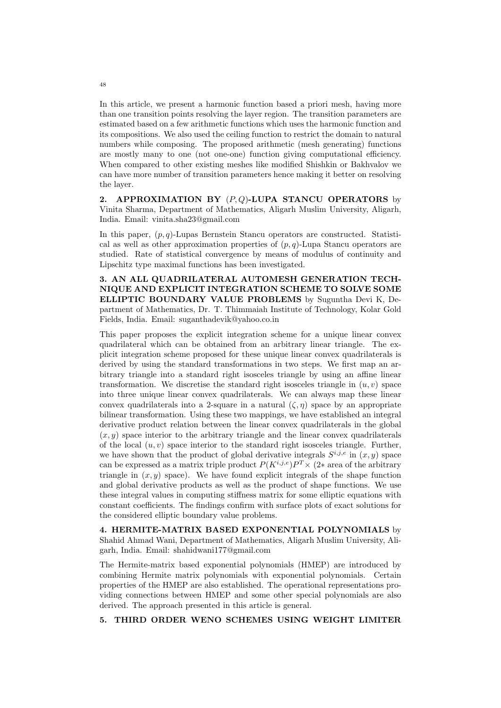In this article, we present a harmonic function based a priori mesh, having more than one transition points resolving the layer region. The transition parameters are estimated based on a few arithmetic functions which uses the harmonic function and its compositions. We also used the ceiling function to restrict the domain to natural numbers while composing. The proposed arithmetic (mesh generating) functions are mostly many to one (not one-one) function giving computational efficiency. When compared to other existing meshes like modified Shishkin or Bakhvalov we can have more number of transition parameters hence making it better on resolving the layer.

2. APPROXIMATION BY  $(P,Q)$ -LUPA STANCU OPERATORS by Vinita Sharma, Department of Mathematics, Aligarh Muslim University, Aligarh, India. Email: vinita.sha23@gmail.com

In this paper,  $(p, q)$ -Lupas Bernstein Stancu operators are constructed. Statistical as well as other approximation properties of  $(p, q)$ -Lupa Stancu operators are studied. Rate of statistical convergence by means of modulus of continuity and Lipschitz type maximal functions has been investigated.

3. AN ALL QUADRILATERAL AUTOMESH GENERATION TECH-NIQUE AND EXPLICIT INTEGRATION SCHEME TO SOLVE SOME ELLIPTIC BOUNDARY VALUE PROBLEMS by Suguntha Devi K, Department of Mathematics, Dr. T. Thimmaiah Institute of Technology, Kolar Gold Fields, India. Email: suganthadevik@yahoo.co.in

This paper proposes the explicit integration scheme for a unique linear convex quadrilateral which can be obtained from an arbitrary linear triangle. The explicit integration scheme proposed for these unique linear convex quadrilaterals is derived by using the standard transformations in two steps. We first map an arbitrary triangle into a standard right isosceles triangle by using an affine linear transformation. We discretise the standard right isosceles triangle in  $(u, v)$  space into three unique linear convex quadrilaterals. We can always map these linear convex quadrilaterals into a 2-square in a natural  $(\zeta, \eta)$  space by an appropriate bilinear transformation. Using these two mappings, we have established an integral derivative product relation between the linear convex quadrilaterals in the global  $(x, y)$  space interior to the arbitrary triangle and the linear convex quadrilaterals of the local  $(u, v)$  space interior to the standard right isosceles triangle. Further, we have shown that the product of global derivative integrals  $S^{i,j,e}$  in  $(x, y)$  space can be expressed as a matrix triple product  $P(K^{i,j,e})P^T \times (2^*$  area of the arbitrary triangle in  $(x, y)$  space). We have found explicit integrals of the shape function and global derivative products as well as the product of shape functions. We use these integral values in computing stiffness matrix for some elliptic equations with constant coefficients. The findings confirm with surface plots of exact solutions for the considered elliptic boundary value problems.

4. HERMITE-MATRIX BASED EXPONENTIAL POLYNOMIALS by Shahid Ahmad Wani, Department of Mathematics, Aligarh Muslim University, Aligarh, India. Email: shahidwani177@gmail.com

The Hermite-matrix based exponential polynomials (HMEP) are introduced by combining Hermite matrix polynomials with exponential polynomials. Certain properties of the HMEP are also established. The operational representations providing connections between HMEP and some other special polynomials are also derived. The approach presented in this article is general.

5. THIRD ORDER WENO SCHEMES USING WEIGHT LIMITER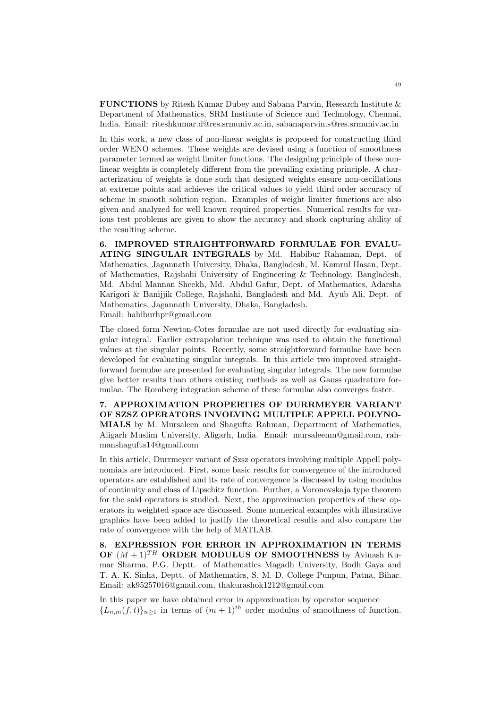FUNCTIONS by Ritesh Kumar Dubey and Sabana Parvin, Research Institute & Department of Mathematics, SRM Institute of Science and Technology, Chennai, India. Email: riteshkumar.d@res.srmuniv.ac.in, sabanaparvin.s@res.srmuniv.ac.in

In this work, a new class of non-linear weights is proposed for constructing third order WENO schemes. These weights are devised using a function of smoothness parameter termed as weight limiter functions. The designing principle of these nonlinear weights is completely different from the prevailing existing principle. A characterization of weights is done such that designed weights ensure non-oscillations at extreme points and achieves the critical values to yield third order accuracy of scheme in smooth solution region. Examples of weight limiter functions are also given and analyzed for well known required properties. Numerical results for various test problems are given to show the accuracy and shock capturing ability of the resulting scheme.

6. IMPROVED STRAIGHTFORWARD FORMULAE FOR EVALU-ATING SINGULAR INTEGRALS by Md. Habibur Rahaman, Dept. of Mathematics, Jagannath University, Dhaka, Bangladesh, M. Kamrul Hasan, Dept. of Mathematics, Rajshahi University of Engineering & Technology, Bangladesh, Md. Abdul Mannan Sheekh, Md. Abdul Gafur, Dept. of Mathematics, Adarsha Karigori & Banijjik College, Rajshahi, Bangladesh and Md. Ayub Ali, Dept. of Mathematics, Jagannath University, Dhaka, Bangladesh. Email: habiburhpr@gmail.com

The closed form Newton-Cotes formulae are not used directly for evaluating singular integral. Earlier extrapolation technique was used to obtain the functional values at the singular points. Recently, some straightforward formulae have been developed for evaluating singular integrals. In this article two improved straightforward formulae are presented for evaluating singular integrals. The new formulae give better results than others existing methods as well as Gauss quadrature formulae. The Romberg integration scheme of these formulae also converges faster.

7. APPROXIMATION PROPERTIES OF DURRMEYER VARIANT OF SZSZ OPERATORS INVOLVING MULTIPLE APPELL POLYNO-MIALS by M. Mursaleen and Shagufta Rahman, Department of Mathematics, Aligarh Muslim University, Aligarh, India. Email: mursaleenm@gmail.com, rahmanshagufta14@gmail.com

In this article, Durrmeyer variant of Szsz operators involving multiple Appell polynomials are introduced. First, some basic results for convergence of the introduced operators are established and its rate of convergence is discussed by using modulus of continuity and class of Lipschitz function. Further, a Voronovskaja type theorem for the said operators is studied. Next, the approximation properties of these operators in weighted space are discussed. Some numerical examples with illustrative graphics have been added to justify the theoretical results and also compare the rate of convergence with the help of MATLAB.

8. EXPRESSION FOR ERROR IN APPROXIMATION IN TERMS OF  $(M + 1)^{TH}$  ORDER MODULUS OF SMOOTHNESS by Avinash Kumar Sharma, P.G. Deptt. of Mathematics Magadh University, Bodh Gaya and T. A. K. Sinha, Deptt. of Mathematics, S. M. D. College Punpun, Patna, Bihar. Email: ak95257016@gmail.com, thakurashok1212@gmail.com

In this paper we have obtained error in approximation by operator sequence  ${L_{n,m}(f,t)}_{n\geq 1}$  in terms of  $(m+1)^{th}$  order modulus of smoothness of function.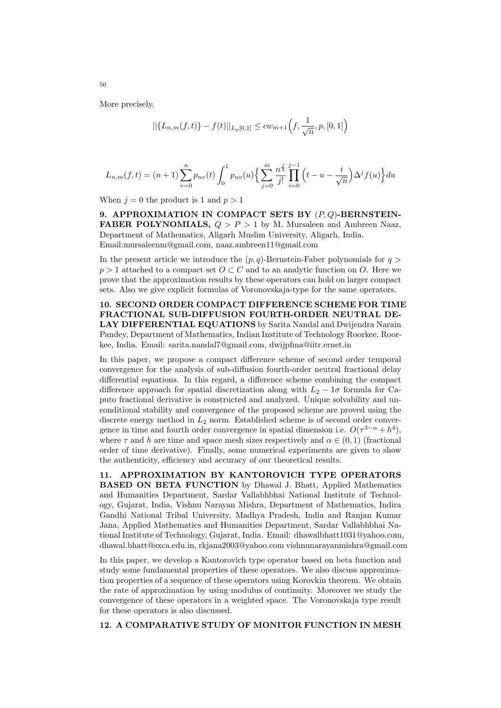More precisely,

$$
||\{L_{n,m}(f,t)\} - f(t)||_{L_p[0,1]} \leq cw_{m+1}\left(f, \frac{1}{\sqrt{n}}, p, [0,1]\right)
$$

$$
L_{n,m}(f,t) = (n+1)\sum_{v=0}^{n} p_{nv}(t) \int_0^1 p_{nv}(u) \left\{ \sum_{j=0}^m \frac{n^{\frac{j}{2}}}{j!} \prod_{i=0}^{j-1} \left( t - u - \frac{i}{\sqrt{n}} \right) \Delta^j f(u) \right\} du
$$

When  $j = 0$  the product is 1 and  $p > 1$ 

9. APPROXIMATION IN COMPACT SETS BY  $(P,Q)$ -BERNSTEIN-**FABER POLYNOMIALS,**  $Q > P > 1$  by M. Mursaleen and Ambreen Naaz, Department of Mathematics, Aligarh Muslim University, Aligarh, India. Email:mursaleenm@gmail.com, naaz.ambreen11@gmail.com

In the present article we introduce the  $(p, q)$ -Bernstein-Faber polynomials for  $q >$  $p > 1$  attached to a compact set  $O \subset C$  and to an analytic function on O. Here we prove that the approximation results by these operators can hold on larger compact sets. Also we give explicit formulas of Voronovskaja-type for the same operators.

10. SECOND ORDER COMPACT DIFFERENCE SCHEME FOR TIME FRACTIONAL SUB-DIFFUSION FOURTH-ORDER NEUTRAL DE-LAY DIFFERENTIAL EQUATIONS by Sarita Nandal and Dwijendra Narain Pandey, Department of Mathematics, Indian Institute of Technology Roorkee, Roorkee, India. Email: sarita.nandal7@gmail.com, dwijpfma@iitr.ernet.in

In this paper, we propose a compact difference scheme of second order temporal convergence for the analysis of sub-diffusion fourth-order neutral fractional delay differential equations. In this regard, a difference scheme combining the compact difference approach for spatial discretization along with  $L_2 - 1\sigma$  formula for Caputo fractional derivative is constructed and analyzed. Unique solvability and unconditional stability and convergence of the proposed scheme are proved using the discrete energy method in  $L_2$  norm. Established scheme is of second order convergence in time and fourth order convergence in spatial dimension i.e.  $O(\tau^{3-\alpha}+h^4)$ , where  $\tau$  and h are time and space mesh sizes respectively and  $\alpha \in (0, 1)$  (fractional order of time derivative). Finally, some numerical experiments are given to show the authenticity, efficiency and accuracy of our theoretical results.

11. APPROXIMATION BY KANTOROVICH TYPE OPERATORS BASED ON BETA FUNCTION by Dhawal J. Bhatt, Applied Mathematics and Humanities Department, Sardar Vallabhbhai National Institute of Technology, Gujarat, India, Vishnu Narayan Mishra, Department of Mathematics, Indira Gandhi National Tribal University, Madhya Pradesh, India and Ranjan Kumar Jana, Applied Mathematics and Humanities Department, Sardar Vallabhbhai National Institute of Technology, Gujarat, India. Email: dhawalbhatt1031@yahoo.com, dhawal.bhatt@sxca.edu.in, rkjana2003@yahoo.com vishnunarayanmishra@gmail.com

In this paper, we develop a Kantorovich type operator based on beta function and study some fundamental properties of these operators. We also discuss approximation properties of a sequence of these operators using Korovkin theorem. We obtain the rate of approximation by using modulus of continuity. Moreover we study the convergence of these operators in a weighted space. The Voronovskaja type result for these operators is also discussed.

12. A COMPARATIVE STUDY OF MONITOR FUNCTION IN MESH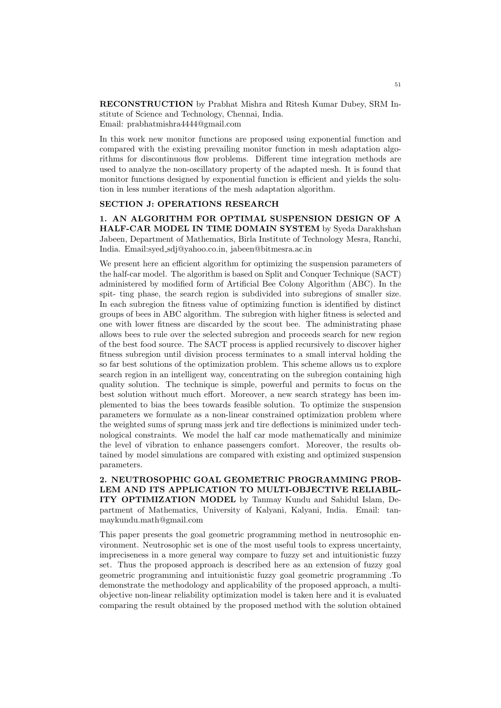RECONSTRUCTION by Prabhat Mishra and Ritesh Kumar Dubey, SRM Institute of Science and Technology, Chennai, India. Email: prabhatmishra4444@gmail.com

In this work new monitor functions are proposed using exponential function and compared with the existing prevailing monitor function in mesh adaptation algorithms for discontinuous flow problems. Different time integration methods are used to analyze the non-oscillatory property of the adapted mesh. It is found that monitor functions designed by exponential function is efficient and yields the solution in less number iterations of the mesh adaptation algorithm.

## SECTION J: OPERATIONS RESEARCH

1. AN ALGORITHM FOR OPTIMAL SUSPENSION DESIGN OF A HALF-CAR MODEL IN TIME DOMAIN SYSTEM by Syeda Darakhshan Jabeen, Department of Mathematics, Birla Institute of Technology Mesra, Ranchi, India. Email:syed sdj@yahoo.co.in, jabeen@bitmesra.ac.in

We present here an efficient algorithm for optimizing the suspension parameters of the half-car model. The algorithm is based on Split and Conquer Technique (SACT) administered by modified form of Artificial Bee Colony Algorithm (ABC). In the spit- ting phase, the search region is subdivided into subregions of smaller size. In each subregion the fitness value of optimizing function is identified by distinct groups of bees in ABC algorithm. The subregion with higher fitness is selected and one with lower fitness are discarded by the scout bee. The administrating phase allows bees to rule over the selected subregion and proceeds search for new region of the best food source. The SACT process is applied recursively to discover higher fitness subregion until division process terminates to a small interval holding the so far best solutions of the optimization problem. This scheme allows us to explore search region in an intelligent way, concentrating on the subregion containing high quality solution. The technique is simple, powerful and permits to focus on the best solution without much effort. Moreover, a new search strategy has been implemented to bias the bees towards feasible solution. To optimize the suspension parameters we formulate as a non-linear constrained optimization problem where the weighted sums of sprung mass jerk and tire deflections is minimized under technological constraints. We model the half car mode mathematically and minimize the level of vibration to enhance passengers comfort. Moreover, the results obtained by model simulations are compared with existing and optimized suspension parameters.

2. NEUTROSOPHIC GOAL GEOMETRIC PROGRAMMING PROB-LEM AND ITS APPLICATION TO MULTI-OBJECTIVE RELIABIL-ITY OPTIMIZATION MODEL by Tanmay Kundu and Sahidul Islam, Department of Mathematics, University of Kalyani, Kalyani, India. Email: tanmaykundu.math@gmail.com

This paper presents the goal geometric programming method in neutrosophic environment. Neutrosophic set is one of the most useful tools to express uncertainty, impreciseness in a more general way compare to fuzzy set and intuitionistic fuzzy set. Thus the proposed approach is described here as an extension of fuzzy goal geometric programming and intuitionistic fuzzy goal geometric programming .To demonstrate the methodology and applicability of the proposed approach, a multiobjective non-linear reliability optimization model is taken here and it is evaluated comparing the result obtained by the proposed method with the solution obtained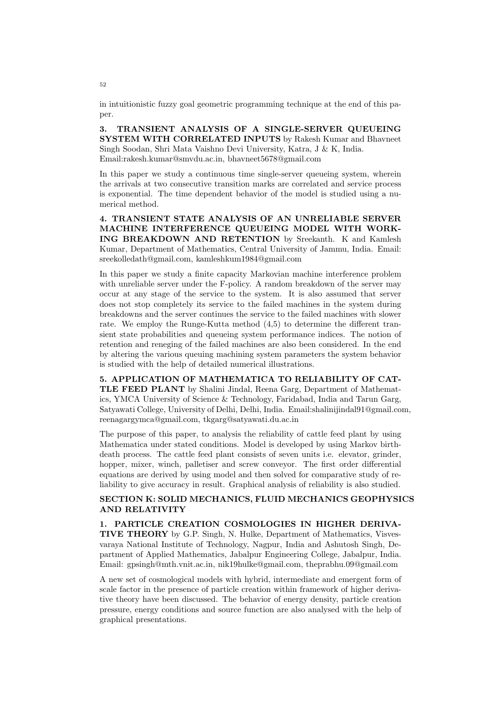in intuitionistic fuzzy goal geometric programming technique at the end of this paper.

3. TRANSIENT ANALYSIS OF A SINGLE-SERVER QUEUEING SYSTEM WITH CORRELATED INPUTS by Rakesh Kumar and Bhavneet Singh Soodan, Shri Mata Vaishno Devi University, Katra, J & K, India. Email:rakesh.kumar@smvdu.ac.in, bhavneet5678@gmail.com

In this paper we study a continuous time single-server queueing system, wherein the arrivals at two consecutive transition marks are correlated and service process is exponential. The time dependent behavior of the model is studied using a numerical method.

4. TRANSIENT STATE ANALYSIS OF AN UNRELIABLE SERVER MACHINE INTERFERENCE QUEUEING MODEL WITH WORK-ING BREAKDOWN AND RETENTION by Sreekanth. K and Kamlesh Kumar, Department of Mathematics, Central University of Jammu, India. Email: sreekolledath@gmail.com, kamleshkum1984@gmail.com

In this paper we study a finite capacity Markovian machine interference problem with unreliable server under the F-policy. A random breakdown of the server may occur at any stage of the service to the system. It is also assumed that server does not stop completely its service to the failed machines in the system during breakdowns and the server continues the service to the failed machines with slower rate. We employ the Runge-Kutta method (4,5) to determine the different transient state probabilities and queueing system performance indices. The notion of retention and reneging of the failed machines are also been considered. In the end by altering the various queuing machining system parameters the system behavior is studied with the help of detailed numerical illustrations.

5. APPLICATION OF MATHEMATICA TO RELIABILITY OF CAT-TLE FEED PLANT by Shalini Jindal, Reena Garg, Department of Mathematics, YMCA University of Science & Technology, Faridabad, India and Tarun Garg, Satyawati College, University of Delhi, Delhi, India. Email:shalinijindal91@gmail.com, reenagargymca@gmail.com, tkgarg@satyawati.du.ac.in

The purpose of this paper, to analysis the reliability of cattle feed plant by using Mathematica under stated conditions. Model is developed by using Markov birthdeath process. The cattle feed plant consists of seven units i.e. elevator, grinder, hopper, mixer, winch, palletiser and screw conveyor. The first order differential equations are derived by using model and then solved for comparative study of reliability to give accuracy in result. Graphical analysis of reliability is also studied.

## SECTION K: SOLID MECHANICS, FLUID MECHANICS GEOPHYSICS AND RELATIVITY

### 1. PARTICLE CREATION COSMOLOGIES IN HIGHER DERIVA-

TIVE THEORY by G.P. Singh, N. Hulke, Department of Mathematics, Visvesvaraya National Institute of Technology, Nagpur, India and Ashutosh Singh, Department of Applied Mathematics, Jabalpur Engineering College, Jabalpur, India. Email: gpsingh@mth.vnit.ac.in, nik19hulke@gmail.com, theprabhu.09@gmail.com

A new set of cosmological models with hybrid, intermediate and emergent form of scale factor in the presence of particle creation within framework of higher derivative theory have been discussed. The behavior of energy density, particle creation pressure, energy conditions and source function are also analysed with the help of graphical presentations.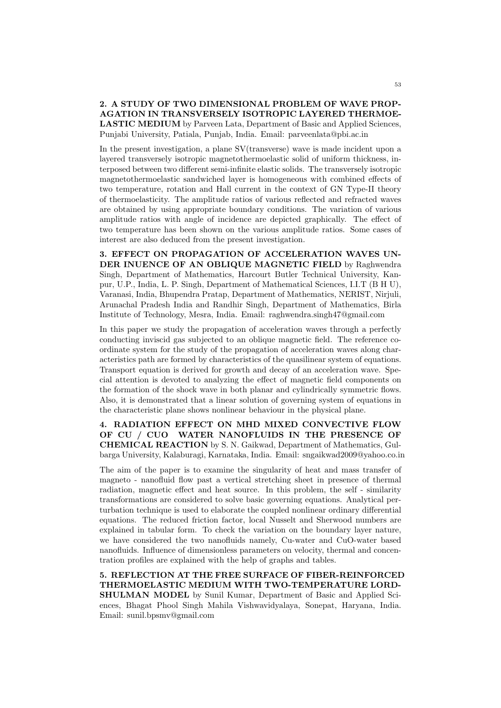2. A STUDY OF TWO DIMENSIONAL PROBLEM OF WAVE PROP-AGATION IN TRANSVERSELY ISOTROPIC LAYERED THERMOE-LASTIC MEDIUM by Parveen Lata, Department of Basic and Applied Sciences, Punjabi University, Patiala, Punjab, India. Email: parveenlata@pbi.ac.in

In the present investigation, a plane SV(transverse) wave is made incident upon a layered transversely isotropic magnetothermoelastic solid of uniform thickness, interposed between two different semi-infinite elastic solids. The transversely isotropic magnetothermoelastic sandwiched layer is homogeneous with combined effects of two temperature, rotation and Hall current in the context of GN Type-II theory of thermoelasticity. The amplitude ratios of various reflected and refracted waves are obtained by using appropriate boundary conditions. The variation of various amplitude ratios with angle of incidence are depicted graphically. The effect of two temperature has been shown on the various amplitude ratios. Some cases of interest are also deduced from the present investigation.

3. EFFECT ON PROPAGATION OF ACCELERATION WAVES UN-DER INUENCE OF AN OBLIQUE MAGNETIC FIELD by Raghwendra Singh, Department of Mathematics, Harcourt Butler Technical University, Kanpur, U.P., India, L. P. Singh, Department of Mathematical Sciences, I.I.T (B H U), Varanasi, India, Bhupendra Pratap, Department of Mathematics, NERIST, Nirjuli, Arunachal Pradesh India and Randhir Singh, Department of Mathematics, Birla Institute of Technology, Mesra, India. Email: raghwendra.singh47@gmail.com

In this paper we study the propagation of acceleration waves through a perfectly conducting inviscid gas subjected to an oblique magnetic field. The reference coordinate system for the study of the propagation of acceleration waves along characteristics path are formed by characteristics of the quasilinear system of equations. Transport equation is derived for growth and decay of an acceleration wave. Special attention is devoted to analyzing the effect of magnetic field components on the formation of the shock wave in both planar and cylindrically symmetric flows. Also, it is demonstrated that a linear solution of governing system of equations in the characteristic plane shows nonlinear behaviour in the physical plane.

4. RADIATION EFFECT ON MHD MIXED CONVECTIVE FLOW OF CU / CUO WATER NANOFLUIDS IN THE PRESENCE OF CHEMICAL REACTION by S. N. Gaikwad, Department of Mathematics, Gulbarga University, Kalaburagi, Karnataka, India. Email: sngaikwad2009@yahoo.co.in

The aim of the paper is to examine the singularity of heat and mass transfer of magneto - nanofluid flow past a vertical stretching sheet in presence of thermal radiation, magnetic effect and heat source. In this problem, the self - similarity transformations are considered to solve basic governing equations. Analytical perturbation technique is used to elaborate the coupled nonlinear ordinary differential equations. The reduced friction factor, local Nusselt and Sherwood numbers are explained in tabular form. To check the variation on the boundary layer nature, we have considered the two nanofluids namely, Cu-water and CuO-water based nanofluids. Influence of dimensionless parameters on velocity, thermal and concentration profiles are explained with the help of graphs and tables.

5. REFLECTION AT THE FREE SURFACE OF FIBER-REINFORCED THERMOELASTIC MEDIUM WITH TWO-TEMPERATURE LORD-SHULMAN MODEL by Sunil Kumar, Department of Basic and Applied Sciences, Bhagat Phool Singh Mahila Vishwavidyalaya, Sonepat, Haryana, India. Email: sunil.bpsmv@gmail.com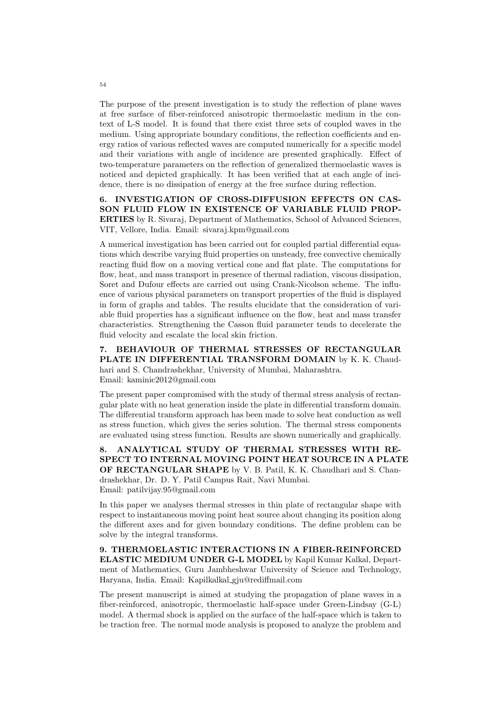The purpose of the present investigation is to study the reflection of plane waves at free surface of fiber-reinforced anisotropic thermoelastic medium in the context of L-S model. It is found that there exist three sets of coupled waves in the medium. Using appropriate boundary conditions, the reflection coefficients and energy ratios of various reflected waves are computed numerically for a specific model and their variations with angle of incidence are presented graphically. Effect of two-temperature parameters on the reflection of generalized thermoelastic waves is noticed and depicted graphically. It has been verified that at each angle of incidence, there is no dissipation of energy at the free surface during reflection.

6. INVESTIGATION OF CROSS-DIFFUSION EFFECTS ON CAS-SON FLUID FLOW IN EXISTENCE OF VARIABLE FLUID PROP-ERTIES by R. Sivaraj, Department of Mathematics, School of Advanced Sciences, VIT, Vellore, India. Email: sivaraj.kpm@gmail.com

A numerical investigation has been carried out for coupled partial differential equations which describe varying fluid properties on unsteady, free convective chemically reacting fluid flow on a moving vertical cone and flat plate. The computations for flow, heat, and mass transport in presence of thermal radiation, viscous dissipation, Soret and Dufour effects are carried out using Crank-Nicolson scheme. The influence of various physical parameters on transport properties of the fluid is displayed in form of graphs and tables. The results elucidate that the consideration of variable fluid properties has a significant influence on the flow, heat and mass transfer characteristics. Strengthening the Casson fluid parameter tends to decelerate the fluid velocity and escalate the local skin friction.

7. BEHAVIOUR OF THERMAL STRESSES OF RECTANGULAR PLATE IN DIFFERENTIAL TRANSFORM DOMAIN by K. K. Chaudhari and S. Chandrashekhar, University of Mumbai, Maharashtra. Email: kaminic2012@gmail.com

The present paper compromised with the study of thermal stress analysis of rectangular plate with no heat generation inside the plate in differential transform domain. The differential transform approach has been made to solve heat conduction as well as stress function, which gives the series solution. The thermal stress components are evaluated using stress function. Results are shown numerically and graphically.

8. ANALYTICAL STUDY OF THERMAL STRESSES WITH RE-SPECT TO INTERNAL MOVING POINT HEAT SOURCE IN A PLATE OF RECTANGULAR SHAPE by V. B. Patil, K. K. Chaudhari and S. Chandrashekhar, Dr. D. Y. Patil Campus Rait, Navi Mumbai. Email: patilvijay.95@gmail.com

In this paper we analyses thermal stresses in thin plate of rectangular shape with respect to instantaneous moving point heat source about changing its position along the different axes and for given boundary conditions. The define problem can be solve by the integral transforms.

9. THERMOELASTIC INTERACTIONS IN A FIBER-REINFORCED ELASTIC MEDIUM UNDER G-L MODEL by Kapil Kumar Kalkal, Department of Mathematics, Guru Jambheshwar University of Science and Technology, Haryana, India. Email: Kapilkalkal gju@rediffmail.com

The present manuscript is aimed at studying the propagation of plane waves in a fiber-reinforced, anisotropic, thermoelastic half-space under Green-Lindsay (G-L) model. A thermal shock is applied on the surface of the half-space which is taken to be traction free. The normal mode analysis is proposed to analyze the problem and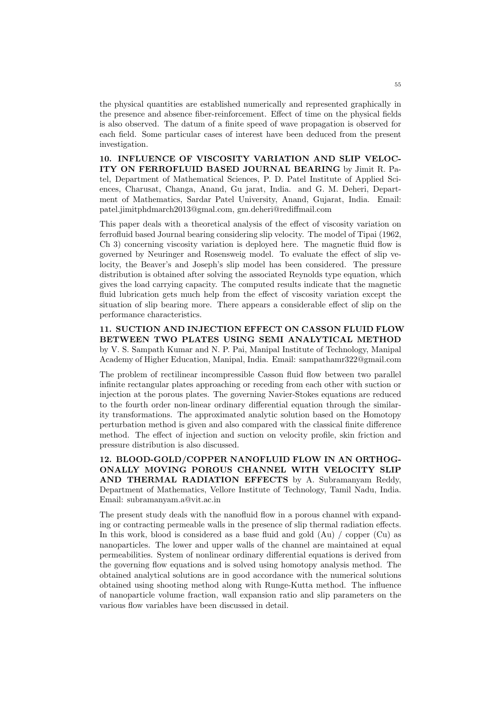the physical quantities are established numerically and represented graphically in the presence and absence fiber-reinforcement. Effect of time on the physical fields is also observed. The datum of a finite speed of wave propagation is observed for each field. Some particular cases of interest have been deduced from the present investigation.

10. INFLUENCE OF VISCOSITY VARIATION AND SLIP VELOC-ITY ON FERROFLUID BASED JOURNAL BEARING by Jimit R. Patel, Department of Mathematical Sciences, P. D. Patel Institute of Applied Sciences, Charusat, Changa, Anand, Gu jarat, India. and G. M. Deheri, Department of Mathematics, Sardar Patel University, Anand, Gujarat, India. Email: patel.jimitphdmarch2013@gmal.com, gm.deheri@rediffmail.com

This paper deals with a theoretical analysis of the effect of viscosity variation on ferrofluid based Journal bearing considering slip velocity. The model of Tipai (1962, Ch 3) concerning viscosity variation is deployed here. The magnetic fluid flow is governed by Neuringer and Rosensweig model. To evaluate the effect of slip velocity, the Beaver's and Joseph's slip model has been considered. The pressure distribution is obtained after solving the associated Reynolds type equation, which gives the load carrying capacity. The computed results indicate that the magnetic fluid lubrication gets much help from the effect of viscosity variation except the situation of slip bearing more. There appears a considerable effect of slip on the performance characteristics.

11. SUCTION AND INJECTION EFFECT ON CASSON FLUID FLOW BETWEEN TWO PLATES USING SEMI ANALYTICAL METHOD by V. S. Sampath Kumar and N. P. Pai, Manipal Institute of Technology, Manipal Academy of Higher Education, Manipal, India. Email: sampathamr322@gmail.com

The problem of rectilinear incompressible Casson fluid flow between two parallel infinite rectangular plates approaching or receding from each other with suction or injection at the porous plates. The governing Navier-Stokes equations are reduced to the fourth order non-linear ordinary differential equation through the similarity transformations. The approximated analytic solution based on the Homotopy perturbation method is given and also compared with the classical finite difference method. The effect of injection and suction on velocity profile, skin friction and pressure distribution is also discussed.

12. BLOOD-GOLD/COPPER NANOFLUID FLOW IN AN ORTHOG-ONALLY MOVING POROUS CHANNEL WITH VELOCITY SLIP AND THERMAL RADIATION EFFECTS by A. Subramanyam Reddy, Department of Mathematics, Vellore Institute of Technology, Tamil Nadu, India. Email: subramanyam.a@vit.ac.in

The present study deals with the nanofluid flow in a porous channel with expanding or contracting permeable walls in the presence of slip thermal radiation effects. In this work, blood is considered as a base fluid and gold (Au) / copper (Cu) as nanoparticles. The lower and upper walls of the channel are maintained at equal permeabilities. System of nonlinear ordinary differential equations is derived from the governing flow equations and is solved using homotopy analysis method. The obtained analytical solutions are in good accordance with the numerical solutions obtained using shooting method along with Runge-Kutta method. The influence of nanoparticle volume fraction, wall expansion ratio and slip parameters on the various flow variables have been discussed in detail.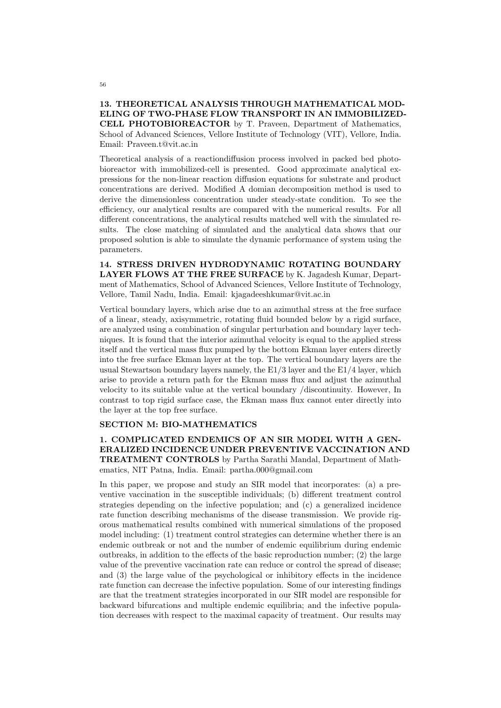13. THEORETICAL ANALYSIS THROUGH MATHEMATICAL MOD-ELING OF TWO-PHASE FLOW TRANSPORT IN AN IMMOBILIZED-CELL PHOTOBIOREACTOR by T. Praveen, Department of Mathematics, School of Advanced Sciences, Vellore Institute of Technology (VIT), Vellore, India. Email: Praveen.t@vit.ac.in

Theoretical analysis of a reactiondiffusion process involved in packed bed photobioreactor with immobilized-cell is presented. Good approximate analytical expressions for the non-linear reaction diffusion equations for substrate and product concentrations are derived. Modified A domian decomposition method is used to derive the dimensionless concentration under steady-state condition. To see the efficiency, our analytical results are compared with the numerical results. For all different concentrations, the analytical results matched well with the simulated results. The close matching of simulated and the analytical data shows that our proposed solution is able to simulate the dynamic performance of system using the parameters.

14. STRESS DRIVEN HYDRODYNAMIC ROTATING BOUNDARY LAYER FLOWS AT THE FREE SURFACE by K. Jagadesh Kumar, Department of Mathematics, School of Advanced Sciences, Vellore Institute of Technology, Vellore, Tamil Nadu, India. Email: kjagadeeshkumar@vit.ac.in

Vertical boundary layers, which arise due to an azimuthal stress at the free surface of a linear, steady, axisymmetric, rotating fluid bounded below by a rigid surface, are analyzed using a combination of singular perturbation and boundary layer techniques. It is found that the interior azimuthal velocity is equal to the applied stress itself and the vertical mass flux pumped by the bottom Ekman layer enters directly into the free surface Ekman layer at the top. The vertical boundary layers are the usual Stewartson boundary layers namely, the E1/3 layer and the E1/4 layer, which arise to provide a return path for the Ekman mass flux and adjust the azimuthal velocity to its suitable value at the vertical boundary /discontinuity. However, In contrast to top rigid surface case, the Ekman mass flux cannot enter directly into the layer at the top free surface.

#### SECTION M: BIO-MATHEMATICS

1. COMPLICATED ENDEMICS OF AN SIR MODEL WITH A GEN-ERALIZED INCIDENCE UNDER PREVENTIVE VACCINATION AND TREATMENT CONTROLS by Partha Sarathi Mandal, Department of Mathematics, NIT Patna, India. Email: partha.000@gmail.com

In this paper, we propose and study an SIR model that incorporates: (a) a preventive vaccination in the susceptible individuals; (b) different treatment control strategies depending on the infective population; and (c) a generalized incidence rate function describing mechanisms of the disease transmission. We provide rigorous mathematical results combined with numerical simulations of the proposed model including: (1) treatment control strategies can determine whether there is an endemic outbreak or not and the number of endemic equilibrium during endemic outbreaks, in addition to the effects of the basic reproduction number;  $(2)$  the large value of the preventive vaccination rate can reduce or control the spread of disease; and (3) the large value of the psychological or inhibitory effects in the incidence rate function can decrease the infective population. Some of our interesting findings are that the treatment strategies incorporated in our SIR model are responsible for backward bifurcations and multiple endemic equilibria; and the infective population decreases with respect to the maximal capacity of treatment. Our results may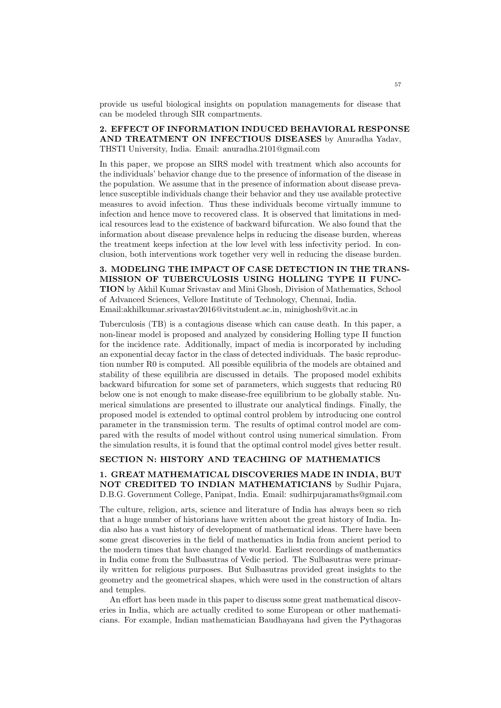provide us useful biological insights on population managements for disease that can be modeled through SIR compartments.

## 2. EFFECT OF INFORMATION INDUCED BEHAVIORAL RESPONSE AND TREATMENT ON INFECTIOUS DISEASES by Anuradha Yadav, THSTI University, India. Email: anuradha.2101@gmail.com

In this paper, we propose an SIRS model with treatment which also accounts for the individuals' behavior change due to the presence of information of the disease in the population. We assume that in the presence of information about disease prevalence susceptible individuals change their behavior and they use available protective measures to avoid infection. Thus these individuals become virtually immune to infection and hence move to recovered class. It is observed that limitations in medical resources lead to the existence of backward bifurcation. We also found that the information about disease prevalence helps in reducing the disease burden, whereas the treatment keeps infection at the low level with less infectivity period. In conclusion, both interventions work together very well in reducing the disease burden.

3. MODELING THE IMPACT OF CASE DETECTION IN THE TRANS-MISSION OF TUBERCULOSIS USING HOLLING TYPE II FUNC-TION by Akhil Kumar Srivastav and Mini Ghosh, Division of Mathematics, School of Advanced Sciences, Vellore Institute of Technology, Chennai, India. Email:akhilkumar.srivastav2016@vitstudent.ac.in, minighosh@vit.ac.in

Tuberculosis (TB) is a contagious disease which can cause death. In this paper, a non-linear model is proposed and analyzed by considering Holling type II function for the incidence rate. Additionally, impact of media is incorporated by including an exponential decay factor in the class of detected individuals. The basic reproduction number R0 is computed. All possible equilibria of the models are obtained and stability of these equilibria are discussed in details. The proposed model exhibits backward bifurcation for some set of parameters, which suggests that reducing R0 below one is not enough to make disease-free equilibrium to be globally stable. Numerical simulations are presented to illustrate our analytical findings. Finally, the proposed model is extended to optimal control problem by introducing one control parameter in the transmission term. The results of optimal control model are compared with the results of model without control using numerical simulation. From the simulation results, it is found that the optimal control model gives better result.

#### SECTION N: HISTORY AND TEACHING OF MATHEMATICS

1. GREAT MATHEMATICAL DISCOVERIES MADE IN INDIA, BUT NOT CREDITED TO INDIAN MATHEMATICIANS by Sudhir Pujara, D.B.G. Government College, Panipat, India. Email: sudhirpujaramaths@gmail.com

The culture, religion, arts, science and literature of India has always been so rich that a huge number of historians have written about the great history of India. India also has a vast history of development of mathematical ideas. There have been some great discoveries in the field of mathematics in India from ancient period to the modern times that have changed the world. Earliest recordings of mathematics in India come from the Sulbasutras of Vedic period. The Sulbasutras were primarily written for religious purposes. But Sulbasutras provided great insights to the geometry and the geometrical shapes, which were used in the construction of altars and temples.

An effort has been made in this paper to discuss some great mathematical discoveries in India, which are actually credited to some European or other mathematicians. For example, Indian mathematician Baudhayana had given the Pythagoras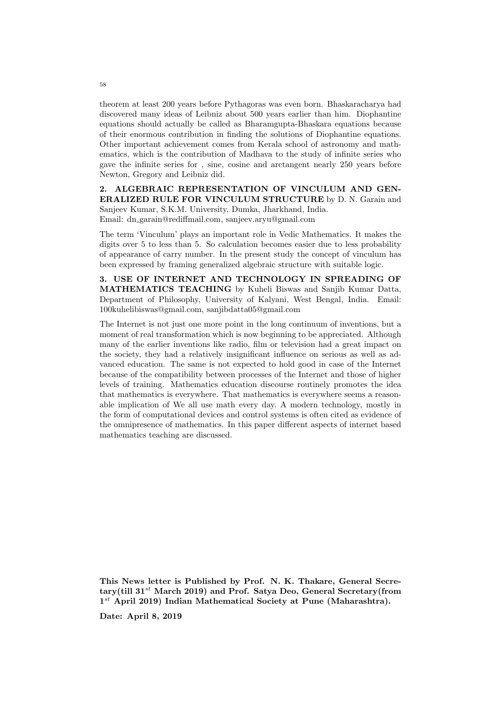theorem at least 200 years before Pythagoras was even born. Bhaskaracharya had discovered many ideas of Leibniz about 500 years earlier than him. Diophantine equations should actually be called as Bharamgupta-Bhaskara equations because of their enormous contribution in finding the solutions of Diophantine equations. Other important achievement comes from Kerala school of astronomy and mathematics, which is the contribution of Madhava to the study of infinite series who gave the infinite series for , sine, cosine and arctangent nearly 250 years before Newton, Gregory and Leibniz did.

2. ALGEBRAIC REPRESENTATION OF VINCULUM AND GEN-ERALIZED RULE FOR VINCULUM STRUCTURE by D. N. Garain and Sanjeev Kumar, S.K.M. University, Dumka, Jharkhand, India. Email: dn garain@rediffmail.com, sanjeev.aryu@gmail.com

The term 'Vinculum' plays an important role in Vedic Mathematics. It makes the digits over 5 to less than 5. So calculation becomes easier due to less probability of appearance of carry number. In the present study the concept of vinculum has been expressed by framing generalized algebraic structure with suitable logic.

3. USE OF INTERNET AND TECHNOLOGY IN SPREADING OF MATHEMATICS TEACHING by Kuheli Biswas and Sanjib Kumar Datta, Department of Philosophy, University of Kalyani, West Bengal, India. Email: 100kuhelibiswas@gmail.com, sanjibdatta05@gmail.com

The Internet is not just one more point in the long continuum of inventions, but a moment of real transformation which is now beginning to be appreciated. Although many of the earlier inventions like radio, film or television had a great impact on the society, they had a relatively insignificant influence on serious as well as advanced education. The same is not expected to hold good in case of the Internet because of the compatibility between processes of the Internet and those of higher levels of training. Mathematics education discourse routinely promotes the idea that mathematics is everywhere. That mathematics is everywhere seems a reasonable implication of We all use math every day. A modern technology, mostly in the form of computational devices and control systems is often cited as evidence of the omnipresence of mathematics. In this paper different aspects of internet based mathematics teaching are discussed.

This News letter is Published by Prof. N. K. Thakare, General Secretary(till  $31^{st}$  March 2019) and Prof. Satya Deo, General Secretary(from  $1^{st}$  April 2019) Indian Mathematical Society at Pune (Maharashtra).

Date: April 8, 2019